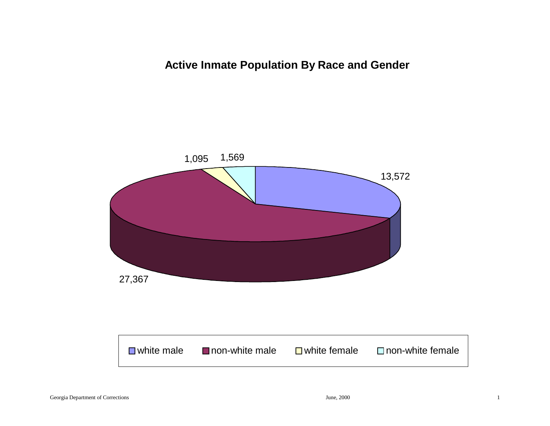**Active Inmate Population By Race and Gender**

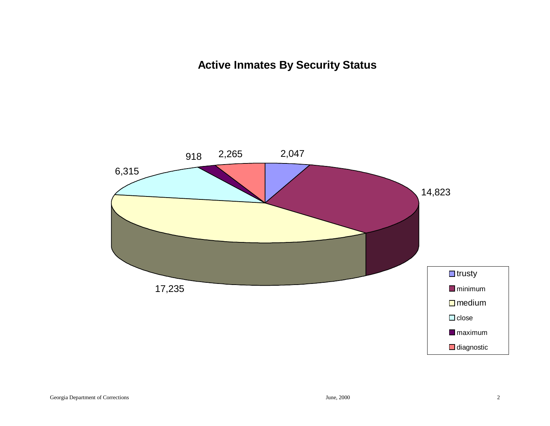# **Active Inmates By Security Status**

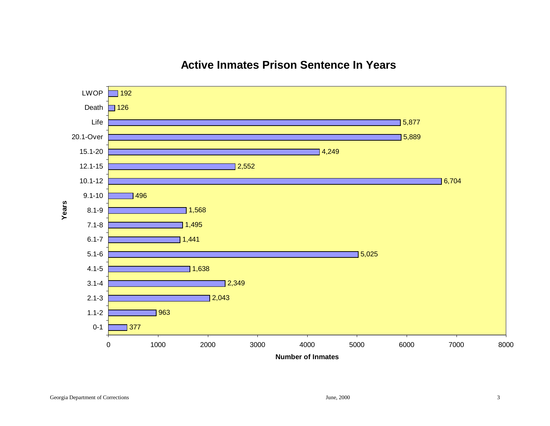### 496 $\Box$  126  $\overline{1}$  192 5,025 1,441 1,495 1,568 6,704  $] 2,552$ 4,249 5,889 5,877 5.1-6 6.1-7 7.1-8 8.1-9 9.1-1010.1-12 12.1-1515.1-2020.1-OverLifeDeathLWOP

## **Active Inmates Prison Sentence In Years**

Georgia Department of Corrections 3

0-1

1.1-2

2.1-3

3.1-44.1-5

**Years**

377

963

2,043

1,638

2,349

0 1000 2000 3000 4000 5000 6000 7000 8000

**Number of Inmates**

8000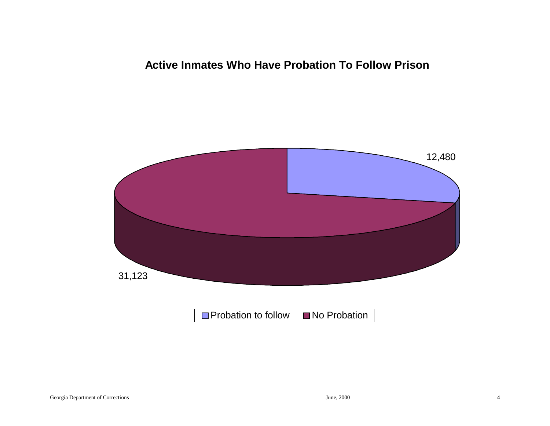## **Active Inmates Who Have Probation To Follow Prison**

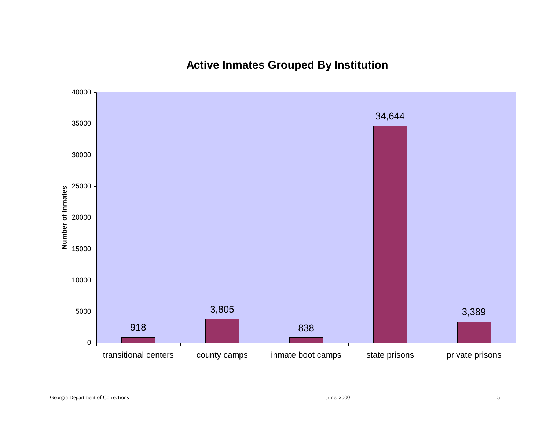# **Active Inmates Grouped By Institution**

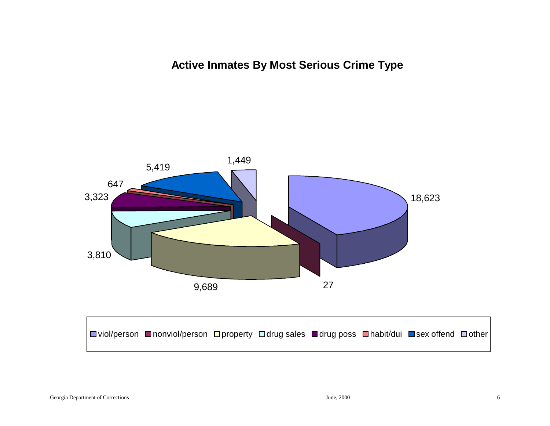**Active Inmates By Most Serious Crime Type**

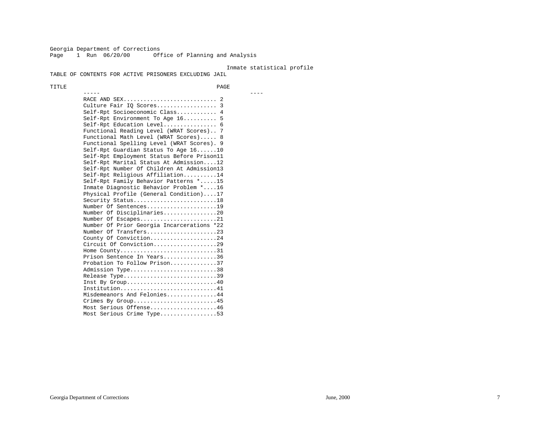Georgia Department of Corrections Page 1 Run 06/20/00 Office of Planning and Analysis

----- ----

#### Inmate statistical profile

TABLE OF CONTENTS FOR ACTIVE PRISONERS EXCLUDING JAIL

TITLE PAGE

 RACE AND SEX............................ 2 Culture Fair IQ Scores.................. 3 Self-Rpt Socioeconomic Class............ 4 Self-Rpt Environment To Age 16.......... 5 Self-Rpt Education Level................ 6 Functional Reading Level (WRAT Scores).. 7 Functional Math Level (WRAT Scores)..... 8 Functional Spelling Level (WRAT Scores). 9 Self-Rpt Guardian Status To Age 16......10 Self-Rpt Employment Status Before Prison11 Self-Rpt Marital Status At Admission....12 Self-Rpt Number Of Children At Admission13 Self-Rpt Religious Affiliation..........14 Self-Rpt Family Behavior Patterns \*.....15 Inmate Diagnostic Behavior Problem \*....16 Physical Profile (General Condition)....17 Security Status.............................18 Number Of Sentences.....................19 Number Of Disciplinaries................20 Number Of Escapes.........................21 Number Of Prior Georgia Incarcerations \*22 Number Of Transfers.....................23 County Of Conviction....................24 Circuit Of Conviction...................29 Home County.................................31 Prison Sentence In Years................36 Probation To Follow Prison..............37Admission Type..............................38 Release Type...............................39 Inst By Group.............................40 Institution.............................41 Misdemeanors And Felonies...............44 Crimes By Group.........................45 Most Serious Offense....................46 Most Serious Crime Type.................53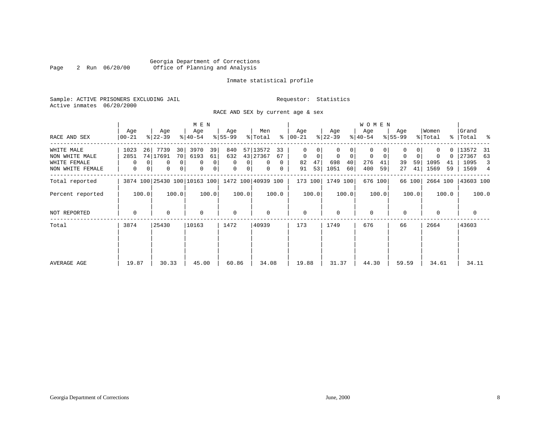#### Georgia Department of Corrections Page 2 Run 06/20/00 Office of Planning and Analysis

### Inmate statistical profile

Sample: ACTIVE PRISONERS EXCLUDING JAIL **Requestor:** Statistics Active inmates 06/20/2000

RACE AND SEX by current age & sex

|                                                                  |                                     |                                                  | M E N                                                     |                                        |                                                                 |                                                              |                                                  | <b>WOMEN</b>                                           |                                          |                                           |                                                           |
|------------------------------------------------------------------|-------------------------------------|--------------------------------------------------|-----------------------------------------------------------|----------------------------------------|-----------------------------------------------------------------|--------------------------------------------------------------|--------------------------------------------------|--------------------------------------------------------|------------------------------------------|-------------------------------------------|-----------------------------------------------------------|
| RACE AND SEX                                                     | Age<br>$00 - 21$                    | Age<br>$ 22-39 $                                 | Age<br>$8140 - 54$                                        | Age<br>$8 55-99$                       | Men<br>% Total                                                  | Age<br>$8   00 - 21$                                         | Age<br>$ 22-39 $                                 | Age<br>$ 40-54 $                                       | Age<br>$8 55-99$                         | Women<br>% Total                          | Grand<br>% Total %                                        |
| WHITE MALE<br>NON WHITE MALE<br>WHITE FEMALE<br>NON WHITE FEMALE | 1023<br>26<br>2851<br>$\Omega$<br>0 | 7739<br>30<br>74 17691<br>70<br>0<br>0<br>0<br>0 | 3970<br>39<br>6193<br>61<br>$\overline{0}$<br>0<br>0<br>0 | 840<br>632<br>0<br>0<br>0 <sup>1</sup> | 57 13572<br>33<br>43 27367<br>67<br>$\mathbf{0}$<br>0<br>0<br>0 | 0<br>0<br>$\mathbf 0$<br>$\mathbf 0$<br>47<br>82<br>53<br>91 | 0<br>0<br>$\mathbf 0$<br>698<br>40<br>1051<br>60 | $\Omega$<br>0<br>$\mathbf 0$<br>276<br>41<br>400<br>59 | 0<br>$\mathbf 0$<br>39<br>59<br>41<br>27 | 0<br>$\Omega$<br>1095<br>41<br>1569<br>59 | 0   13572<br>-31<br>27367<br>63<br>1095<br>3<br>1569<br>4 |
| Total reported                                                   |                                     | 3874 100 25430 100 10163 100 1472 100 40939 100  |                                                           |                                        |                                                                 | 173 100                                                      | 1749 100                                         | 676 100                                                | 66 100                                   |                                           | 2664 100   43603 100                                      |
| Percent reported                                                 | 100.0                               | 100.0                                            | 100.0                                                     | 100.0                                  | 100.0                                                           | 100.0                                                        | 100.0                                            | 100.0                                                  | 100.0                                    | 100.0                                     | 100.0                                                     |
| NOT REPORTED                                                     | $\Omega$                            | 0                                                | $\Omega$                                                  | $\mathbf 0$                            | $\mathbf 0$                                                     | $\mathbf 0$                                                  | $\Omega$                                         | $\Omega$                                               | $\Omega$                                 | $\Omega$                                  | 0                                                         |
| Total                                                            | 3874                                | 25430                                            | 10163                                                     | 1472                                   | 40939                                                           | 173                                                          | 1749                                             | 676                                                    | 66                                       | 2664                                      | 43603                                                     |
| AVERAGE AGE                                                      | 19.87                               | 30.33                                            | 45.00                                                     | 60.86                                  | 34.08                                                           | 19.88                                                        | 31.37                                            | 44.30                                                  | 59.59                                    | 34.61                                     | 34.11                                                     |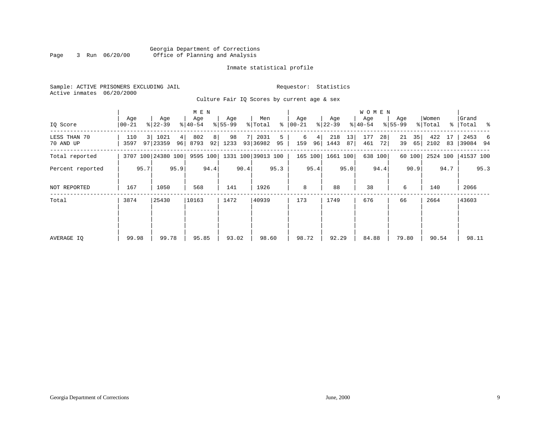#### Georgia Department of Corrections Page 3 Run 06/20/00 Office of Planning and Analysis

#### Inmate statistical profile

|  |                           | Sample: ACTIVE PRISONERS EXCLUDING JAIL |  |
|--|---------------------------|-----------------------------------------|--|
|  | Active inmates 06/20/2000 |                                         |  |

Requestor: Statistics

Culture Fair IQ Scores by current age & sex

|                           |                 |                                    | M E N                         |                  |                             |                     | W O M E N               |                        |                      |                         |                        |
|---------------------------|-----------------|------------------------------------|-------------------------------|------------------|-----------------------------|---------------------|-------------------------|------------------------|----------------------|-------------------------|------------------------|
| IQ Score                  | Age<br>$ 00-21$ | Age<br>$ 22-39 $                   | Age<br>$ 40-54 $              | Age<br>$8 55-99$ | Men<br>ွေ<br>% Total        | Age<br>$ 00 - 21 $  | Age<br>$ 22-39 $        | Age<br>$ 40-54 $       | Age<br>$8 55-99$     | Women<br>% Total        | Grand<br>%   Total %   |
| LESS THAN 70<br>70 AND UP | 110<br>3597     | 1021<br>3 <sup>1</sup><br>97 23359 | 802<br>4 <br>96<br>8793<br>92 | 98<br>8 <br>1233 | 2031<br>5<br>93 36982<br>95 | 6<br>4<br>96<br>159 | 218<br>13<br>1443<br>87 | 177<br>28<br>461<br>72 | 21<br>35<br>39<br>65 | 422<br>17<br>2102<br>83 | 2453<br>6<br> 39084 94 |
| Total reported            |                 | 3707 100 24380 100                 | 9595 100                      |                  | 1331 100 39013 100          | 165 100             | 1661 100                | 638 100                | 60 100               | 2524 100                | 41537 100              |
| Percent reported          | 95.7<br>95.9    |                                    | 94.4                          | 90.4             | 95.3                        | 95.4                | 95.0                    | 94.4                   | 90.9                 | 94.7                    | 95.3                   |
| NOT REPORTED              | 167             | 1050                               |                               | 141              | 1926                        | 8                   | 88                      | 38                     | 6                    | 140                     | 2066                   |
| Total                     | 3874            | 25430                              | 10163                         | 1472             | 40939                       | 173                 | 1749                    | 676                    | 66                   | 2664                    | 43603                  |
|                           |                 |                                    |                               |                  |                             |                     |                         |                        |                      |                         |                        |
|                           |                 |                                    |                               |                  |                             |                     |                         |                        |                      |                         |                        |
| AVERAGE IQ                | 99.98           | 99.78                              | 95.85                         | 93.02            | 98.60                       | 98.72               | 92.29                   | 84.88                  | 79.80                | 90.54                   | 98.11                  |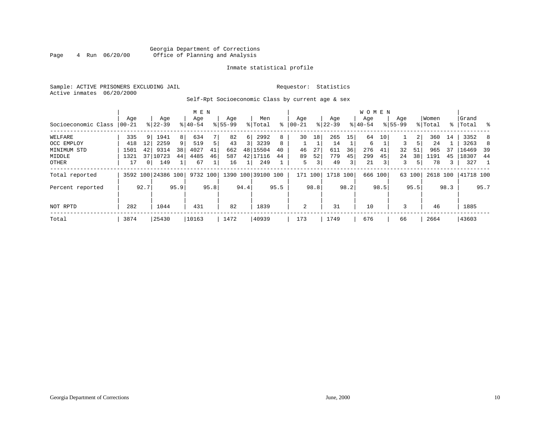#### Georgia Department of Corrections<br>4 Run 06/20/00 Office of Planning and Analysis Page 4 Run 06/20/00 Office of Planning and Analysis

#### Inmate statistical profile

Sample: ACTIVE PRISONERS EXCLUDING JAIL **Requestor:** Statistics Active inmates 06/20/2000

Self-Rpt Socioeconomic Class by current age & sex

|                     | M E N    |                 |                    |      |           |      |             |          |                    |      |           |      |             |      | W O M E N |         |             |        |          |      |           |      |
|---------------------|----------|-----------------|--------------------|------|-----------|------|-------------|----------|--------------------|------|-----------|------|-------------|------|-----------|---------|-------------|--------|----------|------|-----------|------|
|                     | Age      |                 | Age                |      | Age       |      | Age         |          | Men                |      | Age       |      | Age         |      | Age       |         | Age         |        | Women    |      | Grand     |      |
| Socioeconomic Class | $ 00-21$ |                 | $8 22-39$          |      | $8 40-54$ |      | $8155 - 99$ |          | % Total            | ႜ    | $00 - 21$ |      | $8$   22-39 |      | $8 40-54$ |         | $8155 - 99$ |        | % Total  |      | %   Total | - 옹  |
| WELFARE             | 335      | 9               | 1941               | 8    | 634       |      | 82          | $6 \mid$ | 2992               | 8    | 30        | 18   | 265         | 15   | 64        | 10      |             | 2      | 360      | 14   | 3352      | 8    |
| OCC EMPLOY          | 418      | 12              | 2259               | 9    | 519       | 5    | 43          |          | 3239               | 8    |           |      | 14          |      | 6         |         | 3           |        | 24       |      | 3263      | 8    |
| MINIMUM STD         | 1501     | 42              | 9314               | 38   | 4027      | 41   | 662         |          | 48 15504           | 40   | 46        | 27   | 611         | 36   | 276       | 41      | 32          | 51     | 965      | 37   | 16469     | -39  |
| MIDDLE              | 1321     | 37 <sup>1</sup> | 10723              | 44   | 4485      | 46   | 587         |          | 42 17116           | 44   | 89        | 52   | 779         | 45   | 299       | 45      | 24          | 38     | 1191     | 45   | 18307     | 44   |
| OTHER               | 17       | 0 <sup>1</sup>  | 149                |      | 67        |      | 16          |          | 249                |      | 5         | 3    | 49          | 3    | 21        | 3       | 3           | 5      | 78       | 3    | 327       |      |
| Total reported      |          |                 | 3592 100 24386 100 |      | 9732 100  |      |             |          | 1390 100 39100 100 |      | 171 100   |      | 1718 100    |      |           | 666 100 |             | 63 100 | 2618 100 |      | 41718 100 |      |
| Percent reported    |          | 92.7            |                    | 95.9 |           | 95.8 |             | 94.4     |                    | 95.5 |           | 98.8 |             | 98.2 |           | 98.5    |             | 95.5   |          | 98.3 |           | 95.7 |
| NOT RPTD            | 282      |                 | 1044               |      | 431       |      | 82          |          | 1839               |      | 2         |      | 31          |      | 10        |         | 3           |        | 46       |      | 1885      |      |
| Total               | 3874     |                 | 25430              |      | 10163     |      | 1472        |          | 40939              |      | 173       |      | 1749        |      | 676       |         | 66          |        | 2664     |      | 43603     |      |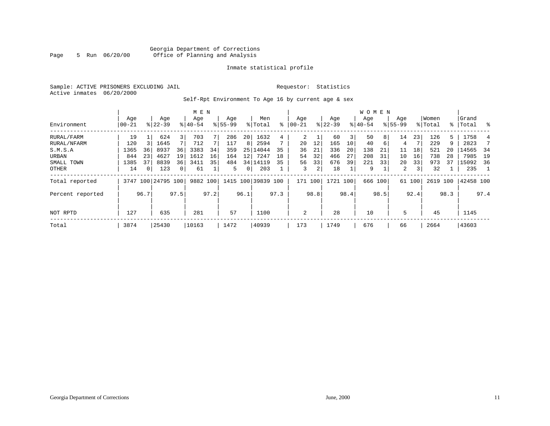#### Georgia Department of Corrections<br>5 Run 06/20/00 Office of Planning and Analysis Page 5 Run 06/20/00 Office of Planning and Analysis

#### Inmate statistical profile

Sample: ACTIVE PRISONERS EXCLUDING JAIL **Requestor:** Statistics Active inmates 06/20/2000

Self-Rpt Environment To Age 16 by current age & sex

|                  |           |          |                    |              | M E N       |      |             |                |                    |      |           |      |           |      | <b>WOMEN</b> |         |             |        |          |      |           |                |
|------------------|-----------|----------|--------------------|--------------|-------------|------|-------------|----------------|--------------------|------|-----------|------|-----------|------|--------------|---------|-------------|--------|----------|------|-----------|----------------|
|                  | Age       |          | Age                |              | Age         |      | Age         |                | Men                |      | Age       |      | Age       |      | Age          |         | Age         |        | Women    |      | Grand     |                |
| Environment      | $00 - 21$ |          | $8 22-39$          |              | $8140 - 54$ |      | $8155 - 99$ |                | % Total            | ႜ    | $00 - 21$ |      | $ 22-39 $ |      | $ 40-54 $    |         | $8155 - 99$ |        | % Total  |      | %   Total | ႜ              |
| RURAL/FARM       | 19        |          | 624                | 3            | 703         |      | 286         | 20             | 1632               | 4    | 2         |      | 60        | 3    | 50           | 8       | 14          | 23     | 126      | 5    | 1758      | 4              |
| RURAL/NFARM      | 120       |          | 1645               |              | 712         |      | 117         | 8              | 2594               |      | 20        | 12   | 165       | 10   | 40           | 6       | 4           |        | 229      | 9    | 2823      |                |
| S.M.S.A          | 1365      | 36       | 8937               | 36           | 3383        | 34   | 359         | 25             | 14044              | 35   | 36        | 21   | 336       | 20   | 138          | 21      | 11          | 18     | 521      | 20   | 14565     | -34            |
| URBAN            | 844       | 23       | 4627               | 19           | 1612        | 16   | 164         | 121            | 7247               | 18   | 54        | 32   | 466       | 27   | 208          | 31      | 10          | 16     | 738      | 28   | 7985      | 19             |
| SMALL TOWN       | 1385      | 37       | 8839               | 36           | 3411        | 35   | 484         |                | 34   14119         | 35   | 56        | 33   | 676       | 39   | 221          | 33      | 20          | 33     | 973      | 37   | 15092     | 36             |
| OTHER            | 14        | $\Omega$ | 123                | $\mathbf{0}$ | 61          |      | 5.          | 0 <sup>1</sup> | 203                |      | 3         | 2    | 18        |      | 9            |         | 2           | 3      | 32       |      | 235       | $\overline{1}$ |
| Total reported   |           |          | 3747 100 24795 100 |              | 9882 100    |      |             |                | 1415 100 39839 100 |      | 171 100   |      | 1721 100  |      |              | 666 100 |             | 61 100 | 2619 100 |      | 42458 100 |                |
| Percent reported |           | 96.7     |                    | 97.5         |             | 97.2 |             | 96.1           |                    | 97.3 |           | 98.8 |           | 98.4 |              | 98.5    |             | 92.4   |          | 98.3 |           | 97.4           |
|                  |           |          |                    |              |             |      |             |                |                    |      |           |      |           |      |              |         |             |        |          |      |           |                |
| NOT RPTD         | 127       |          | 635                |              | 281         |      | 57          |                | 1100               |      | 2         |      | 28        |      | 10           |         | 5           |        | 45       |      | 1145      |                |
| Total            | 3874      |          | 25430              |              | 10163       |      | 1472        |                | 40939              |      | 173       |      | 1749      |      | 676          |         | 66          |        | 2664     |      | 43603     |                |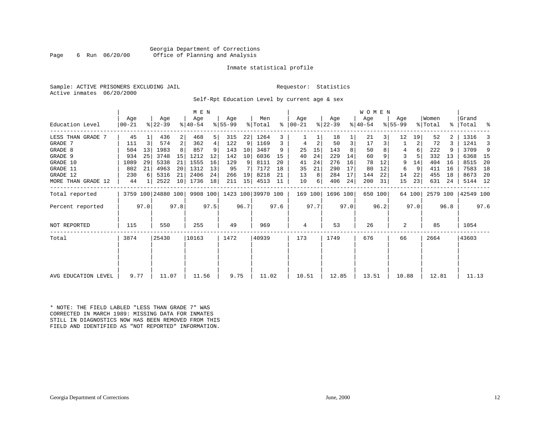#### Georgia Department of Corrections<br>6 Run 06/20/00 Office of Planning and Analysis Page 6 Run 06/20/00 Office of Planning and Analysis

#### Inmate statistical profile

|  | Sample: ACTIVE PRISONERS EXCLUDING JAI |  |
|--|----------------------------------------|--|
|  | Active inmates 06/20/2000              |  |

IL Requestor: Statistics

Self-Rpt Education Level by current age & sex

|                     |                  | M E N |                    |      |                  |      |                 |      |                    |      |                  |      |                  |      | WOMEN            |         |                    |        |                  |      |                    |      |
|---------------------|------------------|-------|--------------------|------|------------------|------|-----------------|------|--------------------|------|------------------|------|------------------|------|------------------|---------|--------------------|--------|------------------|------|--------------------|------|
| Education Level     | Age<br>$00 - 21$ |       | Age<br>$ 22-39 $   |      | Age<br>$ 40-54 $ |      | Age<br>$ 55-99$ |      | Men<br>% Total     | ွေ   | Age<br>$ 00-21 $ |      | Age<br>$ 22-39 $ |      | Age<br>$ 40-54 $ |         | Age<br>$8155 - 99$ |        | Women<br>% Total |      | Grand<br>%   Total | း    |
| LESS THAN GRADE 7   | 45               |       | 436                | 2    | 468              | 5    | 315             | 22   | 1264               | 3    |                  |      | 18               |      | 21               | 3       | 12                 | 19     | 52               |      | 1316               | 3    |
| GRADE 7             | 111              | 3     | 574                | 2    | 362              | 4    | 122             | 9    | 1169               | 3    | 4                | 2    | 50               | 3    | 17               | 3       |                    | 2      | 72               |      | 1241               | 3    |
| GRADE 8             | 504              | 13    | 1983               |      | 857              |      | 143             | 10   | 3487               | 9    | 25               | 15   | 143              |      | 50               |         | 4                  | 6      | 222              |      | 3709               | 9    |
| GRADE 9             | 934              | 25    | 3748               | 15   | 1212             | 12   | 142             | 10   | 6036               | 15   | 40               | 24   | 229              | 14   | 60               |         | 3                  |        | 332              | 13   | 6368               | - 15 |
| GRADE 10            | 1089             | 29    | 5338               | 21   | 1555             | 16   | 129             | 9    | 8111               | 20   | 41               | 24   | 276              | 16   | 78               | 12      | 9                  | 14     | 404              | 16   | 8515               | 20   |
| GRADE 11            | 802              | 21    | 4963               | 20   | 1312             | 13   | 95              | 7    | 7172               | 18   | 35               | 21   | 290              | 17   | 80               | 12      | 6                  | 9      | 411              | 16   | 7583               | 18   |
| GRADE 12            | 230              | 6     | 5316               | 21   | 2406             | 24   | 266             | 19   | 8218               | 21   | 13               | 8    | 284              | 17   | 144              | 22      | 14                 | 22     | 455              | 18   | 8673               | -20  |
| MORE THAN GRADE 12  | 44               |       | 2522               | 10   | 1736             | 18   | 211             | 15   | 4513               | 11   | 10               | 6    | 406              | 24   | 200              | 31      | 15                 | 23     | 631              | 24   | 5144               | 12   |
| Total reported      |                  |       | 3759 100 24880 100 |      | 9908 100         |      |                 |      | 1423 100 39970 100 |      | 169 100          |      | 1696 100         |      |                  | 650 100 |                    | 64 100 | 2579 100         |      | 42549 100          |      |
| Percent reported    |                  | 97.0  |                    | 97.8 |                  | 97.5 |                 | 96.7 |                    | 97.6 |                  | 97.7 |                  | 97.0 |                  | 96.2    |                    | 97.0   |                  | 96.8 |                    | 97.6 |
| NOT REPORTED        | 115              |       | 550                |      | 255              |      | 49              |      | 969                |      | 4                |      | 53               |      | 26               |         | 2                  |        | 85               |      | 1054               |      |
| Total               | 3874             |       | 25430              |      | 10163            |      | 1472            |      | 40939              |      | 173              |      | 1749             |      | 676              |         | 66                 |        | 2664             |      | 43603              |      |
|                     |                  |       |                    |      |                  |      |                 |      |                    |      |                  |      |                  |      |                  |         |                    |        |                  |      |                    |      |
| AVG EDUCATION LEVEL | 9.77             |       | 11.07              |      | 11.56            |      | 9.75            |      | 11.02              |      | 10.51            |      | 12.85            |      | 13.51            |         | 10.88              |        | 12.81            |      | 11.13              |      |

\* NOTE: THE FIELD LABLED "LESS THAN GRADE 7" WAS CORRECTED IN MARCH 1989: MISSING DATA FOR INMATES STILL IN DIAGNOSTICS NOW HAS BEEN REMOVED FROM THIS FIELD AND IDENTIFIED AS "NOT REPORTED" INFORMATION.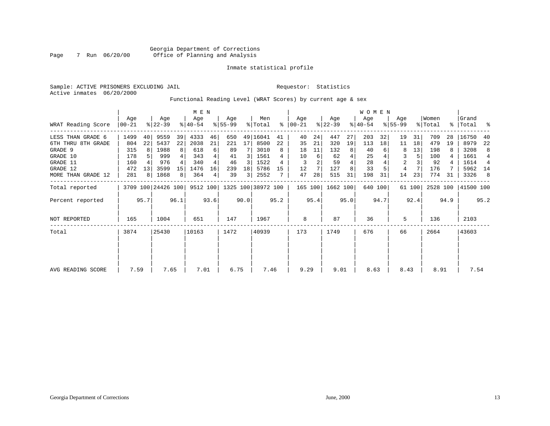#### Inmate statistical profile

Sample: ACTIVE PRISONERS EXCLUDING JAIL **Requestor:** Statistics Active inmates 06/20/2000

#### Functional Reading Level (WRAT Scores) by current age & sex

|                     | M E N           |                |                    |                 |                  |      |                  |      |                    |      |                 |      |                  |      | <b>WOMEN</b>     |                 |                    |        |                  |      |                      |                |
|---------------------|-----------------|----------------|--------------------|-----------------|------------------|------|------------------|------|--------------------|------|-----------------|------|------------------|------|------------------|-----------------|--------------------|--------|------------------|------|----------------------|----------------|
| WRAT Reading Score  | Age<br>$ 00-21$ |                | Age<br>$ 22-39 $   |                 | Age<br>$8 40-54$ |      | Aqe<br>$ 55-99 $ |      | Men<br>% Total     | ፠    | Age<br>$ 00-21$ |      | Age<br>$ 22-39 $ |      | Age<br>$ 40-54 $ |                 | Aqe<br>$8155 - 99$ |        | Women<br>% Total |      | l Grand<br>%   Total | ႜ              |
| LESS THAN GRADE 6   | 1499            | 40             | 9559               | 39              | 4333             | 46   | 650              |      | 49 16041           | 41   | 40              | 24   | 447              | 27   | 203              | 32              | 19                 | 31     | 709              | 28   | 16750                | 40             |
| 6TH THRU 8TH GRADE  | 804             | 22             | 5437               | 22              | 2038             | 21   | 221              | 17   | 8500               | 22   | 35              | 21   | 320              | 19   | 113              | 18 <sup>1</sup> | 11                 | 18     | 479              | 19   | 8979                 | 22             |
| GRADE 9             | 315             |                | 1988               | 8               | 618              | 6    | 89               |      | 3010               | 8    | 18              | 11   | 132              | 8    | 40               |                 | 8                  | 13     | 198              |      | 3208                 | 8              |
| GRADE 10            | 178             |                | 999                | 4               | 343              |      | 41               | 3.   | 1561               |      | 10              | 6    | 62               |      | 25               |                 |                    |        | 100              |      | 1661                 | $\overline{4}$ |
| GRADE 11            | 160             |                | 976                |                 | 340              |      | 46               | 3    | 1522               | 4    | 3               |      | 59               |      | 28               |                 | $\overline{2}$     |        | 92               |      | 1614                 | $\overline{4}$ |
| GRADE 12            | 472             | 13             | 3599               | 15 <sup>1</sup> | 1476             | 16   | 239              | 18   | 5786               | 15   | 12              |      | 127              | 8    | 33               |                 | 4                  |        | 176              |      | 5962                 | 14             |
| MORE THAN GRADE 12  | 281             | 8 <sup>1</sup> | 1868               | 8 <sup>1</sup>  | 364              | 4    | 39               | 3    | 2552               |      | 47              | 28   | 515              | 31   | 198              | 31              | 14                 | 23     | 774              | 31   | 3326                 | - 8            |
| Total reported      |                 |                | 3709 100 24426 100 |                 | 9512 100         |      |                  |      | 1325 100 38972 100 |      | 165 100         |      | 1662 100         |      |                  | 640 100         |                    | 61 100 | 2528 100         |      | 41500 100            |                |
| Percent reported    |                 | 95.7           |                    | 96.1            |                  | 93.6 |                  | 90.0 |                    | 95.2 |                 | 95.4 |                  | 95.0 |                  | 94.7            |                    | 92.4   |                  | 94.9 |                      | 95.2           |
| <b>NOT REPORTED</b> | 165             |                | 1004               |                 | 651              |      | 147              |      | 1967               |      | 8               |      | 87               |      | 36               |                 | 5                  |        | 136              |      | 2103                 |                |
| Total               | 3874            |                | 25430              |                 | 10163            |      | 1472             |      | 40939              |      | 173             |      | 1749             |      | 676              |                 | 66                 |        | 2664             |      | 43603                |                |
|                     |                 |                |                    |                 |                  |      |                  |      |                    |      |                 |      |                  |      |                  |                 |                    |        |                  |      |                      |                |
| AVG READING SCORE   | 7.59            |                | 7.65               |                 | 7.01             |      | 6.75             |      | 7.46               |      | 9.29            |      | 9.01             |      | 8.63             |                 | 8.43               |        | 8.91             |      | 7.54                 |                |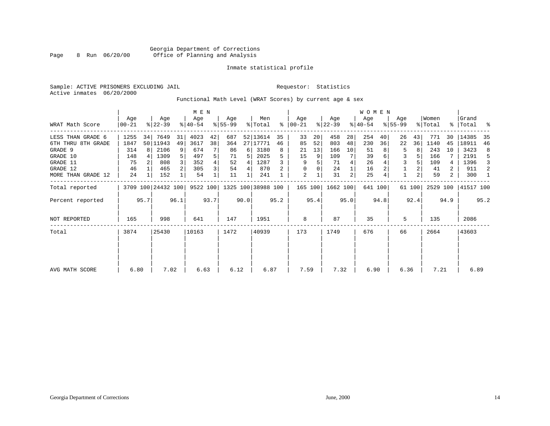#### Georgia Department of Corrections Page 8 Run 06/20/00 Office of Planning and Analysis

#### Inmate statistical profile

Sample: ACTIVE PRISONERS EXCLUDING JAIL **Requestor:** Statistics Active inmates 06/20/2000

Functional Math Level (WRAT Scores) by current age & sex

|                     |                  |      |                    |      | M E N            |      |                 |      |                    |      |                  |      |                  |      | WOMEN              |         |                    |        |                  |                |                    |      |
|---------------------|------------------|------|--------------------|------|------------------|------|-----------------|------|--------------------|------|------------------|------|------------------|------|--------------------|---------|--------------------|--------|------------------|----------------|--------------------|------|
| WRAT Math Score     | Age<br>$ 00-21 $ |      | Age<br>$ 22-39 $   |      | Age<br>$ 40-54 $ |      | Age<br>$ 55-99$ |      | Men<br>% Total     | ႜ    | Age<br>$ 00-21 $ |      | Age<br>$ 22-39 $ |      | Age<br>$8140 - 54$ |         | Age<br>$8155 - 99$ |        | Women<br>% Total |                | Grand<br>%   Total | း    |
| LESS THAN GRADE 6   | 1255             | 34   | 7649               | 31   | 4023             | 42   | 687             |      | 52 13614           | 35   | 33               | 20   | 458              | 28   | 254                | 40      | 26                 | 43     | 771              | 30             | 14385              | 35   |
| 6TH THRU 8TH GRADE  | 1847             |      | 50 11943           | 49   | 3617             | 38   | 364             |      | 27 17771           | 46   | 85               | 52   | 803              | 48   | 230                | 36      | 22                 | 36     | 1140             | 45             | 18911              | 46   |
| GRADE 9             | 314              | 8 I  | 2106               | 9    | 674              |      | 86              | 6    | 3180               | 8    | 21               | 13   | 166              | 10   | 51                 |         | 5                  |        | 243              | 10             | 3423               | 8    |
| GRADE 10            | 148              |      | 1309               |      | 497              | 5    | 71              |      | 2025               |      | 15               | 9    | 109              | 7    | 39                 | 6       | 3                  |        | 166              |                | 2191               | 5    |
| GRADE 11            | 75               |      | 808                |      | 352              |      | 52              | 4    | 1287               |      | 9                |      | 71               | 4    | 26                 |         |                    |        | 109              | 4              | 1396               | 3    |
| GRADE 12            | 46               |      | 465                |      | 305              | 3    | 54              | 4    | 870                |      | $\Omega$         |      | 24               |      | 16                 |         |                    |        | 41               | 2              | 911                | 2    |
| MORE THAN GRADE 12  | 24               |      | 152                |      | 54               |      | 11              |      | 241                |      | 2                |      | 31               | 2    | 25                 |         |                    |        | 59               | $\overline{2}$ | 300                | -1   |
| Total reported      |                  |      | 3709 100 24432 100 |      | 9522 100         |      |                 |      | 1325 100 38988 100 |      | 165 100          |      | 1662 100         |      |                    | 641 100 |                    | 61 100 | 2529 100         |                | 41517 100          |      |
| Percent reported    |                  | 95.7 |                    | 96.1 |                  | 93.7 |                 | 90.0 |                    | 95.2 |                  | 95.4 |                  | 95.0 |                    | 94.8    |                    | 92.4   |                  | 94.9           |                    | 95.2 |
| <b>NOT REPORTED</b> | 165              |      | 998                |      | 641              |      | 147             |      | 1951               |      | 8                |      | 87               |      | 35                 |         | 5                  |        | 135              |                | 2086               |      |
| Total               | 3874             |      | 25430              |      | 10163            |      | 1472            |      | 40939              |      | 173              |      | 1749             |      | 676                |         | 66                 |        | 2664             |                | 43603              |      |
|                     |                  |      |                    |      |                  |      |                 |      |                    |      |                  |      |                  |      |                    |         |                    |        |                  |                |                    |      |
| AVG MATH SCORE      | 6.80             |      | 7.02               |      | 6.63             |      | 6.12            |      | 6.87               |      | 7.59             |      | 7.32             |      | 6.90               |         | 6.36               |        | 7.21             |                | 6.89               |      |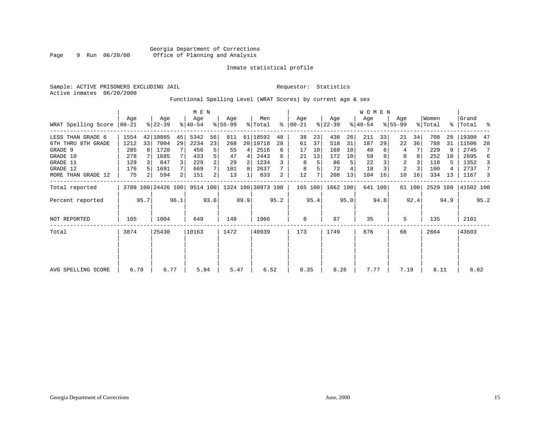#### Inmate statistical profile

Sample: ACTIVE PRISONERS EXCLUDING JAIL **Requestor:** Statistics Active inmates 06/20/2000

Functional Spelling Level (WRAT Scores) by current age & sex

|                     |                  |      |                    |      | M E N              |      |                    |      |                    |      |                  |      |                  |      | <b>WOMEN</b>     |         |                  |          |                  |      |                    |      |
|---------------------|------------------|------|--------------------|------|--------------------|------|--------------------|------|--------------------|------|------------------|------|------------------|------|------------------|---------|------------------|----------|------------------|------|--------------------|------|
| WRAT Spelling Score | Aqe<br>$00 - 21$ |      | Age<br>$8 22-39$   |      | Age<br>$8140 - 54$ |      | Age<br>$8155 - 99$ |      | Men<br>% Total     | % ิ  | Aqe<br>$ 00-21 $ |      | Age<br>$ 22-39 $ |      | Age<br>$ 40-54 $ |         | Age<br>$8 55-99$ |          | Women<br>% Total |      | Grand<br>%   Total | ್ಠಿ  |
|                     |                  |      |                    |      |                    |      |                    |      |                    |      |                  |      |                  |      |                  |         |                  |          |                  |      |                    |      |
| LESS THAN GRADE 6   | 1554             |      | 42 10885           | 45   | 5342               | 56   | 811                |      | 61 18592           | 48   | 38               | 23   | 438              | 26   | 211              | 33      | 21               | 34       | 708              | 28   | 19300              | 47   |
| 6TH THRU 8TH GRADE  | 1212             | 33   | 7004               | 29   | 2234               | 23   | 268                |      | 20 10718           | 28   | 61               | 37   | 518              | 31   | 187              | 29      | 22               | 36       | 788              | 31   | 11506              | -28  |
| GRADE 9             | 285              | 8    | 1720               |      | 456                | 5    | 55                 | 4    | 2516               | 6    | 17               | 10   | 168              | 10   | 40               |         |                  |          | 229              | 9    | 2745               | 7    |
| GRADE 10            | 278              |      | 1685               |      | 433                | 5    | 47                 | 4    | 2443               | 6    | 21               | 13   | 172              | 10   | 59               |         | 0                | $\Omega$ | 252              | 10   | 2695               | 6    |
| GRADE 11            | 129              |      | 847                | 3    | 229                | 2    | 29                 | 2    | 1234               |      | 8                | 5    | 86               | 5    | 22               |         | $\overline{2}$   |          | 118              | 5.   | 1352               | 3    |
| GRADE 12            | 176              |      | 1691               |      | 669                |      | 101                | 8    | 2637               |      | 8                | 5    | 72               |      | 18               |         | 2                |          | 100              | 4    | 2737               | 7    |
| MORE THAN GRADE 12  | 75               | 2    | 594                | 2    | 151                | 2    | 13                 |      | 833                | 2    | 12               | 7    | 208              | 13   | 104              | 16      | 10               | 16       | 334              | 13   | 1167               | 3    |
| Total reported      |                  |      | 3709 100 24426 100 |      | 9514 100           |      |                    |      | 1324 100 38973 100 |      | 165 100          |      | 1662 100         |      |                  | 641 100 |                  | 61 100   | 2529 100         |      | 41502 100          |      |
| Percent reported    |                  | 95.7 |                    | 96.1 |                    | 93.6 |                    | 89.9 |                    | 95.2 |                  | 95.4 |                  | 95.0 |                  | 94.8    |                  | 92.4     |                  | 94.9 |                    | 95.2 |
| <b>NOT REPORTED</b> | 165              |      | 1004               |      | 649                |      | 148                |      | 1966               |      | 8                |      | 87               |      | 35               |         | 5                |          | 135              |      | 2101               |      |
| Total               | 3874             |      | 25430              |      | 10163              |      | 1472               |      | 40939              |      | 173              |      | 1749             |      | 676              |         | 66               |          | 2664             |      | 43603              |      |
|                     |                  |      |                    |      |                    |      |                    |      |                    |      |                  |      |                  |      |                  |         |                  |          |                  |      |                    |      |
|                     |                  |      |                    |      |                    |      |                    |      |                    |      |                  |      |                  |      |                  |         |                  |          |                  |      |                    |      |
| AVG SPELLING SCORE  | 6.79             |      | 6.77               |      | 5.94               |      | 5.47               |      | 6.52               |      | 8.35             |      | 8.26             |      | 7.77             |         | 7.19             |          | 8.11             |      | 6.62               |      |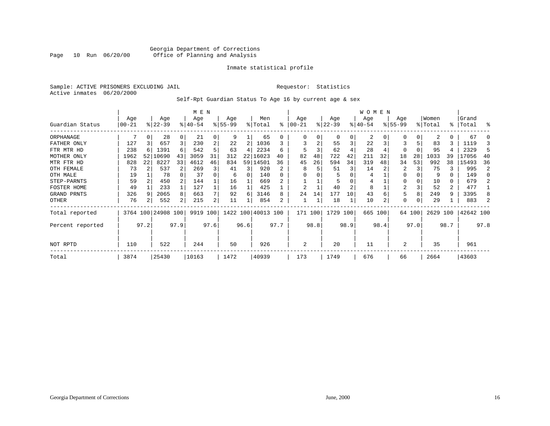#### Georgia Department of Corrections<br>Page 10 Run 06/20/00 office of Planning and Analysis Office of Planning and Analysis

#### Inmate statistical profile

Sample: ACTIVE PRISONERS EXCLUDING JAIL **Requestor:** Statistics Active inmates 06/20/2000

#### Self-Rpt Guardian Status To Age 16 by current age & sex

|                  |            |          |                    |          | M E N     |      |           |          |                    |                |                |      |           |      | <b>WOMEN</b> |          |           |        |          |      |           |      |
|------------------|------------|----------|--------------------|----------|-----------|------|-----------|----------|--------------------|----------------|----------------|------|-----------|------|--------------|----------|-----------|--------|----------|------|-----------|------|
|                  | Age        |          | Age                |          | Age       |      | Age       |          | Men                |                | Age            |      | Age       |      | Age          |          | Age       |        | Women    |      | Grand     |      |
| Guardian Status  | $00 - 21$  |          | $ 22-39 $          |          | $8 40-54$ |      | $8 55-99$ |          | % Total            | ႜ              | $ 00-21$       |      | $ 22-39 $ |      | $ 40-54 $    |          | $8 55-99$ |        | % Total  |      | %   Total | ႜ    |
| ORPHANAGE        |            | $\Omega$ | 28                 | $\Omega$ | 21        | 0    | 9         |          | 65                 | 0              |                | 0    | $\Omega$  | 0    | 2            | $\Omega$ | 0         |        | 2        | 0    | 67        |      |
| FATHER ONLY      | 127        |          | 657                | 3        | 230       | 2    | 22        | 2        | 1036               | 3              |                | 2    | 55        | 3    | 22           |          |           | 5      | 83       | 3    | 1119      | 3    |
| FTR MTR HD       | 238        |          | 1391               | 6        | 542       | 5    | 63        | 4        | 2234               | 6              | 5              |      | 62        |      | 28           |          | 0         |        | 95       |      | 2329      | 5    |
| MOTHER ONLY      | 1962       | 52       | 10690              | 43       | 3059      | 31   | 312       |          | 22   16023         | 40             | 82             | 48   | 722       | 42   | 211          | 32       | 18        | 28     | 1033     | 39   | 17056     | 40   |
| MTR FTR HD       | 828        | 22       | 8227               | 33       | 4612      | 46   | 834       |          | 59 14501           | 36             | 45             | 26   | 594       | 34   | 319          | 48       | 34        | 53     | 992      | 38   | 15493     | 36   |
| OTH FEMALE       | 73         |          | 537                |          | 269       | 3    | 41        | 3        | 920                |                | 8              |      | 51        | 3    | 14           |          | 2         |        | 75       |      | 995       | 2    |
| OTH MALE         | 19         |          | 78                 |          | 37        |      | 6         | $\Omega$ | 140                | 0              |                |      | 5         |      | 4            |          | 0         |        | 9        | 0    | 149       |      |
| STEP-PARNTS      | 59         |          | 450                |          | 144       |      | 16        |          | 669                |                |                |      | 5         |      | 4            |          | 0         |        | 10       | 0    | 679       |      |
| FOSTER HOME      | 49         |          | 233                |          | 127       |      | 16        |          | 425                |                | $\overline{2}$ |      | 40        | 2    | 8            |          | 2         |        | 52       | 2    | 477       |      |
| GRAND PRNTS      | 326        |          | 2065               | 8        | 663       |      | 92        | 6        | 3146               | 8              | 24             | 14   | 177       | 10   | 43           | 6        | 5         | 8      | 249      | 9    | 3395      |      |
| OTHER            | 76         |          | 552                | 2        | 215       | 2    | 11        |          | 854                | 2              |                |      | 18        |      | 10           | 2        | 0         |        | 29       |      | 883       |      |
| Total reported   |            |          | 3764 100 24908 100 |          | 9919 100  |      |           |          | 1422 100 40013 100 |                | 171 100        |      | 1729      | 100  | 665 100      |          |           | 64 100 | 2629 100 |      | 42642 100 |      |
| Percent reported |            | 97.2     |                    | 97.9     |           | 97.6 |           | 96.6     |                    | 97.7           |                | 98.8 |           | 98.9 |              | 98.4     |           | 97.0   |          | 98.7 |           | 97.8 |
| NOT RPTD         | 522<br>110 |          |                    | 244      |           | 50   |           | 926      |                    | $\overline{2}$ |                | 20   |           | 11   |              | 2        |           | 35     |          | 961  |           |      |
| Total            | 3874       |          | 25430              |          | 10163     |      | 1472      |          | 40939              |                | 173            |      | 1749      |      | 676          |          | 66        |        | 2664     |      | 43603     |      |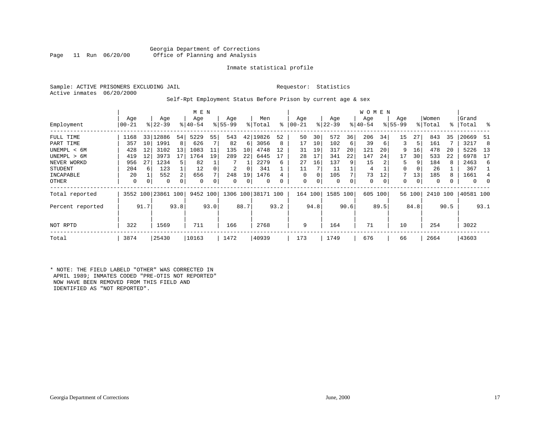#### Georgia Department of Corrections<br>Page 11 Run 06/20/00 office of Planning and Analysis Office of Planning and Analysis

#### Inmate statistical profile

Sample: ACTIVE PRISONERS EXCLUDING JAIL **Requestor:** Statistics Active inmates 06/20/2000

#### Self-Rpt Employment Status Before Prison by current age & sex

|                  |       |      |                    |      | M E N     |      |           |      |                    |      |           |          |             |      | W O M E N |      |           |        |         |      |           |          |
|------------------|-------|------|--------------------|------|-----------|------|-----------|------|--------------------|------|-----------|----------|-------------|------|-----------|------|-----------|--------|---------|------|-----------|----------|
|                  | Age   |      | Age                |      | Age       |      | Age       |      | Men                |      | Age       |          | Age         |      | Age       |      | Age       |        | Women   |      | Grand     |          |
| Employment       | 00-21 |      | $8 22-39$          |      | $8 40-54$ |      | $8 55-99$ |      | % Total            | ፠    | $00 - 21$ |          | $ 22-39 $   |      | $ 40-54 $ |      | $ 55-99 $ |        | % Total |      | %   Total | - 옹      |
| FULL TIME        | 1168  |      | 33 12886           | 54   | 5229      | 55   | 543       | 42   | L9826              | 52   | 50        | 30       | 572         | 36   | 206       | 34   | 15        | 27     | 843     | 35   | 20669     | 51       |
| PART TIME        | 357   | 10   | 1991               | 8    | 626       |      | 82        | 6    | 3056               | 8    | 17        | 10       | 102         | 6    | 39        | 6    | 3         | 5      | 161     |      | 3217      | 8        |
| UNEMPL < 6M      | 428   | 12   | 3102               | 13   | 1083      | 11   | 135       | 10   | 4748               | 12   | 31        | 19       | 317         | 20   | 121       | 20   | 9         | 16     | 478     | 20   | 5226      | 13       |
| UNEMPL > 6M      | 419   | 12   | 3973               | 17   | 1764      | 19   | 289       | 22   | 6445               |      | 28        | 17       | 341         | 22   | 147       | 24   | 17        | 30     | 533     | 22   | 6978      | 17       |
| NEVER WORKD      | 956   | 27   | 1234               | 5.   | 82        |      |           |      | 2279               | 6    | 27        | 16       | 137         |      | 15        |      | 5         | 9      | 184     |      | 2463      | 6        |
| STUDENT          | 204   | 6    | 123                |      | 12        |      | 2         | 0    | 341                |      | 11        |          | 11          |      | 4         |      | 0         | 0      | 26      |      | 367       |          |
| INCAPABLE        | 20    |      | 552                | 2    | 656       |      | 248       | 19   | 1476               |      | 0         | $\Omega$ | 105         |      | 73        | 12   |           | 13     | 185     |      | 1661      | 4        |
| OTHER            | 0     | 0    | 0                  | 0    | 0         |      | 0         | 0    | $\Omega$           |      | 0         |          | $\mathbf 0$ |      | 0         | 0    | 0         | 0      | 0       |      | 0         | $\Omega$ |
| Total reported   |       |      | 3552 100 23861 100 |      | 9452 100  |      |           |      | 1306 100 38171 100 |      | 164 100   |          | 1585        | 100  | 605 100   |      |           | 56 100 | 2410    | 100  | 40581 100 |          |
| Percent reported |       | 91.7 |                    | 93.8 |           | 93.0 |           | 88.7 |                    | 93.2 |           | 94.8     |             | 90.6 |           | 89.5 |           | 84.8   |         | 90.5 |           | 93.1     |
| NOT RPTD         | 322   |      | 1569               |      | 711       |      | 166       |      | 2768               |      | 9         |          | 164         |      | 71        |      | 10        |        | 254     |      | 3022      |          |
| Total            | 3874  |      | 25430              |      | 10163     |      | 1472      |      | 40939              |      | 173       |          | 1749        |      | 676       |      | 66        |        | 2664    |      | 43603     |          |

\* NOTE: THE FIELD LABELD "OTHER" WAS CORRECTED IN APRIL 1989; INMATES CODED "PRE-OTIS NOT REPORTED" NOW HAVE BEEN REMOVED FROM THIS FIELD AND IDENTIFIED AS "NOT REPORTED".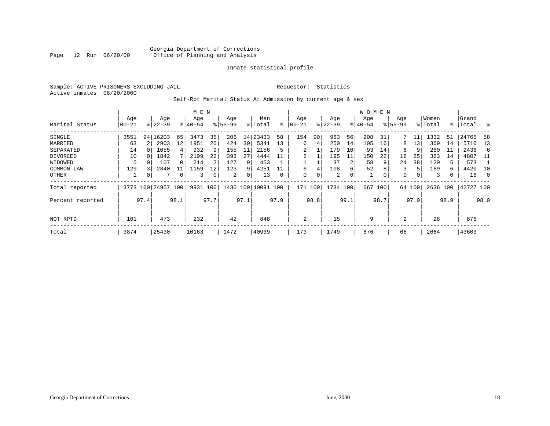#### Georgia Department of Corrections Office of Planning and Analysis

#### Inmate statistical profile

Sample: ACTIVE PRISONERS EXCLUDING JAIL **Requestor:** Statistics Active inmates 06/20/2000

#### Self-Rpt Marital Status At Admission by current age & sex

|                  |       | M E N |           |          |           |                 |          |      |           |      |         |      |           |      | W O M E N |      |             |        |          |      |           |         |
|------------------|-------|-------|-----------|----------|-----------|-----------------|----------|------|-----------|------|---------|------|-----------|------|-----------|------|-------------|--------|----------|------|-----------|---------|
|                  | Age   |       | Age       |          | Age       |                 | Age      |      | Men       |      | Age     |      | Age       |      | Age       |      | Age         |        | Women    |      | Grand     |         |
| Marital Status   | 00-21 |       | $8 22-39$ |          | $8 40-54$ |                 | $ 55-99$ |      | % Total   | ∻    | 00-21   |      | $ 22-39 $ |      | $ 40-54 $ |      | $8155 - 99$ |        | % Total  |      | %   Total | ႜ       |
| SINGLE           | 3551  | 94    | 16203     | 65       | 3473      | 35              | 206      | 14   | 23433     | 58   | 154     | 90   | 963       | 56   | 208       | 31   |             | 11     | 1332     | 51   | 24765     | 58      |
| MARRIED          | 63    |       | 2903      | 12       | 1951      | 20 <sup>1</sup> | 424      | 30   | 5341      | 13   | 6       | 4    | 250       | 14   | 105       | 16   | 8           | 13     | 369      | 14   | 5710      | 13      |
| SEPARATED        | 14    | O     | 1055      | 4        | 932       | 9               | 155      | 11   | 2156      | 5    |         |      | 179       | 10   | 93        | 14   | 6           | 9      | 280      | 11   | 2436      | - 6     |
| DIVORCED         | 10    |       | 1842      |          | 2199      | 22              | 393      | 27   | 4444      |      | 2       |      | 195       | 11   | 150       | 22   | 16          | 25     | 363      | 14   | 4807      | -11     |
| WIDOWED          | 5     |       | 107       | $\Omega$ | 214       |                 | 127      | 9    | 453       |      |         |      | 37        | 2    | 58        | 9    | 24          | 38     | 120      | 5    | 573       |         |
| COMMON LAW       | 129   |       | 2840      |          | 1159      | 12              | 123      | 9    | 4251      |      | 6       |      | 108       | 6    | 52        |      | 3           | 5      | 169      | 6    | 4420      | -10     |
| OTHER            |       | 0     |           | 0        | 3         |                 | 2        | 0    | 13        |      | 0       | 0    | 2         | 0    | 1         | 0    | 0           | 0      | 3        | 0    | 16        | $\circ$ |
| Total reported   | 3773  | 100   | 24957 100 |          | 9931      | 100             | 1430     |      | 100 40091 | 100  | 171 100 |      | 1734 100  |      | 667       | 100  |             | 64 100 | 2636 100 |      | 42727 100 |         |
| Percent reported |       | 97.4  |           | 98.1     |           | 97.7            |          | 97.1 |           | 97.9 |         | 98.8 |           | 99.1 |           | 98.7 |             | 97.0   |          | 98.9 |           | 98.0    |
|                  |       |       |           |          |           |                 |          |      |           |      |         |      |           |      |           |      |             |        |          |      |           |         |
| NOT RPTD         | 101   |       | 473       |          | 232       |                 | 42       |      | 848       |      | 2       |      | 15        |      | 9         |      | 2           |        | 28       |      | 876       |         |
| Total            | 3874  |       | 25430     |          | 10163     |                 | 1472     |      | 40939     |      | 173     |      | 1749      |      | 676       |      | 66          |        | 2664     |      | 43603     |         |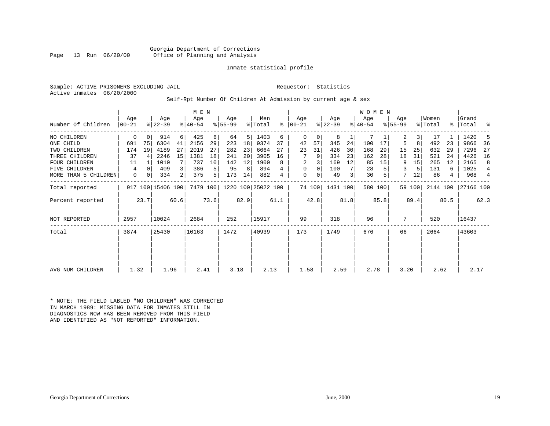Georgia Department of Corrections<br>Page 13 Run 06/20/00 office of Planning and Analysis Office of Planning and Analysis

#### Inmate statistical profile

Sample: ACTIVE PRISONERS EXCLUDING JAIL **Requestor:** Statistics Active inmates 06/20/2000

#### Self-Rpt Number Of Children At Admission by current age & sex

| Number Of Children   | Aqe<br>$ 00-21$ |          | Age<br>$ 22-39 $  |      | M E N<br>Age<br>$ 40-54 $ |      | Age<br>$ 55-99 $ |      | Men<br>% Total     | ∻    | Age<br>$ 00-21 $ |        | Age<br>$ 22-39 $ |      | <b>WOMEN</b><br>Age<br>$ 40-54 $ |         | Age<br>$8 55-99$ |        | Women<br>% Total | $\approx$ 1 | Grand<br>Total | ႜ              |
|----------------------|-----------------|----------|-------------------|------|---------------------------|------|------------------|------|--------------------|------|------------------|--------|------------------|------|----------------------------------|---------|------------------|--------|------------------|-------------|----------------|----------------|
| NO CHILDREN          | 0               | 0        | 914               | 6    | 425                       | 6    | 64               | 5    | 1403               | 6    | 0                | 0      | 8                |      |                                  |         | 2                | 3      | 17               |             | 1420           | 5              |
| ONE CHILD            | 691             | 75       | 6304              | 41   | 2156                      | 29   | 223              | 18   | 9374               | 37   | 42               | 57     | 345              | 24   | 100                              | 17      | 5                | 8      | 492              | 23          | 9866           | 36             |
| TWO CHILDREN         | 174             | 19       | 4189              | 27   | 2019                      | 27   | 282              | 23   | 6664               | 27   | 23               | 31     | 426              | 30   | 168                              | 29      | 15               | 25     | 632              | 29          | 7296           | 27             |
| THREE CHILDREN       | 37              |          | 2246              | 15   | 1381                      | 18   | 241              | 20   | 3905               | 16   |                  | 9      | 334              | 23   | 162                              | 28      | 18               | 31     | 521              | 24          | 4426           | 16             |
| <b>FOUR CHILDREN</b> | 11              |          | 1010              |      | 737                       | 10   | 142              | 12   | 1900               | 8    | 2                |        | 169              | 12   | 85                               | 15      | 9                | 15     | 265              | 12          | 2165           | 8              |
| FIVE CHILDREN        | 4               | $\Omega$ | 409               | 3    | 386                       | 5    | 95               | 8    | 894                |      | $\mathbf 0$      | 0      | 100              |      | 28                               |         | 3                |        | 131              | 6           | 1025           | $\overline{4}$ |
| MORE THAN 5 CHILDREN | 0               | 0        | 334               | 2    | 375                       | 5    | 173              | 14   | 882                | 4    | $\mathbf 0$      | 0      | 49               | 3    | 30                               | 5       | 7                | 12     | 86               | 4           | 968            | $\overline{4}$ |
| Total reported       |                 |          | 917 100 15406 100 |      | 7479 100                  |      |                  |      | 1220 100 25022 100 |      |                  | 74 100 | 1431 100         |      |                                  | 580 100 |                  | 59 100 | 2144 100         |             | 27166 100      |                |
| Percent reported     |                 | 23.7     |                   | 60.6 |                           | 73.6 |                  | 82.9 |                    | 61.1 |                  | 42.8   |                  | 81.8 |                                  | 85.8    |                  | 89.4   |                  | 80.5        |                | 62.3           |
| <b>NOT REPORTED</b>  | 2957            |          | 10024             |      | 2684                      |      | 252              |      | 15917              |      | 99               |        | 318              |      | 96                               |         | 7                |        | 520              |             | 16437          |                |
| Total                | 3874            |          | 25430             |      | 10163                     |      | 1472             |      | 40939              |      | 173              |        | 1749             |      | 676                              |         | 66               |        | 2664             |             | 43603          |                |
|                      |                 |          |                   |      |                           |      |                  |      |                    |      |                  |        |                  |      |                                  |         |                  |        |                  |             |                |                |
| AVG NUM CHILDREN     | 1.32            |          | 1.96              |      | 2.41                      |      | 3.18             |      | 2.13               |      | 1.58             |        | 2.59             |      | 2.78                             |         | 3.20             |        | 2.62             |             | 2.17           |                |

\* NOTE: THE FIELD LABLED "NO CHILDREN" WAS CORRECTED IN MARCH 1989: MISSING DATA FOR INMATES STILL IN DIAGNOSTICS NOW HAS BEEN REMOVED FROM THIS FIELD AND IDENTIFIED AS "NOT REPORTED" INFORMATION.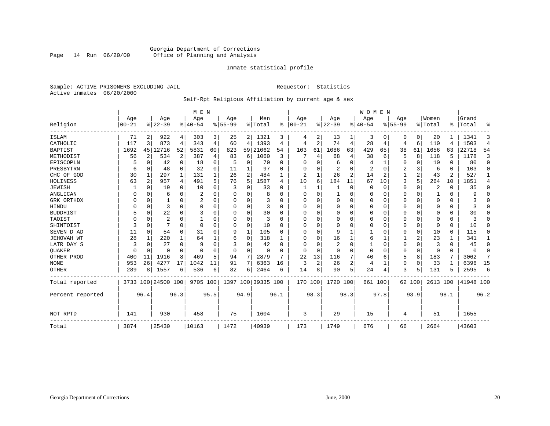#### Georgia Department of Corrections Page 14 Run 06/20/00 Office of Planning and Analysis

#### Inmate statistical profile

Sample: ACTIVE PRISONERS EXCLUDING JAIL **Requestor:** Statistics Active inmates 06/20/2000

#### Self-Rpt Religious Affiliation by current age & sex

|                  |           |                |                    |          | M E N     |          |             |                |                    |          |            |                |                |      | <b>WOMEN</b> |          |             |          |          |          |           |                |
|------------------|-----------|----------------|--------------------|----------|-----------|----------|-------------|----------------|--------------------|----------|------------|----------------|----------------|------|--------------|----------|-------------|----------|----------|----------|-----------|----------------|
|                  | Age       |                | Age                |          | Age       |          | Age         |                | Men                |          | Age        |                | Age            |      | Aqe          |          | Age         |          | Women    |          | Grand     |                |
| Religion         | $00 - 21$ |                | $8 22-39$          |          | $8 40-54$ |          | $8155 - 99$ |                | % Total            | ႜ        | $ 00 - 21$ |                | $ 22-39$       |      | $ 40-54$     |          | $8155 - 99$ |          | % Total  | ႜ        | Total     | ႜ              |
| ISLAM            | 71        | 2              | 922                | 4        | 303       | 3        | 25          | $\overline{2}$ | 1321               | 3        | 4          | 2              | 13             |      | 3            | 0        | 0           | 0        | 20       |          | 1341      | 3              |
| CATHOLIC         | 117       | 3              | 873                | 4        | 343       | 4        | 60          | 4              | 1393               | 4        | 4          | 2              | 74             | 4    | 28           | 4        | 4           | 6        | 110      | 4        | 1503      | $\overline{4}$ |
| <b>BAPTIST</b>   | 1692      | 45             | 12716              | 52       | 5831      | 60       | 823         | 59             | 21062              | 54       | 103        | 61             | 1086           | 63   | 429          | 65       | 38          | 61       | 1656     | 63       | 22718     | 54             |
| METHODIST        | 56        | $\overline{c}$ | 534                | 2        | 387       | 4        | 83          | 6              | 1060               | 3        |            | 4              | 68             | 4    | 38           | 6        | 5           | 8        | 118      | 5        | 1178      | 3              |
| EPISCOPLN        |           | $\Omega$       | 42                 | $\Omega$ | 18        | $\Omega$ | 5           | 0              | 70                 | $\Omega$ | U          |                | 6              | O    | 4            |          | 0           | O        | 10       | $\Omega$ | 80        | $\Omega$       |
| PRESBYTRN        | 6         | $\Omega$       | 48                 | $\Omega$ | 32        | $\Omega$ | 11          |                | 97                 | U        | U          |                | 2              | O    |              | $\Omega$ | 2           | 3        | 6        | $\Omega$ | 103       | $\Omega$       |
| CHC OF GOD       | 30        | 1              | 297                | 1        | 131       |          | 26          | 2              | 484                |          | 2          |                | 26             | 2    | 14           | 2        |             | 2        | 43       | 2        | 527       | 1              |
| HOLINESS         | 63        | 2              | 957                | 4        | 491       | 5        | 76          | 5              | 1587               | 4        | 10         | 6              | 184            | 11   | 67           | 10       | 3           | 5        | 264      | 10       | 1851      | 4              |
| JEWISH           |           | $\Omega$       | 19                 | $\Omega$ | 10        | $\Omega$ | 3           | U              | 33                 | $\Omega$ | 1          |                | 1              | 0    | 0            | $\Omega$ | 0           | $\Omega$ | 2        | $\Omega$ | 35        | $\Omega$       |
| ANGLICAN         |           | $\Omega$       | 6                  | $\Omega$ | 2         | $\Omega$ |             | 0              |                    | U        | $\Omega$   | O              |                | 0    | $\Omega$     | $\Omega$ | 0           | $\Omega$ |          | $\Omega$ | 9         | $\Omega$       |
| GRK ORTHDX       |           | $\Omega$       |                    | 0        | 2         |          |             | 0              | 3                  |          | 0          |                | $\Omega$       | 0    | $\Omega$     | 0        | 0           | $\Omega$ | $\Omega$ | $\Omega$ |           | O              |
| HINDU            |           | $\Omega$       | 3                  | $\Omega$ | $\Omega$  |          |             | $\Omega$       | 3                  | U        | 0          | U              | $\Omega$       | 0    | $\Omega$     | 0        | 0           | U        | $\Omega$ | $\Omega$ |           | U              |
| <b>BUDDHIST</b>  |           | $\Omega$       | 22                 | $\Omega$ | 3         |          |             | 0              | 30                 | U        | O          | U              | $\Omega$       | U    | 0            | O        | 0           | $\Omega$ | O        | 0        | 30        | U              |
| TAOIST           |           | $\Omega$       | $\overline{2}$     | O        |           |          |             | 0              | 3                  | n        | U          |                | 0              | U    | $\Omega$     | O        | 0           | $\Omega$ | $\Omega$ | $\Omega$ |           | U              |
| SHINTOIST        |           | $\Omega$       |                    | $\Omega$ | $\Omega$  | $\Omega$ | O           | 0              | 10                 | O        | U          | O              | $\overline{0}$ | U    | $\Omega$     | $\Omega$ | 0           | 0        | $\Omega$ | $\Omega$ | 10        | $\Omega$       |
| SEVEN D AD       | 11        | 0              | 54                 | 0        | 31        | O        | q           | 1              | 105                | U        | U          | O              | 9              |      |              | 0        | 0           | 0        | 10       | $\Omega$ | 115       | 0              |
| JEHOVAH WT       | 28        | 1              | 220                | 1        | 64        |          | 6           | 0              | 318                |          | U          | O              | 16             |      | 6            | 1        |             | 2        | 23       | 1        | 341       | 1              |
| LATR DAY S       |           | $\Omega$       | 27                 | 0        | 9         | $\Omega$ |             | 0              | 42                 | O        | U          |                | $\overline{2}$ | O    |              | 0        | 0           | $\Omega$ | 3        | $\Omega$ | 45        | 0              |
| QUAKER           |           | $\Omega$       | 0                  | $\Omega$ | $\Omega$  |          |             | 0              | $\Omega$           | O        | $\Omega$   | $\Omega$       | $\overline{0}$ | 0    | $\Omega$     | $\Omega$ | 0           | 0        | $\Omega$ | $\Omega$ | $\Omega$  | $\Omega$       |
| OTHER PROD       | 400       | 11             | 1916               | 8        | 469       | 5        | 94          | 7              | 2879               |          | 22         | 13             | 116            |      | 40           | 6        | 5           | 8        | 183      |          | 3062      | 7              |
| <b>NONE</b>      | 953       | 26             | 4277               | 17       | 1042      | 11       | 91          | 7              | 6363               | 16       | 3          | $\overline{2}$ | 26             | 2    | 4            | 1        | 0           | $\Omega$ | 33       |          | 6396      | 15             |
| <b>OTHER</b>     | 289       | 8              | 1557               | 6        | 536       | 6        | 82          | 6              | 2464               | 6        | 14         | 8              | 90             | 5    | 24           | 4        | 3           | 5        | 131      | 5        | 2595      | 6              |
| Total reported   |           |                | 3733 100 24500 100 |          | 9705 100  |          |             |                | 1397 100 39335 100 |          | 170 100    |                | 1720 100       |      | 661 100      |          |             | 62 100   | 2613 100 |          | 41948 100 |                |
| Percent reported |           | 96.4           |                    | 96.3     |           | 95.5     |             | 94.9           |                    | 96.1     |            | 98.3           |                | 98.3 |              | 97.8     |             | 93.9     |          | 98.1     |           | 96.2           |
| NOT RPTD         | 141       |                | 930                |          | 458       |          | 75          |                | 1604               |          | 3          |                | 29             |      | 15           |          | 4           |          | 51       |          | 1655      |                |
| Total            | 3874      |                | 25430              |          | 10163     |          | 1472        |                | 40939              |          | 173        |                | 1749           |      | 676          |          | 66          |          | 2664     |          | 43603     |                |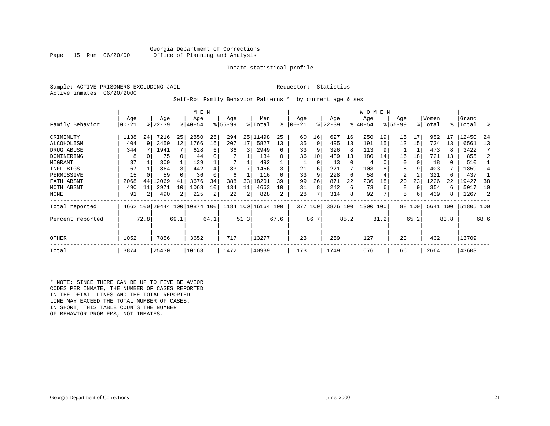#### Georgia Department of Corrections<br>Page 15 Run 06/20/00 office of Planning and Analysis Office of Planning and Analysis

#### Inmate statistical profile

|  |                           | Sample: ACTIVE PRISONERS EXCLUDING JAI |  |
|--|---------------------------|----------------------------------------|--|
|  | Active inmates 06/20/2000 |                                        |  |

IL Requestor: Statistics

#### Self-Rpt Family Behavior Patterns \* by current age & sex

|                  |            | M E N |                              |          |             |                |          |      |                    |      |           |          |           |      | W O M E N |      |             |        |          |          |           |                |
|------------------|------------|-------|------------------------------|----------|-------------|----------------|----------|------|--------------------|------|-----------|----------|-----------|------|-----------|------|-------------|--------|----------|----------|-----------|----------------|
|                  | Age        |       | Age                          |          | Age         |                | Age      |      | Men                |      | Age       |          | Age       |      | Age       |      | Age         |        | Women    |          | Grand     |                |
| Family Behavior  | $ 00 - 21$ |       | $ 22-39 $                    |          | $8140 - 54$ |                | $ 55-99$ |      | % Total            | ⊱    | $00 - 21$ |          | $ 22-39 $ |      | $ 40-54$  |      | $8155 - 99$ |        | % Total  |          | %   Total | ႜ              |
| CRIMINLTY        | 1138       | 24    | 7216                         | 25       | 2850        | 26             | 294      |      | 25 11498           | 25   | 60        | 16       | 627       | 16   | 250       | 19   | 15          | 17     | 952      | 17       | 12450     | 24             |
| ALCOHOLISM       | 404        | 9     | 3450                         | 12       | 1766        | 16             | 207      | 17   | 5827               | 13   | 35        | 9        | 495       | 13   | 191       | 15   | 13          | 15     | 734      | 13       | 6561      | 13             |
| DRUG ABUSE       | 344        |       | 1941                         |          | 628         | 6              | 36       | 3    | 2949               | 6    | 33        |          | 326       | 8    | 113       | 9    |             | 1      | 473      | 8        | 3422      | 7              |
| DOMINERING       | 8          | 0     | 75                           | $\Omega$ | 44          |                |          |      | 134                |      | 36        | 10       | 489       | 13   | 180       | 14   | 16          | 18     | 721      | 13       | 855       | 2              |
| MIGRANT          | 37         |       | 309                          |          | 139         |                |          |      | 492                |      |           | $\Omega$ | 13        | 0    | 4         |      |             | 0      | 18       | $\Omega$ | 510       |                |
| INFL BTGS        | 67         |       | 864                          | 3        | 442         |                | 83       | 7    | 1456               |      | 21        | 6        | 271       |      | 103       |      | 8           | 9      | 403      |          | 1859      | $\overline{4}$ |
| PERMISSIVE       | 15         |       | 59                           |          | 36          |                | 6        |      | 116                |      | 33        | 9        | 228       | 6    | 58        |      | 2           |        | 321      | 6        | 437       |                |
| FATH ABSNT       | 2068       | 44    | 12069                        | 41       | 3676        | 34             | 388      | 33   | 18201              | 39   | 99        | 26       | 871       | 22   | 236       | 18   | 20          | 23     | 1226     | 22       | 19427     | 38             |
| MOTH ABSNT       | 490        | 11    | 2971                         | 10       | 1068        | 10             | 134      | 11   | 4663               | 10   | 31        | 8        | 242       | 6    | 73        | 6    | 8           | 9      | 354      | 6        | 5017      | 10             |
| <b>NONE</b>      | 91         |       | 490                          | 2        | 225         | $\overline{2}$ | 22       | 2    | 828                | 2    | 28        |          | 314       | 8    | 92        | 7    | 5           | 6      | 439      | 8        | 1267      | 2              |
| Total reported   |            |       | 4662 100 29444 100 10874 100 |          |             |                |          |      | 1184 100 46164 100 |      | 377 100   |          | 3876 100  |      | 1300 100  |      |             | 88 100 | 5641 100 |          | 51805 100 |                |
| Percent reported |            | 72.8  |                              | 69.1     |             | 64.1           |          | 51.3 |                    | 67.6 |           | 86.7     |           | 85.2 |           | 81.2 |             | 65.2   |          | 83.8     |           | 68.6           |
| OTHER            | 1052       |       | 7856                         |          | 3652        |                | 717      |      | 13277              |      | 23        |          | 259       |      | 127       |      | 23          |        | 432      |          | 13709     |                |
| Total            | 3874       |       | 25430                        |          | 10163       |                | 1472     |      | 40939              |      | 173       |          | 1749      |      | 676       |      | 66          |        | 2664     |          | 43603     |                |

\* NOTE: SINCE THERE CAN BE UP TO FIVE BEHAVIOR CODES PER INMATE, THE NUMBER OF CASES REPORTED IN THE DETAIL LINES AND THE TOTAL REPORTED LINE MAY EXCEED THE TOTAL NUMBER OF CASES. IN SHORT, THIS TABLE COUNTS THE NUMBER OF BEHAVIOR PROBLEMS, NOT INMATES.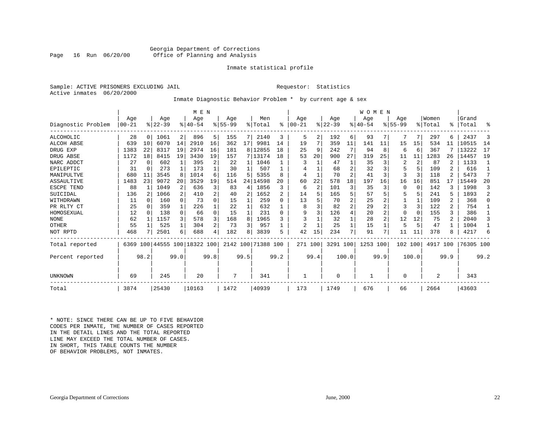#### Georgia Department of Corrections Office of Planning and Analysis

#### Inmate statistical profile

Sample: ACTIVE PRISONERS EXCLUDING JAIL **Requestor:** Statistics Active inmates 06/20/2000

#### Inmate Diagnostic Behavior Problem \* by current age & sex

|                    |                  |          |                  |              | M E N                   |                |                    |      |                            |           |                  |                |                 |                | WOMEN           |      |                  |          |                  |      |                 |                |
|--------------------|------------------|----------|------------------|--------------|-------------------------|----------------|--------------------|------|----------------------------|-----------|------------------|----------------|-----------------|----------------|-----------------|------|------------------|----------|------------------|------|-----------------|----------------|
| Diagnostic Problem | Age<br>$00 - 21$ |          | Age<br>$ 22-39 $ |              | Age<br>$8 40-54$        |                | Age<br>$8155 - 99$ |      | Men<br>$\frac{1}{2}$ Total | $\approx$ | Age<br>$00 - 21$ |                | Age<br>$ 22-39$ |                | Aqe<br>$ 40-54$ |      | Age<br>$8 55-99$ |          | Women<br>% Total | °≈   | Grand<br> Total | ዱ              |
| ALCOHOLIC          | 28               | $\Omega$ | 1061             | 2            | 896                     | 5              | 155                | 71   | 2140                       | 3         | 5                | 2              | 192             | 6              | 93              |      |                  | 7        | 297              |      | 2437            | 3              |
| <b>ALCOH ABSE</b>  | 639              | 10       | 6070             | 14           | 2910                    | 16             | 362                | 17   | 9981                       | 14        | 19               |                | 359             | 11             | 141             | 11   | 15               | 15       | 534              | 11   | 10515           | 14             |
| DRUG EXP           | 1383             | 22       | 8317             | 19           | 2974                    | 16             | 181                | 8    | 12855                      | 18        | 25               | 9              | 242             | 7              | 94              | 8    | 6                | 6        | 367              |      | 13222           | 17             |
| DRUG ABSE          | 1172             | 18       | 8415             | 19           | 3430                    | 19             | 157                |      | 7 13174                    | 18        | 53               | 20             | 900             | 27             | 319             | 25   | 11               | 11       | 1283             | 26   | 14457           | 19             |
| NARC ADDCT         | 27               | $\Omega$ | 602              | $\mathbf{1}$ | 395                     | 2              | 22                 | 1    | 1046                       |           |                  |                | 47              |                | 35              | 3    | 2                | 2        | 87               |      | 1133            | $\mathbf{1}$   |
| EPILEPTIC          | 31               | $\Omega$ | 273              |              | 173                     |                | 30                 |      | 507                        |           |                  |                | 68              | 2              | 32              | 3    | 5                | 5        | 109              |      | 616             |                |
| MANIPULTVE         | 680              | 11       | 3545             | 8            | 1014                    | 6              | 116                | 5    | 5355                       |           | 4                |                | 70              | 2              | 41              | 3    | 3                | 3        | 118              |      | 5473            | 7              |
| ASSAULTIVE         | 1483             | 23       | 9072             | 20           | 3529                    | 19             | 514                | 24 l | 14598                      | 20        | 60               | 22             | 578             | 18             | 197             | 16   | 16               | 16       | 851              | 17   | 15449           | 20             |
| ESCPE TEND         | 88               |          | 1049             | 2            | 636                     | 3              | 83                 | 4    | 1856                       | ζ         | 6                | $\overline{2}$ | 101             | 3              | 35              | 3    | 0                | $\Omega$ | 142              |      | 1998            | 3              |
| SUICIDAL           | 136              |          | 1066             | 2            | 410                     | 2              | 40                 | 2    | 1652                       |           | 14               |                | 165             | 5              | 57              |      | 5                | .5       | 241              |      | 1893            | $\overline{a}$ |
| WITHDRAWN          | 11               | $\Omega$ | 160              | 0            | 73                      | 0              | 15                 |      | 259                        |           | 13               |                | 70              | $\overline{2}$ | 25              |      |                  |          | 109              | 2    | 368             | $\Omega$       |
| PR RLTY CT         | 25               |          | 359              |              | 226                     |                | 22                 |      | 632                        |           | 8                |                | 82              | 2              | 29              |      | 3                | 3        | 122              | 2    | 754             |                |
| HOMOSEXUAL         | 12               | $\Omega$ | 138              | $\Omega$     | 66                      | $\Omega$       | 15                 |      | 231                        | O         | 9                |                | 126             | 4              | 20              |      | 0                | $\Omega$ | 155              | 3    | 386             |                |
| <b>NONE</b>        | 62               |          | 1157             | 3            | 578                     | 3              | 168                | 8    | 1965                       |           | 3                |                | 32              |                | 28              |      | 12               | 12       | 75               | 2    | 2040            | 3              |
| OTHER              | 55               |          | 525              | 1            | 304                     | $\overline{a}$ | 73                 | 3    | 957                        |           |                  |                | 25              |                | 15              |      | 5                | 5        | 47               |      | 1004            |                |
| NOT RPTD           | 468              |          | 2501             | 6            | 688                     |                | 182                | 8    | 3839                       | 5         | 42               | 15             | 234             | 7              | 91              | 7    | 11               | 11       | 378              |      | 4217            | 6              |
| Total reported     | 6369             |          |                  |              | 100 44555 100 18322 100 |                |                    |      | 2142 100 71388 100         |           | 271 100          |                | 3291 100        |                | 1253 100        |      | 102 100          |          | 4917             | 100  | 76305 100       |                |
| Percent reported   |                  | 98.2     |                  | 99.0         |                         | 99.8           |                    | 99.5 |                            | 99.2      |                  | 99.4           |                 | 100.0          |                 | 99.9 |                  | 100.0    |                  | 99.9 |                 | 99.2           |
| UNKNOWN            | 69               |          | 245              |              | 20                      |                | 7                  |      | 341                        |           |                  |                | $\Omega$        |                |                 |      | 0                |          | $\overline{2}$   |      | 343             |                |
| Total              | 3874             |          | 25430            |              | 10163                   |                | 1472               |      | 40939                      |           | 173              |                | 1749            |                | 676             |      | 66               |          | 2664             |      | 43603           |                |

\* NOTE: SINCE THERE CAN BE UP TO FIVE BEHAVIOR CODES PER INMATE, THE NUMBER OF CASES REPORTED IN THE DETAIL LINES AND THE TOTAL REPORTED LINE MAY EXCEED THE TOTAL NUMBER OF CASES.IN SHORT, THIS TABLE COUNTS THE NUMBER OF BEHAVIOR PROBLEMS, NOT INMATES.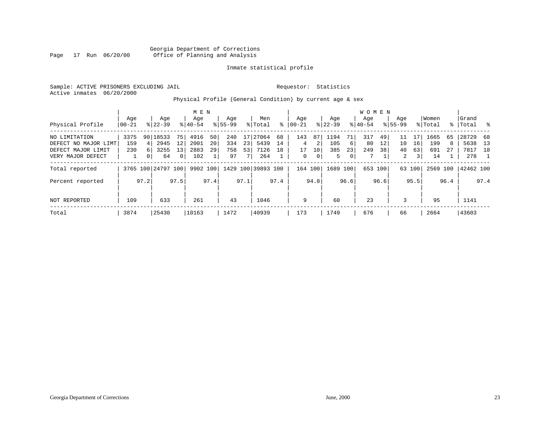#### Georgia Department of Corrections<br>Page 17 Run 06/20/00 office of Planning and Analysis Office of Planning and Analysis

#### Inmate statistical profile

Sample: ACTIVE PRISONERS EXCLUDING JAIL **Requestor:** Statistics Active inmates 06/20/2000

#### Physical Profile (General Condition) by current age & sex

|                      |           |                |                    |                | M E N     |      |             |      |                    |      |          |                |             |                | <b>WOMEN</b> |         |             |        |          |      |           |      |
|----------------------|-----------|----------------|--------------------|----------------|-----------|------|-------------|------|--------------------|------|----------|----------------|-------------|----------------|--------------|---------|-------------|--------|----------|------|-----------|------|
|                      | Age       |                | Age                |                | Age       |      | Age         |      | Men                |      | Age      |                | Age         |                | Age          |         | Age         |        | Women    |      | Grand     |      |
| Physical Profile     | $ 00-21 $ |                | $8 22-39$          |                | $8 40-54$ |      | $8155 - 99$ |      | % Total            | ៖    | 00-21    |                | $8$   22-39 |                | $8 40-54$    |         | $8155 - 99$ |        | % Total  |      | %   Total | း    |
| NO LIMITATION        | 3375      |                | 90 18533           | 75 I           | 4916      | 50   | 240         | 17   | 27064              | 68   | 143      | 87             | 1194        | 71             | 317          | 49      | 11          |        | 1665     | 65   | 28729     | 68   |
| DEFECT NO MAJOR LIMT | 159       | 4              | 2945               | 12             | 2001      | 20   | 334         | 23   | 5439               | 14   | 4        | 2              | 105         | 6 <sup>1</sup> | 80           | 12      | 10          | 16     | 199      | 8    | 5638      | - 13 |
| DEFECT MAJOR LIMIT   | 230       | 6 <sup>1</sup> | 3255               | 13             | 2883      | 29   | 758         | 53   | 7126               | 18   | 17       | 10             | 385         | 23             | 249          | 38      | 40          | 63     | 691      | 27   | 7817      | 18   |
| VERY MAJOR DEFECT    |           | 0 <sup>1</sup> | 64                 | 0 <sup>1</sup> | 102       |      | 97          | 7    | 264                |      | $\Omega$ | 0 <sup>1</sup> | 5.          | 0              |              |         | 2           | 3      | 14       |      | 278       |      |
| Total reported       |           |                | 3765 100 24797 100 |                | 9902 100  |      |             |      | 1429 100 39893 100 |      | 164 100  |                | 1689 100    |                |              | 653 100 |             | 63 100 | 2569 100 |      | 42462 100 |      |
| Percent reported     |           | 97.2           |                    | 97.5           |           | 97.4 |             | 97.1 |                    | 97.4 |          | 94.8           |             | 96.6           |              | 96.6    |             | 95.5   |          | 96.4 |           | 97.4 |
| NOT REPORTED         | 109       |                | 633                |                | 261       |      | 43          |      | 1046               |      | 9        |                | 60          |                | 23           |         | 3           |        | 95       |      | 1141      |      |
| Total                | 3874      |                | 25430              |                | 10163     |      | 1472        |      | 40939              |      | 173      |                | 1749        |                | 676          |         | 66          |        | 2664     |      | 43603     |      |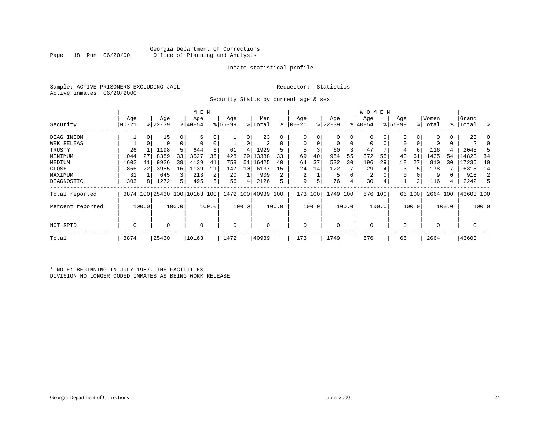#### Georgia Department of Corrections Office of Planning and Analysis

#### Inmate statistical profile

Sample: ACTIVE PRISONERS EXCLUDING JAIL **Requestor:** Statistics Active inmates 06/20/2000

Security Status by current age & sex

|                  | M E N |       |           |             |                              |       |             |       |                    |       |            |       |           |       | W O M E N   |          |             |          |          |       |             |          |
|------------------|-------|-------|-----------|-------------|------------------------------|-------|-------------|-------|--------------------|-------|------------|-------|-----------|-------|-------------|----------|-------------|----------|----------|-------|-------------|----------|
|                  | Age   |       | Age       |             | Age                          |       | Age         |       | Men                |       | Age        |       | Age       |       | Age         |          | Age         |          | Women    |       | Grand       |          |
| Security         | 00-21 |       | $ 22-39 $ |             | $ 40-54 $                    |       | $8 55-99$   |       | % Total            | ៖     | $ 00 - 21$ |       | $ 22-39 $ |       | $ 40-54 $   |          | $8155 - 99$ |          | % Total  |       | %   Total   | ႜ        |
| DIAG INCOM       |       | 0     | 15        | 0           | 6                            |       |             | 0     | 23                 |       | 0          |       | 0         | 0     | $\Omega$    |          | 0           | 0        |          |       | 23          | $\Omega$ |
| WRK RELEAS       |       | 0     | 0         | $\mathbf 0$ | $\Omega$                     | 0     |             | 0     | 2                  |       | $\Omega$   |       | 0         | 0     | 0           | $\Omega$ | 0           | $\Omega$ |          |       |             |          |
| TRUSTY           | 26    |       | 1198      | 5           | 644                          | 6     | 61          | 4     | 1929               | 5     | 5          |       | 60        | 3     | 47          |          | 4           | 6        | 116      |       | 2045        | 5        |
| MINIMUM          | 1044  | 27    | 8389      | 33          | 3527                         | 35    | 428         | ا 29  | 13388              | 33    | 69         | 40    | 954       | 55    | 372         | 55       | 40          | 61       | 1435     | 54    | 14823       | 34       |
| MEDIUM           | 1602  | 41    | 9926      | 39          | 4139                         | 41    | 758         | 51 I  | 16425              | 40    | 64         | 37    | 532       | 30    | 196         | 29       | 18          | 27       | 810      | 30    | 17235       | 40       |
| CLOSE            | 866   | 22    | 3985      | 16          | 1139                         |       | 147         | 10    | 6137               | 15    | 24         | 14    | 122       |       | 29          |          |             | 5        | 178      |       | 6315        | 14       |
| MAXIMUM          | 31    |       | 645       | 3           | 213                          |       | 20          |       | 909                | 2     | 2          |       | 5         | 0     | 2           |          | 0           |          | 9        |       | 918         | 2        |
| DIAGNOSTIC       | 303   | 8     | 1272      | 5           | 495                          |       | 56          | 4     | 2126               |       | 9          | 5     | 76        | 4     | 30          | 4        |             |          | 116      |       | 2242        | 5        |
| Total reported   |       |       |           |             | 3874 100 25430 100 10163 100 |       |             |       | 1472 100 40939 100 |       | 173        | 100   | 1749 100  |       | 676 100     |          |             | 66 100   | 2664 100 |       | 43603 100   |          |
| Percent reported |       | 100.0 |           | 100.0       |                              | 100.0 |             | 100.0 |                    | 100.0 |            | 100.0 |           | 100.0 |             | 100.0    |             | 100.0    |          | 100.0 |             | 100.0    |
| NOT RPTD         | 0     |       | 0         |             | $\mathbf 0$                  |       | $\mathbf 0$ |       |                    |       | $\Omega$   |       | 0         |       | $\mathbf 0$ |          | $\Omega$    |          | $\Omega$ |       | $\mathbf 0$ |          |
| Total            | 3874  |       | 25430     |             | 10163                        |       | 1472        |       | 40939              |       | 173        |       | 1749      |       | 676         |          | 66          |          | 2664     |       | 43603       |          |

\* NOTE: BEGINNING IN JULY 1987, THE FACILITIES DIVISION NO LONGER CODED INMATES AS BEING WORK RELEASE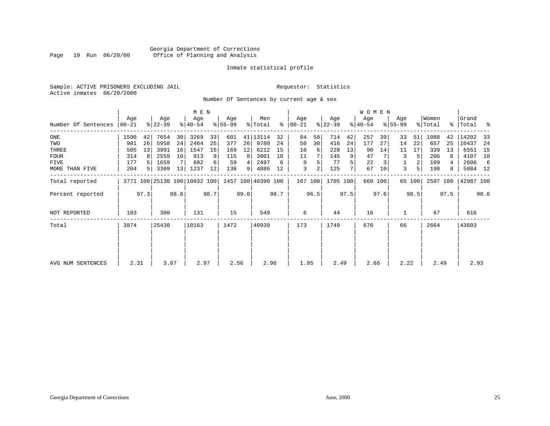#### Georgia Department of Corrections Page 19 Run 06/20/00 Office of Planning and Analysis

#### Inmate statistical profile

Sample: ACTIVE PRISONERS EXCLUDING JAIL **Requestor:** Statistics Active inmates 06/20/2000

Number Of Sentences by current age & sex

|                     |           |      |           |      | M E N       |      |           |                |                                                 |      |               |         |           |      | <b>WOMEN</b> |         |             |                |          |      |           |      |
|---------------------|-----------|------|-----------|------|-------------|------|-----------|----------------|-------------------------------------------------|------|---------------|---------|-----------|------|--------------|---------|-------------|----------------|----------|------|-----------|------|
|                     | Aqe       |      | Age       |      | Age         |      | Age       |                | Men                                             |      | Age           |         | Age       |      | Age          |         | Age         |                | Women    |      | Grand     |      |
| Number Of Sentences | $ 00-21 $ |      | $8 22-39$ |      | $8140 - 54$ |      | $8 55-99$ |                | % Total                                         |      | $8   00 - 21$ |         | $ 22-39 $ |      | $ 40-54 $    |         | $8155 - 99$ |                | % Total  |      | %   Total | ႜ    |
| ONE                 | 1590      | 42   | 7654      | 30   | 3269        | 33   | 601       |                | 41   13114                                      | 32   | 84            | 50      | 714       | 42   | 257          | 39      | 33          | 51             | 1088     | 42   | 14202     | 33   |
| TWO                 | 981       | 26   | 5958      | 24   | 2464        | 25   | 377       | 26             | 9780                                            | 24   | 50            | 30      | 416       | 24   | 177          | 27      | 14          | 22             | 657      | 25   | 10437     | 24   |
| THREE               | 505       | 13   | 3991      | 16   | 1547        | 15   | 169       | 12             | 6212                                            | 15   | 10            | 6       | 228       | 13   | 90           | 14      | 11          | 17             | 339      | 13   | 6551      | 15   |
| <b>FOUR</b>         | 314       | 8    | 2559      | 10   | 913         | 9    | 115       | 8              | 3901                                            | 10   | 11            |         | 145       | 9    | 47           |         | 3           | 5              | 206      | 8    | 4107      | 10   |
| <b>FIVE</b>         | 177       |      | 1659      |      | 602         | 6    | 59        | 4              | 2497                                            | 6    | 9             | 5       | 77        | 5    | 22           |         |             | $\overline{2}$ | 109      | 4    | 2606      | 6    |
| MORE THAN FIVE      | 204       |      | 3309      | 13   | 1237        | 12   | 136       | 9 <sup>1</sup> | 4886                                            | 12   | 3             | 2       | 125       |      | 67           | 10      | 3           | 5              | 198      | 8    | 5084 12   |      |
| Total reported      |           |      |           |      |             |      |           |                | 3771 100 25130 100 10032 100 1457 100 40390 100 |      |               | 167 100 | 1705 100  |      |              | 660 100 |             | 65 100         | 2597 100 |      | 42987 100 |      |
| Percent reported    |           | 97.3 |           | 98.8 |             | 98.7 |           | 99.0           |                                                 | 98.7 |               | 96.5    |           | 97.5 |              | 97.6    |             | 98.5           |          | 97.5 |           | 98.6 |
| <b>NOT REPORTED</b> | 103       |      | 300       |      | 131         |      | 15        |                | 549                                             |      | 6             |         | 44        |      | 16           |         |             |                | 67       |      | 616       |      |
| Total               | 3874      |      | 25430     |      | 10163       |      | 1472      |                | 40939                                           |      | 173           |         | 1749      |      | 676          |         | 66          |                | 2664     |      | 43603     |      |
|                     |           |      |           |      |             |      |           |                |                                                 |      |               |         |           |      |              |         |             |                |          |      |           |      |
| AVG NUM SENTENCES   | 2.31      |      | 3.07      |      | 2.97        |      | 2.56      |                | 2.96                                            |      | 1.95          |         | 2.49      |      | 2.66         |         | 2.22        |                | 2.49     |      | 2.93      |      |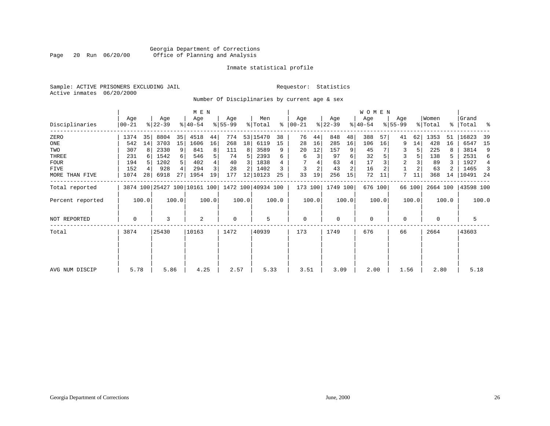#### Georgia Department of Corrections Page 20 Run 06/20/00 Office of Planning and Analysis

#### Inmate statistical profile

Sample: ACTIVE PRISONERS EXCLUDING JAIL **Requestor:** Statistics Active inmates 06/20/2000

Number Of Disciplinaries by current age & sex

|                     |                   |                 |                  |       |                              | M E N |                 |       |                    |       |                  |       |                  |                | <b>WOMEN</b>     |       |                    |        |                  |       |                    |       |
|---------------------|-------------------|-----------------|------------------|-------|------------------------------|-------|-----------------|-------|--------------------|-------|------------------|-------|------------------|----------------|------------------|-------|--------------------|--------|------------------|-------|--------------------|-------|
| Disciplinaries      | Age<br>$ 00 - 21$ |                 | Age<br>$ 22-39 $ |       | Age<br>$ 40-54 $             |       | Age<br>$ 55-99$ |       | Men<br>% Total     | ႜ     | Age<br>$00 - 21$ |       | Age<br>$ 22-39 $ |                | Age<br>$ 40-54 $ |       | Age<br>$8155 - 99$ |        | Women<br>% Total |       | Grand<br>%   Total | ႜ     |
| ZERO                | 1374              | 35              | 8804             | 35    | 4518                         | 44    | 774             |       | 53 15470           | 38    | 76               | 44    | 848              | 48             | 388              | 57    | 41                 | 62     | 1353             | 51    | 16823              | 39    |
| ONE                 | 542               | 14              | 3703             | 15    | 1606                         | 16    | 268             | 18    | 6119               | 15    | 28               | 16    | 285              | 16             | 106              | 16    | 9                  | 14     | 428              | 16    | 6547               | 15    |
| TWO                 | 307               | 8               | 2330             | 9     | 841                          | 8     | 111             | 8     | 3589               | 9     | 20               | 12    | 157              |                | 45               |       | 3                  |        | 225              |       | 3814               | 9     |
| THREE               | 231               |                 | 1542             | 6     | 546                          |       | 74              |       | 2393               | 6     | 6                | 3     | 97               | 6              | 32               |       | 3                  |        | 138              | 5     | 2531               | 6     |
| <b>FOUR</b>         | 194               |                 | 1202             |       | 402                          |       | 40              | 3     | 1838               |       |                  |       | 63               |                | 17               |       | $\overline{2}$     |        | 89               | 3     | 1927               | 4     |
| FIVE                | 152               |                 | 928              |       | 294                          |       | 28              |       | 1402               |       | 3                | 2     | 43               | $\overline{2}$ | 16               |       |                    |        | 63               |       | 1465               | -3    |
| MORE THAN FIVE      | 1074              | 28 <sub>1</sub> | 6918             | 27    | 1954                         | 19    | 177             |       | 12 10123           | 25    | 33               | 19    | 256              | 15             | 72               | 11    | 7                  | 11     | 368              | 14    | 10491              | - 24  |
| Total reported      |                   |                 |                  |       | 3874 100 25427 100 10161 100 |       |                 |       | 1472 100 40934 100 |       | 173 100          |       | 1749 100         |                | 676 100          |       |                    | 66 100 | 2664 100         |       | 43598 100          |       |
| Percent reported    |                   | 100.0           |                  | 100.0 |                              | 100.0 |                 | 100.0 |                    | 100.0 |                  | 100.0 |                  | 100.0          |                  | 100.0 |                    | 100.0  |                  | 100.0 |                    | 100.0 |
| <b>NOT REPORTED</b> | $\mathbf 0$       |                 | 3                |       | 2                            |       | $\mathbf 0$     |       | 5                  |       | $\mathbf{0}$     |       | $\mathbf 0$      |                | $\mathbf 0$      |       | 0                  |        | $\Omega$         |       | 5                  |       |
| Total               | 3874              |                 | 25430            |       | 10163                        |       | 1472            |       | 40939              |       | 173              |       | 1749             |                | 676              |       | 66                 |        | 2664             |       | 43603              |       |
|                     |                   |                 |                  |       |                              |       |                 |       |                    |       |                  |       |                  |                |                  |       |                    |        |                  |       |                    |       |
| AVG NUM DISCIP      | 5.78              |                 | 5.86             |       | 4.25                         |       | 2.57            |       | 5.33               |       | 3.51             |       | 3.09             |                | 2.00             |       | 1.56               |        | 2.80             |       | 5.18               |       |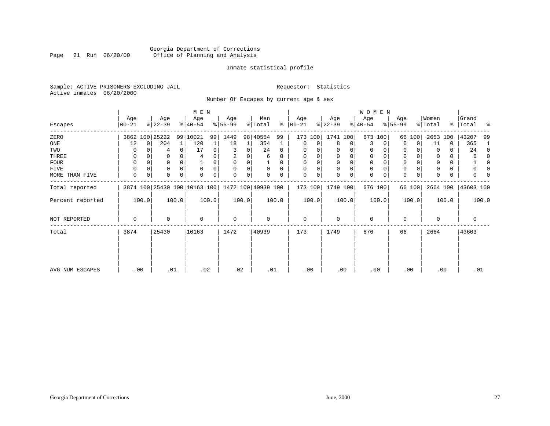#### Georgia Department of Corrections<br>Page 21 Run 06/20/00 Office of Planning and Analysis Page 21 Run 06/20/00 Office of Planning and Analysis

#### Inmate statistical profile

Sample: ACTIVE PRISONERS EXCLUDING JAIL **Requestor:** Statistics Active inmates 06/20/2000

Number Of Escapes by current age & sex

|                  |                    |          |                  |       | M E N                                           |       |                 |             |                |          |                  |       |                  |       | WOMEN            |          |                  |          |                  |       |                    |       |
|------------------|--------------------|----------|------------------|-------|-------------------------------------------------|-------|-----------------|-------------|----------------|----------|------------------|-------|------------------|-------|------------------|----------|------------------|----------|------------------|-------|--------------------|-------|
| Escapes          | Age<br>$ 00 - 21 $ |          | Age<br>$ 22-39 $ |       | Age<br>$ 40-54 $                                |       | Age<br>$ 55-99$ |             | Men<br>% Total | ∻        | Age<br>$00 - 21$ |       | Age<br>$ 22-39 $ |       | Age<br>$ 40-54 $ |          | Age<br>$8 55-99$ |          | Women<br>% Total |       | Grand<br>%   Total | ႜ     |
| ZERO             |                    |          | 3862 100 25222   |       | 99 10021                                        | 99    | 1449            |             | 98 40554       | 99       | 173              | 100   | 1741 100         |       | 673              | 100      |                  | 66 100   | 2653 100         |       | 43207              | 99    |
| ONE              | 12                 | $\Omega$ | 204              | 1     | 120                                             |       | 18              | 1           | 354            |          | 0                | 0     | 8                | 0     | 3                | $\Omega$ | $\Omega$         | $\Omega$ | 11               | 0     | 365                | -1    |
| TWO              | 0                  |          | 4                |       | 17                                              | 0     | 3               | 0           | 24             | $\Omega$ | 0                |       | $\Omega$         | 0     | 0                |          | 0                |          |                  | 0     | 24                 | 0     |
| THREE            | 0                  |          | 0                |       | 4                                               |       | 2               |             | 6              | 0        | 0                |       | $\mathbf 0$      |       | $\mathbf 0$      |          | 0                |          |                  | 0     | 6                  | 0     |
| FOUR             | 0                  |          | 0                |       |                                                 | 0     | 0               | 0           |                | $\Omega$ | 0                |       | $\Omega$         | 0     | $\mathbf 0$      | $\Omega$ | 0                |          | $\Omega$         | 0     |                    | 0     |
| FIVE             | $\Omega$           |          | 0                |       | $\mathbf 0$                                     | 0     | $\Omega$        | 0           | 0              | $\Omega$ | 0                |       | $\Omega$         | 0     | $\mathbf 0$      |          | 0                |          |                  | 0     | 0                  |       |
| MORE THAN FIVE   | 0                  | $\Omega$ | 0                | 0     | $\mathbf 0$                                     | 0     | 0               | $\mathbf 0$ | 0              | 0        | $\mathbf 0$      | 0     | $\mathbf 0$      | 0     | $\mathbf 0$      | 0        | $\mathbf 0$      | 0        |                  | 0     | U                  |       |
| Total reported   |                    |          |                  |       | 3874 100 25430 100 10163 100 1472 100 40939 100 |       |                 |             |                |          | 173 100          |       | 1749 100         |       |                  | 676 100  |                  | 66 100   | 2664 100         |       | 43603 100          |       |
| Percent reported |                    | 100.0    |                  | 100.0 |                                                 | 100.0 |                 | 100.0       |                | 100.0    |                  | 100.0 |                  | 100.0 |                  | 100.0    |                  | 100.0    |                  | 100.0 |                    | 100.0 |
| NOT REPORTED     | 0                  |          | 0                |       | $\mathbf 0$                                     |       | 0               |             | 0              |          | $\mathbf{0}$     |       | $\Omega$         |       | $\mathbf 0$      |          | 0                |          | $\Omega$         |       | 0                  |       |
| Total            | 3874               |          | 25430            |       | 10163                                           |       | 1472            |             | 40939          |          | 173              |       | 1749             |       | 676              |          | 66               |          | 2664             |       | 43603              |       |
|                  |                    |          |                  |       |                                                 |       |                 |             |                |          |                  |       |                  |       |                  |          |                  |          |                  |       |                    |       |
|                  |                    |          |                  |       |                                                 |       |                 |             |                |          |                  |       |                  |       |                  |          |                  |          |                  |       |                    |       |
| AVG NUM ESCAPES  |                    | .00      | .01              |       | .02                                             |       | .02             |             | .01            |          | .00              |       | .00              |       |                  | .00      |                  | .00      | .00              |       | .01                |       |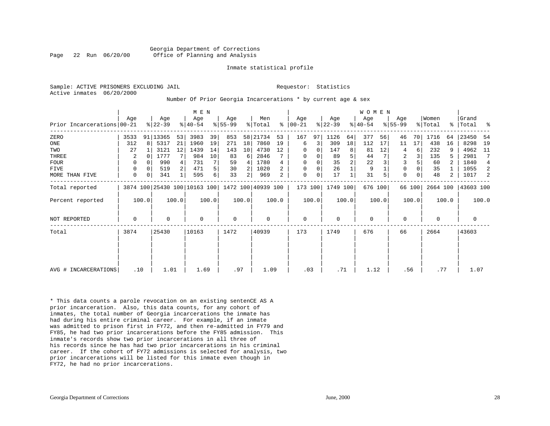#### Georgia Department of Corrections Page 22 Run 06/20/00 Office of Planning and Analysis

#### Inmate statistical profile

Active inmates 06/20/2000

Sample: ACTIVE PRISONERS EXCLUDING JAIL **Requestor:** Statistics

#### Number Of Prior Georgia Incarcerations \* by current age & sex

|                            | Aqe<br>Age  |       |           |       | M E N<br>Age                                    |       | Age       |       | Men      |       | Age         |       | Age       |       | WOMEN<br>Age |         | Age         |        | Women    |                | Grand     |       |
|----------------------------|-------------|-------|-----------|-------|-------------------------------------------------|-------|-----------|-------|----------|-------|-------------|-------|-----------|-------|--------------|---------|-------------|--------|----------|----------------|-----------|-------|
| Prior Incarcerations 00-21 |             |       | $ 22-39 $ |       | $ 40-54 $                                       |       | $8 55-99$ |       | % Total  | ွေ    | 00-21       |       | $ 22-39 $ |       | $ 40-54 $    |         | $8155 - 99$ |        | % Total  | $\frac{1}{6}$  | Total     | - 옹   |
| ZERO                       | 3533        |       | 91 13365  | 53    | 3983                                            | 39    | 853       |       | 58 21734 | 53    | 167         | 97    | 1126      | 64    | 377          | 56      | 46          | 70     | 1716     | 64             | 23450     | -54   |
| ONE                        | 312         | 8     | 5317      | 21    | 1960                                            | 19    | 271       | 18    | 7860     | 19    | 6           | 3     | 309       | 18    | 112          | 17      | 11          | 17     | 438      | 16             | 8298      | 19    |
| TWO                        | 27          |       | 3121      | 12    | 1439                                            | 14    | 143       | 10    | 4730     | 12    | 0           | 0     | 147       | 8     | 81           | 12      | 4           | 6      | 232      | 9              | 4962      | 11    |
| THREE                      | 2           |       | 1777      |       | 984                                             | 10    | 83        | 6     | 2846     |       | 0           | 0     | 89        | 5     | 44           |         | 2           |        | 135      | 5              | 2981      | 7     |
| <b>FOUR</b>                | 0           | O     | 990       |       | 731                                             |       | 59        | 4     | 1780     |       | 0           |       | 35        | 2     | 22           |         | 3           |        | 60       | 2              | 1840      | 4     |
| <b>FIVE</b>                | $\mathbf 0$ |       | 519       |       | 471                                             | 5     | 30        | 2     | 1020     |       | 0           | 0     | 26        |       | 9            |         | 0           |        | 35       |                | 1055      | 2     |
| MORE THAN FIVE             | 0           | 0     | 341       |       | 595                                             | 6     | 33        | 2     | 969      | 2     | $\mathbf 0$ | 0     | 17        |       | 31           | 5       | $\mathbf 0$ | 0      | 48       | $\overline{2}$ | 1017      | 2     |
| Total reported             |             |       |           |       | 3874 100 25430 100 10163 100 1472 100 40939 100 |       |           |       |          |       | 173 100     |       | 1749 100  |       |              | 676 100 |             | 66 100 | 2664 100 |                | 43603 100 |       |
| Percent reported           |             | 100.0 |           | 100.0 |                                                 | 100.0 |           | 100.0 |          | 100.0 |             | 100.0 |           | 100.0 |              | 100.0   |             | 100.0  |          | 100.0          |           | 100.0 |
| <b>NOT REPORTED</b>        | $\mathbf 0$ |       | $\Omega$  |       | $\mathbf 0$                                     |       | 0         |       | 0        |       | 0           |       | $\Omega$  |       | $\mathbf 0$  |         | $\mathbf 0$ |        | 0        |                | 0         |       |
| Total                      | 3874        |       | 25430     |       | 10163                                           |       | 1472      |       | 40939    |       | 173         |       | 1749      |       | 676          |         | 66          |        | 2664     |                | 43603     |       |
|                            |             |       |           |       |                                                 |       |           |       |          |       |             |       |           |       |              |         |             |        |          |                |           |       |
|                            |             |       |           |       |                                                 |       |           |       |          |       |             |       |           |       |              |         |             |        |          |                |           |       |
| AVG # INCARCERATIONS       | .10         |       | 1.01      |       | 1.69                                            |       | .97       |       | 1.09     |       | .03         |       | .71       |       | 1.12         |         | .56         |        | .77      |                | 1.07      |       |

\* This data counts a parole revocation on an existing sentenCE AS A prior incarceration. Also, this data counts, for any cohort of inmates, the total number of Georgia incarcerations the inmate has had during his entire criminal career. For example, if an inmate was admitted to prison first in FY72, and then re-admitted in FY79 and FY85, he had two prior incarcerations before the FY85 admission. This inmate's records show two prior incarcerations in all three of his records since he has had two prior incarcerations in his criminal career. If the cohort of FY72 admissions is selected for analysis, two prior incarcerations will be listed for this inmate even though in FY72, he had no prior incarcerations.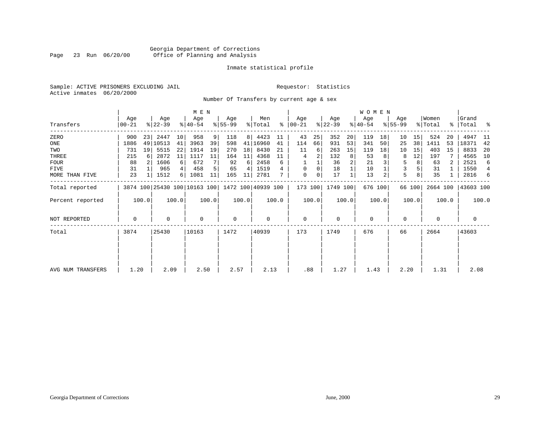#### Georgia Department of Corrections Page 23 Run 06/20/00 Office of Planning and Analysis

#### Inmate statistical profile

Sample: ACTIVE PRISONERS EXCLUDING JAIL **Requestor:** Statistics Active inmates 06/20/2000

Number Of Transfers by current age & sex

|                     |                 |       |                  |       | M E N                                           |       |                 |                |                            |       |                    |       |                  |       | W O M E N        |       |                  |        |                  |       |                    |       |
|---------------------|-----------------|-------|------------------|-------|-------------------------------------------------|-------|-----------------|----------------|----------------------------|-------|--------------------|-------|------------------|-------|------------------|-------|------------------|--------|------------------|-------|--------------------|-------|
| Transfers           | Age<br>$ 00-21$ |       | Age<br>$ 22-39 $ |       | Age<br>$ 40-54 $                                |       | Age<br>$ 55-99$ |                | Men<br>$\frac{1}{2}$ Total | ွေ    | Age<br>$ 00 - 21 $ |       | Age<br>$ 22-39 $ |       | Age<br>$ 40-54 $ |       | Age<br>$8 55-99$ |        | Women<br>% Total |       | Grand<br>% Total % |       |
| ZERO                | 900             | 23    | 2447             | 10    | 958                                             | 9     | 118             | 8 <sup>1</sup> | 4423                       | 11    | 43                 | 25    | 352              | 20    | 119              | 18    | 10               | 15     | 524              | 20    | 4947               | -11   |
| ONE                 | 1886            |       | 49   10513       | 41    | 3963                                            | 39    | 598             |                | 41 16960                   | 41    | 114                | 66    | 931              | 53    | 341              | 50    | 25               | 38     | 1411             | 53    | 18371              | 42    |
| TWO                 | 731             | 19    | 5515             | 22    | 1914                                            | 19    | 270             | 18             | 8430                       | 21    | 11                 | 6     | 263              | 15    | 119              | 18    | 10               | 15     | 403              | 15    | 8833               | 20    |
| THREE               | 215             |       | 2872             | 11    | 1117                                            | 11    | 164             | 11             | 4368                       | 11    | 4                  |       | 132              | 8     | 53               |       | 8                | 12     | 197              |       | 4565               | 10    |
| <b>FOUR</b>         | 88              |       | 1606             | 6     | 672                                             |       | 92              | 6              | 2458                       | 6     |                    |       | 36               |       | 21               |       | 5                | 8      | 63               |       | 2521               | 6     |
| FIVE                | 31              |       | 965              |       | 458                                             |       | 65              | 4              | 1519                       |       | 0                  | 0     | 18               |       | 10               |       | 3                |        | 31               |       | 1550               | 4     |
| MORE THAN FIVE      | 23              |       | 1512             | 6     | 1081                                            | 11    | 165             | 11             | 2781                       |       | $\mathbf{0}$       | 0     | 17               |       | 13               |       | 5                | 8      | 35               |       | 2816               | 6     |
| Total reported      |                 |       |                  |       | 3874 100 25430 100 10163 100 1472 100 40939 100 |       |                 |                |                            |       | 173 100            |       | 1749 100         |       | 676 100          |       |                  | 66 100 | 2664 100         |       | 43603 100          |       |
| Percent reported    |                 | 100.0 |                  | 100.0 |                                                 | 100.0 |                 | 100.0          |                            | 100.0 |                    | 100.0 |                  | 100.0 |                  | 100.0 |                  | 100.0  |                  | 100.0 |                    | 100.0 |
| <b>NOT REPORTED</b> | 0               |       | 0                |       | $\mathbf 0$                                     |       | 0               |                | 0                          |       | $\mathbf{0}$       |       | $\mathbf 0$      |       | $\mathbf 0$      |       | 0                |        | $\Omega$         |       | $\mathbf 0$        |       |
| Total               | 3874            |       | 25430            |       | 10163                                           |       | 1472            |                | 40939                      |       | 173                |       | 1749             |       | 676              |       | 66               |        | 2664             |       | 43603              |       |
|                     |                 |       |                  |       |                                                 |       |                 |                |                            |       |                    |       |                  |       |                  |       |                  |        |                  |       |                    |       |
|                     |                 |       |                  |       |                                                 |       |                 |                |                            |       |                    |       |                  |       |                  |       |                  |        |                  |       |                    |       |
| AVG NUM TRANSFERS   | 1.20            |       | 2.09             |       | 2.50                                            |       | 2.57            |                | 2.13                       |       | .88                |       | 1.27             |       | 1.43             |       | 2.20             |        | 1.31             |       | 2.08               |       |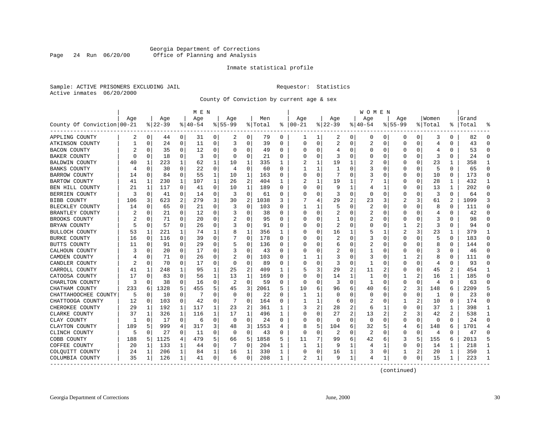#### Georgia Department of Corrections<br>Page 24 Run 06/20/00 Office of Planning and Analysis Page 24 Run 06/20/00 Office of Planning and Analysis

#### Inmate statistical profile

Sample: ACTIVE PRISONERS EXCLUDING JAIL **Requestor:** Statistics Active inmates 06/20/2000

County Of Conviction by current age & sex

|                            |              |             |          |              | M E N       |          |             |                |         |              |            |          |                |          | W O M E N |              |             |             |         |              |       |              |
|----------------------------|--------------|-------------|----------|--------------|-------------|----------|-------------|----------------|---------|--------------|------------|----------|----------------|----------|-----------|--------------|-------------|-------------|---------|--------------|-------|--------------|
|                            | Age          |             | Age      |              | Age         |          | Age         |                | Men     |              | Age        |          | Aqe            |          | Aqe       |              | Aqe         |             | Women   |              | Grand |              |
| County Of Conviction 00-21 |              |             | $ 22-39$ |              | $8140 - 54$ |          | $8155 - 99$ |                | % Total | ႜ            | $ 00 - 21$ |          | $ 22-39$       |          | $ 40-54$  |              | $8155 - 99$ |             | % Total | ៖            | Total |              |
| APPLING COUNTY             | 2            | 0           | 44       | 0            | 31          | 0        | 2           | 0              | 79      | 0            |            |          | 2              | 0        | 0         | 0            | 0           | 0           | 3       | $\Omega$     | 82    | $\Omega$     |
| ATKINSON COUNTY            | $\mathbf{1}$ | $\mathbf 0$ | 24       | $\mathbf 0$  | 11          | 0        | 3           | $\mathbf 0$    | 39      | $\Omega$     | $\Omega$   | $\Omega$ | $\overline{2}$ | 0        | 2         | 0            | 0           | 0           | 4       | $\Omega$     | 43    | $\Omega$     |
| <b>BACON COUNTY</b>        |              | 0           | 35       | $\Omega$     | 12          | 0        | O           | 0              | 49      | 0            | $\Omega$   | $\Omega$ | 4              | 0        |           | 0            | 0           | 0           | 4       | $\Omega$     | 53    | $\Omega$     |
| <b>BAKER COUNTY</b>        |              | 0           | 18       | 0            | 3           | 0        | $\Omega$    | 0              | 21      | 0            |            |          | 3              | 0        |           | $\Omega$     | C           | 0           | 3       | $\Omega$     | 24    | 0            |
| <b>BALDWIN COUNTY</b>      | 40           | 1           | 223      | 1            | 62          | 1        | 10          | 1              | 335     | $\mathbf{1}$ |            |          | 19             |          |           | $\Omega$     | Λ           | $\Omega$    | 23      |              | 358   | 1            |
| <b>BANKS COUNTY</b>        | 4            | 0           | 30       | 0            | 22          | 0        | 4           | 0              | 60      | 0            |            |          | -1             | 0        | 3         | $\Omega$     | 0           | 0           | 5       | $\Omega$     | 65    | $\Omega$     |
| <b>BARROW COUNTY</b>       | 14           | 0           | 84       | $\mathbf 0$  | 55          | 1        | 10          | $\mathbf 1$    | 163     | $\Omega$     | $\Omega$   | $\Omega$ | 7              | 0        | 3         | $\Omega$     | 0           | 0           | 10      | $\Omega$     | 173   | $\Omega$     |
| BARTOW COUNTY              | 41           | 1           | 230      | $\mathbf{1}$ | 107         | 1        | 26          | $\overline{2}$ | 404     | $\mathbf{1}$ |            |          | 19             |          |           | $\mathbf{1}$ | C           | $\Omega$    | 28      | $\mathbf{1}$ | 432   | $\mathbf{1}$ |
| BEN HILL COUNTY            | 21           | 1           | 117      | $\Omega$     | 41          | 0        | 10          | $\mathbf{1}$   | 189     | $\Omega$     | ∩          | $\Omega$ | 9              | 1        | 4         | 1            | 0           | 0           | 13      | 1            | 202   | $\mathbf 0$  |
| BERRIEN COUNTY             | 3            | 0           | 41       | 0            | 14          | 0        | 3           | 0              | 61      | $\Omega$     |            | O        | 3              | 0        | $\Omega$  | $\Omega$     | 0           | 0           | 3       | $\Omega$     | 64    | $\mathbf 0$  |
| <b>BIBB COUNTY</b>         | 106          | 3           | 623      | 2            | 279         | 3        | 30          | 2              | 1038    | 3            |            |          | 29             | 2        | 23        | 3            | 2           | 3           | 61      | 2            | 1099  | 3            |
| BLECKLEY COUNTY            | 14           | 0           | 65       | 0            | 21          | 0        | 3           | 0              | 103     | 0            |            |          | 5              | $\Omega$ | 2         | $\Omega$     | 0           | 0           | 8       | $\Omega$     | 111   | 0            |
| BRANTLEY COUNTY            |              | $\mathbf 0$ | 21       | 0            | 12          | 0        | 3           | 0              | 38      | 0            | $\Omega$   | 0        | 2              | 0        | 2         | $\Omega$     | 0           | 0           | 4       | 0            | 42    | $\Omega$     |
| BROOKS COUNTY              |              | $\Omega$    | 71       | $\Omega$     | 20          | $\Omega$ |             | $\Omega$       | 95      | $\Omega$     | $\Omega$   | $\Omega$ | $\mathbf{1}$   | 0        |           | $\Omega$     | 0           | $\Omega$    | 3       | $\Omega$     | 98    | $\Omega$     |
| BRYAN COUNTY               |              | $\mathbf 0$ | 57       | $\Omega$     | 26          | 0        | ζ           | 0              | 91      | $\Omega$     | O          | $\Omega$ | 2              | O        | $\Omega$  | $\Omega$     |             | 2           | 3       | $\Omega$     | 94    | $\Omega$     |
| <b>BULLOCH COUNTY</b>      | 53           | 1           | 221      | 1            | 74          | 1        | 8           | 1              | 356     | 1            |            |          | 16             |          |           |              | 2           | 3           | 23      |              | 379   | 1            |
| <b>BURKE COUNTY</b>        | 16           | 0           | 116      | $\Omega$     | 39          | 0        |             | 0              | 178     | $\Omega$     | ∩          |          | 2              | O        | 3         | $\Omega$     | 0           | $\Omega$    | 5       | $\Omega$     | 183   | $\Omega$     |
| BUTTS COUNTY               | 11           | 0           | 91       | 0            | 29          | 0        | 5           | 0              | 136     | 0            | 0          | $\Omega$ | 6              | O        | 2         | $\Omega$     | 0           | $\Omega$    | 8       | $\Omega$     | 144   | $\Omega$     |
| CALHOUN COUNTY             |              | $\mathbf 0$ | 20       | 0            | 17          | 0        | 3           | 0              | 43      | 0            |            | 0        | 2              | 0        |           | $\Omega$     | Ω           | $\Omega$    | 3       | 0            | 46    | $\Omega$     |
| CAMDEN COUNTY              |              | $\Omega$    | 71       | $\Omega$     | 26          | $\Omega$ |             | $\Omega$       | 103     | $\Omega$     |            |          | 3              | 0        | 3         | $\Omega$     |             | 2           | 8       | $\Omega$     | 111   | $\Omega$     |
| CANDLER COUNTY             |              | $\mathbf 0$ | 70       | $\Omega$     | 17          | 0        | $\Omega$    | $\mathbf 0$    | 89      | $\Omega$     | $\Omega$   | $\Omega$ | 3              | 0        | 1         | 0            | 0           | 0           | 4       | $\Omega$     | 93    | $\Omega$     |
| CARROLL COUNTY             | 41           | 1           | 248      | 1            | 95          | 1        | 25          | 2              | 409     | 1            |            | 3        | 29             | 2        | 11        | 2            | 0           | 0           | 45      | 2            | 454   | 1            |
| CATOOSA COUNTY             | 17           | 0           | 83       | 0            | 56          | 1        | 13          | 1              | 169     | $\Omega$     | $\Omega$   | $\Omega$ | 14             | 1        | 1         | $\Omega$     |             | 2           | 16      |              | 185   | $\Omega$     |
| CHARLTON COUNTY            | 3            | 0           | 38       | 0            | 16          | 0        | 2           | 0              | 59      | 0            | $\Omega$   | $\Omega$ | 3              | 0        | 1         | 0            | 0           | 0           | 4       | $\Omega$     | 63    | $\Omega$     |
| CHATHAM COUNTY             | 233          | 6           | 1328     | 5            | 455         | 5        | 45          | 3              | 2061    | 5            | 10         | 6        | 96             | 6        | 40        | 6            | 2           | 3           | 148     | 6            | 2209  | 5            |
| CHATTAHOOCHEE COUNTY       | 5            | $\mathbf 0$ | 10       | 0            | -7          | 0        | $\Omega$    | 0              | 22      | $\Omega$     | 1          |          | $\Omega$       | 0        | $\Omega$  | $\Omega$     | 0           | $\Omega$    | 1       | $\Omega$     | 23    | $\Omega$     |
| CHATTOOGA COUNTY           | 12           | 0           | 103      | $\Omega$     | 42          | $\Omega$ | 7           | $\Omega$       | 164     | $\Omega$     |            |          | 6              | 0        |           | $\Omega$     |             | 2           | 10      | $\Omega$     | 174   | $\Omega$     |
| CHEROKEE COUNTY            | 29           | 1           | 192      | 1            | 117         | 1        | 23          | 2              | 361     | 1            |            | 2        | 28             | 2        | 6         | 1            | 0           | O           | 37      |              | 398   | 1            |
| CLARKE COUNTY              | 37           | 1           | 326      | 1            | 116         | 1        | 17          | 1              | 496     | 1            | ∩          | 0        | 27             | 2        | 13        | 2            | 2           | 3           | 42      | 2            | 538   | 1            |
| CLAY COUNTY                | 1            | 0           | 17       | 0            | 6           | 0        | $\Omega$    | 0              | 24      | $\Omega$     | 0          | $\Omega$ | 0              | $\Omega$ | 0         | $\Omega$     | 0           | 0           | 0       | $\Omega$     | 24    | $\Omega$     |
| CLAYTON COUNTY             | 189          | 5           | 999      | 4            | 317         | 3        | 48          | 3              | 1553    | 4            |            | 5        | 104            | 6        | 32        | 5            | 4           | 6           | 148     | 6            | 1701  | 4            |
| CLINCH COUNTY              | 5            | $\mathbf 0$ | 27       | 0            | 11          | 0        | $\mathbf 0$ | 0              | 43      | $\Omega$     | $\Omega$   | 0        | 2              | $\Omega$ | 2         | $\Omega$     | 0           | $\mathbf 0$ | 4       | $\Omega$     | 47    | $\Omega$     |
| COBB COUNTY                | 188          | 5           | 1125     | 4            | 479         | 5        | 66          | 5              | 1858    | 5            | 11         |          | 99             | 6        | 42        | 6            | 3           | 5           | 155     | 6            | 2013  | 5            |
| COFFEE COUNTY              | 20           | 1           | 133      | 1            | 44          | 0        |             | $\mathbf 0$    | 204     | 1            |            |          | 9              | 1        | 4         | 1            | 0           | 0           | 14      |              | 218   | 1            |
| COLQUITT COUNTY            | 24           | 1           | 206      | $\mathbf 1$  | 84          | 1        | 16          | 1              | 330     | 1            | O          | 0        | 16             | 1        | 3         | $\Omega$     |             | 2           | 20      | 1            | 350   | 1            |
| COLUMBIA COUNTY            | 35           | 1           | 126      | 1            | 41          | 0        | 6           | 0              | 208     | 1            | 2          | 1        | 9              | 1        | 4         | 1            | 0           | 0           | 15      |              | 223   | $\mathbf{1}$ |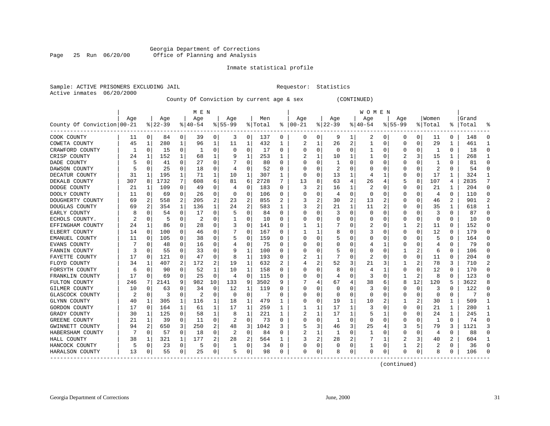#### Georgia Department of Corrections<br>Page 25 Run 06/20/00 Office of Planning and Analysis Page 25 Run 06/20/00 Office of Planning and Analysis

#### Inmate statistical profile

|                           | Sample: ACTIVE PRISONERS EXCLUDING JAIL | Requestor: Statistics |  |
|---------------------------|-----------------------------------------|-----------------------|--|
| Active inmates 06/20/2000 |                                         |                       |  |

#### County Of Conviction by current age & sex (CONTINUED)

|                            |     |              |           |          | M E N     |             |           |          |         |          |          |   |           |   | W O M E N    |          |           |          |                |              |           |                |
|----------------------------|-----|--------------|-----------|----------|-----------|-------------|-----------|----------|---------|----------|----------|---|-----------|---|--------------|----------|-----------|----------|----------------|--------------|-----------|----------------|
|                            | Age |              | Age       |          | Age       |             | Age       |          | Men     |          | Age      |   | Age       |   | Aqe          |          | Age       |          | Women          |              | Grand     |                |
| County Of Conviction 00-21 |     |              | $8 22-39$ |          | $8 40-54$ |             | $8 55-99$ |          | % Total | ႜ        | $ 00-21$ |   | $ 22-39 $ |   | $ 40-54$     |          | $8 55-99$ |          | % Total        |              | %   Total | ႜ              |
| COOK COUNTY                | 11  | 0            | 84        | 0        | 39        | 0           | 3         | 0        | 137     | 0        | 0        | 0 | 9         | 1 | 2            | 0        | 0         | 0        | 11             | 0            | 148       | 0              |
| COWETA COUNTY              | 45  | 1            | 280       | 1        | 96        | 1           | 11        | 1        | 432     | 1        |          |   | 26        | 2 |              | $\Omega$ | 0         | 0        | 29             | 1            | 461       | $\mathbf{1}$   |
| CRAWFORD COUNTY            | 1   | $\Omega$     | 15        | 0        |           | 0           | 0         | 0        | 17      | 0        | 0        | 0 | $\Omega$  | 0 |              | $\Omega$ | 0         | O        | -1             | $\Omega$     | 18        | $\Omega$       |
| CRISP COUNTY               | 24  | 1            | 152       | 1        | 68        | 1           |           | 1        | 253     | 1        |          |   | 10        |   |              | O        |           | 3        | 15             | 1            | 268       | 1              |
| DADE COUNTY                | 5   | $\Omega$     | 41        | 0        | 27        | 0           |           | 0        | 80      | $\Omega$ |          | O |           | N |              | O        | 0         | O        |                | 0            | 81        | $\Omega$       |
| DAWSON COUNTY              |     | 0            | 25        | 0        | 18        | 0           |           | 0        | 52      | 0        |          |   | 2         | U |              | $\Omega$ | O         | 0        | $\overline{2}$ | $\Omega$     | 54        | $\Omega$       |
| DECATUR COUNTY             | 31  | 1            | 195       | 1        | 71        | 1           | 10        | 1        | 307     | 1        | $\Omega$ | O | 13        | 1 | 4            | 1        | 0         | $\Omega$ | 17             | $\mathbf{1}$ | 324       | $\mathbf{1}$   |
| DEKALB COUNTY              | 307 | 8            | 1732      | 7        | 608       | 6           | 81        | 6        | 2728    | 7        | 13       | 8 | 63        | 4 | 26           | 4        | 5         | 8        | 107            | 4            | 2835      | 7              |
| DODGE COUNTY               | 21  | 1            | 109       | $\Omega$ | 49        | 0           | 4         | 0        | 183     | 0        | 3        | 2 | 16        | 1 | 2            | 0        | 0         | 0        | 21             |              | 204       | $\mathbf 0$    |
| DOOLY COUNTY               | 11  | 0            | 69        | 0        | 26        | 0           | O         | 0        | 106     | 0        |          |   | 4         | 0 |              | 0        | 0         | 0        | 4              | $\Omega$     | 110       | 0              |
| DOUGHERTY COUNTY           | 69  |              | 558       | 2        | 205       | 2           | 23        | 2        | 855     |          |          |   | 30        | 2 | 13           |          | 0         | O        | 46             | 2            | 901       | 2              |
| DOUGLAS COUNTY             | 69  | 2            | 354       | 1        | 136       | 1           | 24        | 2        | 583     | 1        |          |   | 21        | 1 | 11           | 2        | U         | 0        | 35             | 1            | 618       | 1              |
| EARLY COUNTY               | 8   | $\Omega$     | 54        | 0        | 17        | 0           | 5         | $\Omega$ | 84      | $\Omega$ |          | O | 3         | 0 | 0            | $\Omega$ | 0         | 0        | 3              | $\Omega$     | 87        | $\Omega$       |
| ECHOLS COUNTY.             | 2   | $\Omega$     | 5         | 0        | 2         | 0           |           | 0        | 10      | $\Omega$ |          | 0 | 0         | 0 |              | $\Omega$ | 0         | 0        | $\Omega$       | $\Omega$     | 10        | $\Omega$       |
| EFFINGHAM COUNTY           | 24  | 1            | 86        | 0        | 28        | 0           | 3         | 0        | 141     | O        |          |   |           | N |              | $\Omega$ |           | 2        | 11             | $\Omega$     | 152       | $\Omega$       |
| ELBERT COUNTY              | 14  | 0            | 100       | 0        | 46        | 0           |           | 0        | 167     | $\Omega$ |          |   | 8         | N |              | $\Omega$ | 0         | 0        | 12             | $\Omega$     | 179       | $\Omega$       |
| EMANUEL COUNTY             | 11  | $\Omega$     | 105       | 0        | 38        | 0           |           | 0        | 159     | $\Omega$ |          | O |           | N |              | 0        | 0         | 0        | 5              | $\Omega$     | 164       | $\Omega$       |
| EVANS COUNTY               |     | 0            | 48        | 0        | 16        | 0           |           | 0        | 75      | 0        |          |   | C         | U |              | 1        | 0         | 0        |                | 0            | 79        | 0              |
| FANNIN COUNTY              | 3   | 0            | 55        | 0        | 33        | 0           | 9         | 1        | 100     | 0        |          |   | 5         | U |              | 0        |           |          | 6              | 0            | 106       | $\Omega$       |
| FAYETTE COUNTY             | 17  | 0            | 121       | 0        | 47        | 0           | 8         | 1        | 193     | 0        |          |   | 7         | U | 2            | $\Omega$ | Ω         | 0        | 11             | $\Omega$     | 204       | O              |
| FLOYD COUNTY               | 34  |              | 407       | 2        | 172       | 2           | 19        | 1        | 632     | 2        |          | 2 | 52        | 3 | 21           | 3        |           | 2        | 78             | 3            | 710       | $\overline{a}$ |
| FORSYTH COUNTY             | 6   | 0            | 90        | 0        | 52        | 1           | 10        | 1        | 158     | 0        |          | O | 8         | U |              |          | 0         | 0        | 12             | $\Omega$     | 170       | $\Omega$       |
| FRANKLIN COUNTY            | 17  | 0            | 69        | 0        | 25        | $\mathbf 0$ | 4         | 0        | 115     | 0        |          | O | 4         | N |              | $\Omega$ |           | 2        | 8              | 0            | 123       | 0              |
| FULTON COUNTY              | 246 |              | 2141      | 9        | 982       | 10          | 133       | 9        | 3502    | 9        |          |   | 67        | 4 | 38           | 6        | 8         | 12       | 120            | 5            | 3622      | 8              |
| GILMER COUNTY              | 10  | $\Omega$     | 63        | O        | 34        | $\mathbf 0$ | 12        | 1        | 119     | 0        | n        | 0 | n         | N | 3            | O        | 0         | 0        | 3              | <sup>0</sup> | 122       | $\Omega$       |
| GLASCOCK COUNTY            | 2   | $\Omega$     | 3         | 0        | 2         | $\Omega$    | $\Omega$  | 0        |         | O        |          | O | n         | N | O            | 0        | $\Omega$  | 0        | $\Omega$       | 0            |           | $\Omega$       |
| GLYNN COUNTY               | 40  | 1            | 305       | 1        | 116       | 1           | 18        | 1        | 479     |          |          | O | 19        | 1 | 10           |          |           | 2        | 30             |              | 509       | $\mathbf{1}$   |
| GORDON COUNTY              | 17  | <sup>0</sup> | 164       | 1        | 61        | 1           | 17        | 1        | 259     | 1        |          |   | 17        | 1 | 3            | O        | 0         | O        | 21             |              | 280       | 1              |
| GRADY COUNTY               | 30  | -1           | 125       | 0        | 58        | 1           | 8         | 1        | 221     | 1        |          | 1 | 17        | 1 |              | 1        | O         | 0        | 24             | 1            | 245       | 1              |
| GREENE COUNTY              | 21  | 1            | 39        | 0        | 11        | 0           | 2         | 0        | 73      | $\Omega$ |          | O | -1        | U | <sup>0</sup> | $\Omega$ | 0         | 0        | -1             | $\Omega$     | 74        | $\Omega$       |
| GWINNETT COUNTY            | 94  | 2            | 650       | 3        | 250       | 2           | 48        | 3        | 1042    | 3        |          | 3 | 46        | 3 | 25           | 4        | 3         | 5        | 79             | 3            | 1121      | 3              |
| HABERSHAM COUNTY           |     | $\Omega$     | 57        | 0        | 18        | $\Omega$    | 2         | 0        | 84      | 0        |          | 1 | 1         | 0 | 1            | $\Omega$ | 0         | 0        | 4              | $\Omega$     | 88        | $\Omega$       |
| HALL COUNTY                | 38  |              | 321       | 1        | 177       | 2           | 28        | 2        | 564     |          |          | 2 | 28        | 2 |              | 1        | 2         | 3        | 40             | 2            | 604       | 1              |
| HANCOCK COUNTY             | 5   | 0            | 23        | 0        | 5         | 0           |           | 0        | 34      | 0        |          | 0 | 0         | 0 |              | 0        |           | 2        | 2              | $\Omega$     | 36        | $\Omega$       |
| HARALSON COUNTY            | 13  | 0            | 55        | 0        | 25        | 0           | 5         | 0        | 98      | 0        | $\Omega$ | 0 | 8         | 0 | $\Omega$     | 0        | 0         | 0        | 8              | $\Omega$     | 106       | $\Omega$       |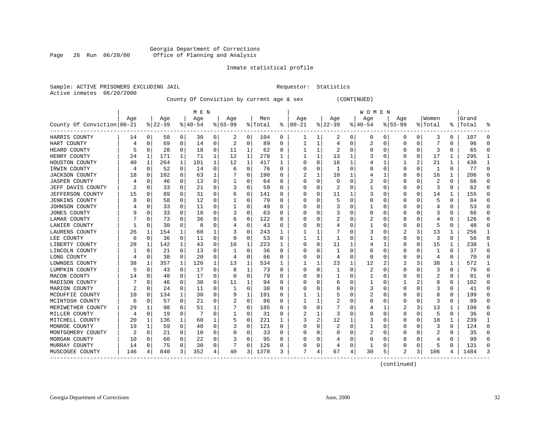#### Georgia Department of Corrections<br>Page 26 Run 06/20/00 Office of Planning and Analysis Page 26 Run 06/20/00 Office of Planning and Analysis

#### Inmate statistical profile

|  |                           | Sample: ACTIVE PRISONERS EXCLUDING JAI |  |
|--|---------------------------|----------------------------------------|--|
|  | Active inmates 06/20/2000 |                                        |  |

IL Requestor: Statistics

#### County Of Conviction by current age & sex (CONTINUED)

|                            |     |              |           |   | M E N     |          |           |          |         |          |          |          |           |   | <b>WOMEN</b> |          |                  |          |         |          |           |              |
|----------------------------|-----|--------------|-----------|---|-----------|----------|-----------|----------|---------|----------|----------|----------|-----------|---|--------------|----------|------------------|----------|---------|----------|-----------|--------------|
|                            | Age |              | Age       |   | Age       |          | Age       |          | Men     |          | Age      |          | Age       |   | Age          |          | Age              |          | Women   |          | Grand     |              |
| County Of Conviction 00-21 |     |              | $8 22-39$ |   | $8 40-54$ |          | $8 55-99$ |          | % Total | ႜ        | $ 00-21$ |          | $ 22-39 $ |   | $ 40-54$     |          | $ 55-99$         |          | % Total |          | %   Total | ႜ            |
| HARRIS COUNTY              | 14  | 0            | 58        | 0 | 30        | 0        | 2         | 0        | 104     | 0        | ı        | ı        | 2         | 0 | 0            | 0        | 0                | 0        | 3       | 0        | 107       | 0            |
| HART COUNTY                | 4   | $\Omega$     | 69        | 0 | 14        | 0        | 2         | 0        | 89      | 0        |          | 1        | 4         | 0 | 2            | 0        | 0                | 0        |         | $\Omega$ | 96        | $\Omega$     |
| HEARD COUNTY               | 5   | $\Omega$     | 28        | 0 | 18        | 0        | 11        | 1        | 62      | 0        |          |          | 2         | 0 |              | $\Omega$ |                  | O        | 3       | $\Omega$ | 65        | $\Omega$     |
| HENRY COUNTY               | 24  | -1           | 171       | 1 | 71        | 1        | 12        | 1        | 278     | 1        |          | 1        | 13        | 1 |              | $\Omega$ | $\left( \right)$ | O        | 17      | 1        | 295       | 1            |
| HOUSTON COUNTY             | 40  | 1            | 264       | 1 | 101       | 1        | 12        | 1        | 417     | 1        |          | $\Omega$ | 16        | 1 |              | 1        |                  | 2        | 21      |          | 438       | 1            |
| IRWIN COUNTY               |     | 0            | 52        | 0 | 14        | 0        | 6         | 0        | 76      | $\Omega$ |          | $\Omega$ | 1         | U |              | $\Omega$ | 0                | $\Omega$ | 1       | $\Omega$ | 77        | $\Omega$     |
| <b>JACKSON COUNTY</b>      | 18  | $\Omega$     | 102       | 0 | 63        | 1        |           | $\Omega$ | 190     | $\Omega$ |          | 1        | 10        |   |              | 1        | 0                | 0        | 16      | 1        | 206       | $\Omega$     |
| <b>JASPER COUNTY</b>       |     | $\Omega$     | 46        | 0 | 13        | 0        |           | 0        | 64      | $\Omega$ |          | $\Omega$ | $\Omega$  | N |              | $\Omega$ | Ω                | O        | 2       | $\Omega$ | 66        | $\Omega$     |
| JEFF DAVIS COUNTY          |     | $\Omega$     | 33        | 0 | 21        | 0        |           | 0        | 59      | $\Omega$ |          | O        | 2         | 0 |              | 0        | 0                | 0        | 3       | $\Omega$ | 62        | $\Omega$     |
| <b>JEFFERSON COUNTY</b>    | 15  | 0            | 89        | 0 | 31        | 0        | b         | 0        | 141     | 0        |          |          | 11        |   |              | 0        | 0                | 0        | 14      |          | 155       | $\Omega$     |
| <b>JENKINS COUNTY</b>      | 8   | C            | 58        | 0 | 12        | 0        |           | 0        | 79      | n        |          |          | 5         | U |              | O        | Ω                | O        | 5       | $\Omega$ | 84        | U            |
| JOHNSON COUNTY             |     | O            | 33        | 0 | 11        | 0        |           | 0        | 49      | 0        |          |          |           | U |              | O        | Ω                | 0        |         | 0        | 53        | $\Omega$     |
| <b>JONES COUNTY</b>        |     | $\Omega$     | 33        | 0 | 18        | 0        | 3         | 0        | 63      | 0        |          |          | 3         | N |              | $\Omega$ | $\left( \right)$ | O        | 3       | $\Omega$ | 66        | $\cap$       |
| LAMAR COUNTY               |     | 0            | 73        | 0 | 36        | 0        | 6         | 0        | 122     | 0        |          |          | 2         | N | 2            | $\Omega$ |                  | 0        |         | 0        | 126       | $\Omega$     |
| LANIER COUNTY              |     | $\Omega$     | 30        | 0 | 8         | 0        |           | 0        | 43      | $\Omega$ |          | O        |           | N |              | $\Omega$ | 0                | O        | 5       | $\Omega$ | 48        | $\Omega$     |
| LAURENS COUNTY             | 26  | 1            | 154       | 1 | 60        | 1        |           | 0        | 243     | 1        |          | 1        | 7         | U | 3            | $\Omega$ | 2                | 3        | 13      | 1        | 256       | $\mathbf{1}$ |
| LEE COUNTY                 | 6   | 0            | 36        | 0 | 11        | 0        | O         | 0        | 53      | $\Omega$ |          | -1       | -1        | U |              | 0        | 0                | O        | 3       | $\Omega$ | 56        | $\Omega$     |
| LIBERTY COUNTY             | 28  |              | 142       |   | 43        | 0        | 10        | 1        | 223     | 1        |          | O        | 11        |   |              |          | Ω                | O        | 15      |          | 238       | 1            |
| LINCOLN COUNTY             |     | $\Omega$     | 21        | 0 | 13        | 0        |           | $\Omega$ | 36      | 0        |          |          | -1        | 0 |              | $\Omega$ | C                | C        |         | $\Omega$ | 37        | $\Omega$     |
| LONG COUNTY                |     | $\Omega$     | 38        | 0 | 20        | 0        | 4         | 0        | 66      | $\Omega$ |          | O        | 4         | 0 | 0            | $\Omega$ | 0                | O        | 4       | $\Omega$ | 70        | $\Omega$     |
| LOWNDES COUNTY             | 38  | 1            | 357       | 1 | 126       | 1        | 13        | 1        | 534     | 1        |          |          | 23        | 1 | 12           | 2        |                  | 3        | 38      | 1        | 572       | 1            |
| LUMPKIN COUNTY             | 5   | $\Omega$     | 43        | 0 | 17        | $\Omega$ | 8         | 1        | 73      | $\Omega$ |          | O        | 1         | 0 | 2            | $\Omega$ | 0                | 0        | 3       | $\Omega$ | 76        | $\Omega$     |
| MACON COUNTY               | 14  | 0            | 48        | 0 | 17        | 0        | O         | 0        | 79      | 0        |          | O        |           | 0 |              | $\Omega$ | C                | 0        | 2       | 0        | 81        | $\Omega$     |
| MADISON COUNTY             |     | $\Omega$     | 46        | 0 | 30        | 0        | 11        | 1        | 94      | $\Omega$ |          |          | 6         | N |              | O        |                  | 2.       | 8       | $\Omega$ | 102       | $\Omega$     |
| MARION COUNTY              | 2   | 0            | 24        | 0 | 11        | 0        |           | 0        | 38      | 0        |          |          | 0         | U | 3            | 0        | 0                | 0        | 3       | 0        | 41        | 0            |
| MCDUFFIE COUNTY            | 10  | 0            | 134       |   | 38        | 0        | 9         | 1        | 191     | 0        |          |          | 5         | U | 2            | 0        | 0                | O        | 8       | $\Omega$ | 199       | $\Omega$     |
| MCINTOSH COUNTY            | 6   | <sup>0</sup> | 57        | 0 | 21        | 0        |           | 0        | 86      | $\Omega$ |          |          |           | N |              | $\Omega$ | Ω                | O        | 3       | $\Omega$ | 89        | $\Omega$     |
| MERIWETHER COUNTY          | 29  |              | 98        | 0 | 51        | 1        |           | $\Omega$ | 185     | $\Omega$ |          | O        |           | N |              | -1       |                  | 3        | 13      | 1        | 198       | $\cap$       |
| MILLER COUNTY              | 4   | $\Omega$     | 19        | 0 |           | 0        |           | 0        | 31      | $\Omega$ |          |          | 3         | U |              | $\Omega$ | O                | O        | 5       | $\Omega$ | 36        | $\Omega$     |
| MITCHELL COUNTY            | 20  | 1            | 136       | 1 | 60        | 1        | 5         | 0        | 221     | 1        | 3        | 2        | 12        |   | 3            | $\Omega$ | 0                | 0        | 18      | 1        | 239       | 1            |
| MONROE COUNTY              | 19  | 1            | 59        | 0 | 40        | 0        |           | 0        | 121     | $\Omega$ |          |          | 2         | 0 |              | $\Omega$ |                  | 0        | 3       | $\Omega$ | 124       | $\Omega$     |
| MONTGOMERY COUNTY          |     | $\Omega$     | 21        | 0 | 10        | 0        | O         | $\Omega$ | 33      | $\Omega$ |          |          | O         | N | 2            | $\Omega$ | 0                | 0        |         | $\Omega$ | 35        | $\Omega$     |
| MORGAN COUNTY              | 10  | $\Omega$     | 60        | 0 | 22        | 0        |           | $\Omega$ | 95      | $\Omega$ |          | 0        |           | 0 |              | $\Omega$ | 0                | 0        |         | $\Omega$ | 99        | $\Omega$     |
| MURRAY COUNTY              | 14  | 0            | 75        | 0 | 30        | 0        |           | 0        | 126     | 0        |          | 0        | 4         | 0 |              | 0        | 0                | 0        | 5       | $\Omega$ | 131       | $\Omega$     |
| MUSCOGEE COUNTY            | 146 |              | 840       | 3 | 352       | 4        | 40        | 3        | 1378    | 3        | 7        |          | 67        | 4 | 30           | 5        | 2                | 3        | 106     | 4        | 1484      | 3            |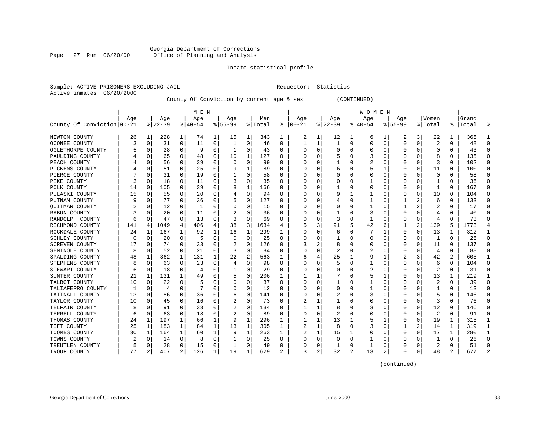#### Georgia Department of Corrections Page 27 Run 06/20/00 Office of Planning and Analysis

#### Inmate statistical profile

|  |                           | Sample: ACTIVE PRISONERS EXCLUDING JA |  |
|--|---------------------------|---------------------------------------|--|
|  | Active inmates 06/20/2000 |                                       |  |

Sample: ACTIVE PREQUESTOR: Statistics

County Of Conviction by current age & sex (CONTINUED)

|                            |          |             |           |              | M E N     |          |          |             |         |          |          |          |          |          | WOMEN    |          |             |          |                |          |           |                |
|----------------------------|----------|-------------|-----------|--------------|-----------|----------|----------|-------------|---------|----------|----------|----------|----------|----------|----------|----------|-------------|----------|----------------|----------|-----------|----------------|
|                            | Age      |             | Age       |              | Age       |          | Age      |             | Men     |          | Age      |          | Age      |          | Aqe      |          | Age         |          | Women          |          | Grand     |                |
| County Of Conviction 00-21 |          |             | $8 22-39$ |              | $8 40-54$ |          | $ 55-99$ |             | % Total | ະ        | $ 00-21$ |          | $ 22-39$ |          | $ 40-54$ |          | $8155 - 99$ |          | % Total        |          | %   Total | ႜ              |
| NEWTON COUNTY              | 26       | 1           | 228       | 1            | 74        | 1        | 15       | 1           | 343     | ı        | 2        | 1        | 12       | 1        | 6        | ı        | 2           | 3        | 22             |          | 365       | 1              |
| OCONEE COUNTY              | 3        | 0           | 31        | 0            | 11        | 0        | 1        | 0           | 46      | 0        | 1        |          | -1       | 0        |          | 0        | 0           | 0        | 2              | $\Omega$ | 48        | $\Omega$       |
| OGLETHORPE COUNTY          |          | 0           | 28        | $\Omega$     | - q       | 0        | 1        | 0           | 43      | 0        | O        | O        | -0       | O        |          | $\Omega$ | Ω           | $\Omega$ | $\Omega$       | $\Omega$ | 43        | $\Omega$       |
| PAULDING COUNTY            |          | 0           | 65        | $\Omega$     | 48        | 0        | 10       | 1           | 127     | 0        |          |          |          | 0        |          | $\Omega$ | 0           | O        | 8              | $\Omega$ | 135       | $\Omega$       |
| PEACH COUNTY               |          | $\mathbf 0$ | 56        | $\Omega$     | 39        | 0        | $\Omega$ | 0           | 99      | $\Omega$ |          | O        |          | N        |          | $\Omega$ | $\Omega$    | $\Omega$ | 3              | $\Omega$ | 102       | $\Omega$       |
| PICKENS COUNTY             |          | $\mathbf 0$ | 51        | 0            | 25        | 0        | 9        | 1           | 89      | $\Omega$ |          |          | 6        | N        |          | 1        | C           | 0        | 11             | $\Omega$ | 100       | $\Omega$       |
| PIERCE COUNTY              |          | $\Omega$    | 31        | $\Omega$     | 19        | 0        | 1        | 0           | 58      | $\Omega$ |          |          | C        | 0        |          | $\Omega$ | C           | $\Omega$ | $\Omega$       | $\Omega$ | 58        | $\Omega$       |
| PIKE COUNTY                |          | $\Omega$    | 18        | $\Omega$     | 11        | 0        |          | 0           | 35      | $\Omega$ |          | O        | C        | N        |          | $\Omega$ | O           | O        | 1              | $\Omega$ | 36        | $\Omega$       |
| POLK COUNTY                | 14       | 0           | 105       | $\Omega$     | 39        | 0        | 8        | 1           | 166     | $\Omega$ |          | 0        |          | 0        | O        | $\Omega$ | 0           | $\Omega$ |                | $\Omega$ | 167       | $\Omega$       |
| PULASKI COUNTY             | 15       | 0           | 55        | 0            | 20        | 0        |          | 0           | 94      | $\Omega$ |          |          | g        |          |          | $\Omega$ | C           | 0        | 10             | $\Omega$ | 104       | $\Omega$       |
| PUTNAM COUNTY              |          | C           | 77        | $\Omega$     | 36        | 0        | 5        | 0           | 127     | O        |          |          |          | U        |          | $\Omega$ |             |          | 6              | $\Omega$ | 133       | $\Omega$       |
| <b>OUITMAN COUNTY</b>      |          | 0           | 12        | 0            | 1         | 0        | O        | 0           | 15      | 0        |          |          | O        | $\Omega$ |          | O        |             | 2        |                | 0        | 17        | U              |
| RABUN COUNTY               | 3        | 0           | 20        | 0            | 11        | 0        |          | 0           | 36      | 0        |          | 0        |          | N        | 3        | $\Omega$ | 0           | $\Omega$ | 4              | 0        | 40        | $\Omega$       |
| RANDOLPH COUNTY            | 6        | 0           | 47        | 0            | 13        | 0        |          | $\mathbf 0$ | 69      | $\Omega$ |          |          | 3        | $\Omega$ |          | $\Omega$ | C           | 0        | 4              | $\Omega$ | 73        | $\Omega$       |
| RICHMOND COUNTY            | 141      | 4           | 1049      | 4            | 406       | 4        | 38       | 3           | 1634    | 4        |          | 3        | 91       | 5        | 42       | 6        |             | 2        | 139            | 5        | 1773      | 4              |
| ROCKDALE COUNTY            | 24       | 1           | 167       | $\mathbf{1}$ | 92        | 1        | 16       | 1           | 299     | 1        | O        | $\Omega$ | 6        | O        |          | 1        | 0           | $\Omega$ | 13             | 1        | 312       | $\mathbf{1}$   |
| SCHLEY COUNTY              | $\Omega$ | 0           | 20        | $\Omega$     | 5         | 0        | $\Omega$ | 0           | 25      | 0        | O        | O        |          | 0        | O        | $\Omega$ | 0           | 0        | -1             | $\Omega$ | 26        | $\Omega$       |
| SCREVEN COUNTY             |          | 0           | 74        | 0            | 33        | 0        | 2        | 0           | 126     | O        |          |          | 8        | N        |          | $\Omega$ | O           | O        | 11             | $\Omega$ | 137       | $\Omega$       |
| SEMINOLE COUNTY            | 8        | $\Omega$    | 52        | $\Omega$     | 21        | $\Omega$ | 3        | 0           | 84      | $\Omega$ |          | O        | 2        | 0        |          | $\Omega$ | 0           | O        | 4              | $\Omega$ | 88        | O              |
| SPALDING COUNTY            | 48       | 1           | 362       | 1            | 131       | 1        | 22       | 2           | 563     | 1        |          |          | 25       |          |          | 1        | 2           | 3        | 42             | 2        | 605       | 1              |
| STEPHENS COUNTY            | 8        | 0           | 63        | 0            | 23        | 0        | 4        | 0           | 98      | 0        |          | $\Omega$ | 5        | 0        |          | $\Omega$ | 0           | 0        | 6              | $\Omega$ | 104       | $\Omega$       |
| STEWART COUNTY             | 6        | 0           | 18        | $\Omega$     | 4         | 0        |          | 0           | 29      | $\Omega$ |          | $\Omega$ | 0        | 0        | 2        | $\Omega$ | 0           | $\Omega$ | 2              | $\Omega$ | 31        | $\Omega$       |
| SUMTER COUNTY              | 21       | 1           | 131       | $\mathbf{1}$ | 49        | 0        | 5        | 0           | 206     | 1        |          |          |          | 0        |          | 1        | C           | 0        | 13             | 1        | 219       | $\overline{1}$ |
| TALBOT COUNTY              | 10       | 0           | 22        | 0            | 5         | $\Omega$ | O        | 0           | 37      | $\Omega$ | O        | $\Omega$ |          | N        |          | $\Omega$ | 0           | 0        | 2              | $\Omega$ | 39        | $\Omega$       |
| TALIAFERRO COUNTY          |          | 0           | 4         | $\Omega$     | 7         | 0        | O        | 0           | 12      | $\Omega$ |          | O        | 0        | O        |          | 0        | $\Omega$    | 0        |                | 0        | 13        | $\Omega$       |
| TATTNALL COUNTY            | 13       | 0           | 86        | 0            | 36        | 0        | 6        | 0           | 141     | 0        |          |          | 2        | N        | 3        | $\Omega$ | O           | O        | 5              | $\Omega$ | 146       | $\Omega$       |
| TAYLOR COUNTY              | 10       | $\Omega$    | 45        | $\Omega$     | 16        | 0        |          | 0           | 73      | $\Omega$ |          |          |          | N        |          | $\Omega$ | Ω           | $\Omega$ | 3              | $\Omega$ | 76        | $\Omega$       |
| TELFAIR COUNTY             | Я        | $\Omega$    | 91        | $\Omega$     | 33        | 0        |          | 0           | 134     | $\Omega$ |          |          | 8        | N        |          | $\Omega$ | Ω           | $\Omega$ | 12             | $\Omega$ | 146       | $\cap$         |
| TERRELL COUNTY             | 6        | 0           | 63        | 0            | 18        | 0        |          | 0           | 89      | $\Omega$ | O        | $\Omega$ | 2        | N        |          | $\Omega$ | O           | $\Omega$ | $\overline{2}$ | $\Omega$ | 91        | $\Omega$       |
| THOMAS COUNTY              | 24       | 1           | 197       | $\mathbf 1$  | 66        | 1        | 9        | 1           | 296     | 1        |          |          | 13       |          |          | 1        | 0           | 0        | 19             |          | 315       | 1              |
| TIFT COUNTY                | 25       | 1           | 183       | $\mathbf 1$  | 84        | 1        | 13       | 1           | 305     | 1        |          |          | 8        | 0        |          | $\Omega$ |             | 2        | 14             | 1        | 319       | $\mathbf{1}$   |
| TOOMBS COUNTY              | 30       | 1           | 164       | 1            | 60        | 1        | 9        | 1           | 263     | 1        |          | 1        | 15       |          |          | $\Omega$ | 0           | $\Omega$ | 17             | 1        | 280       | $\mathbf{1}$   |
| TOWNS COUNTY               |          | 0           | 14        | $\Omega$     | 8         | 0        | 1        | 0           | 25      | $\Omega$ |          | $\Omega$ | $\Omega$ | 0        |          | $\Omega$ | 0           | $\Omega$ | 1              | $\Omega$ | 26        | $\Omega$       |
| TREUTLEN COUNTY            |          | 0           | 28        | $\Omega$     | 15        | 0        | 1        | 0           | 49      | 0        | 0        | $\Omega$ |          | 0        |          | 0        | $\Omega$    | 0        | 2              | $\Omega$ | 51        | $\Omega$       |
| TROUP COUNTY               | 77       | 2           | 407       | 2            | 126       | 1        | 19       | 1           | 629     | 2        | 3        | 2        | 32       | 2        | 13       | 2        | 0           | 0        | 48             | 2        | 677       | $\overline{c}$ |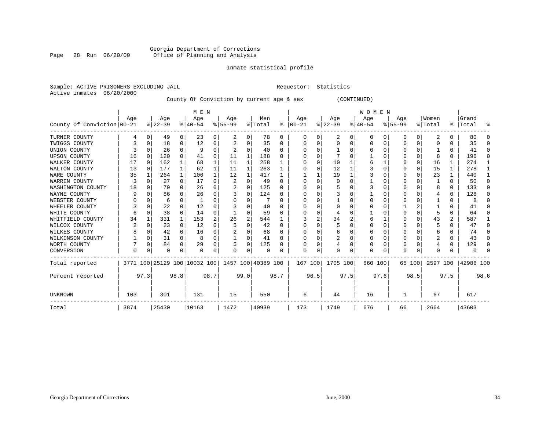#### Georgia Department of Corrections Page 28 Run 06/20/00 Office of Planning and Analysis

#### Inmate statistical profile

|                           | Sample: ACTIVE PRISONERS EXCLUDING JAIL | Requestor: Statistics |  |
|---------------------------|-----------------------------------------|-----------------------|--|
| Active inmates 06/20/2000 |                                         |                       |  |

County Of Conviction by current age & sex (CONTINUED)

|                            |      | M E N    |          |              |                              |                |          |              |                    |              |          |          |           |      | <b>WOMEN</b> |          |          |          |          |          |              |          |
|----------------------------|------|----------|----------|--------------|------------------------------|----------------|----------|--------------|--------------------|--------------|----------|----------|-----------|------|--------------|----------|----------|----------|----------|----------|--------------|----------|
|                            | Age  |          | Age      |              | Age                          |                | Age      |              | Men                |              | Age      |          | Age       |      | Age          |          | Age      |          | Women    |          | Grand        |          |
| County Of Conviction 00-21 |      |          | $ 22-39$ |              | $8140 - 54$                  |                | $ 55-99$ |              | % Total            | ႜ            | $ 00-21$ |          | $ 22-39 $ |      | $ 40-54 $    |          | $ 55-99$ |          | % Total  |          | %   Total    | ႜ        |
| TURNER COUNTY              | 4    | 0        | 49       | 0            | 23                           | 0              | 2        | 0            | 78                 | 0            | 0        | $\Omega$ | 2         | 0    | 0            | 0        | 0        | 0        | 2        | 0        | 80           | $\Omega$ |
| TWIGGS COUNTY              |      | 0        | 18       | 0            | 12                           | 0              |          | 0            | 35                 | $\Omega$     |          |          | 0         | 0    |              | $\Omega$ |          | $\Omega$ |          |          | 35           | $\Omega$ |
| UNION COUNTY               |      | $\Omega$ | 26       | 0            | - q                          | 0              |          | 0            | 40                 | $\Omega$     |          |          |           |      | O            | $\Omega$ | O        | $\Omega$ |          | $\Omega$ | 41           | $\Omega$ |
| <b>UPSON COUNTY</b>        | 16   | 0        | 120      | $\Omega$     | 41                           | 0              | 11       | 1            | 188                | <sup>0</sup> |          |          |           |      |              |          | O        | $\Omega$ |          | $\Omega$ | 196          | $\Omega$ |
| WALKER COUNTY              | 17   | 0        | 162      | $\mathbf{1}$ | 68                           | 1              | 11       | 1            | 258                |              |          | $\Omega$ | 10        |      | 6            |          |          | 0        | 16       |          | 274          | 1        |
| WALTON COUNTY              | 13   | $\Omega$ | 177      | $\mathbf{1}$ | 62                           | 1              | 11       | $\mathbf{1}$ | 263                | 1            |          |          | 12        |      |              | $\Omega$ | O        | $\Omega$ | 15       |          | 278          | -1       |
| WARE COUNTY                | 35   |          | 264      | 1            | 106                          |                | 12       | 1            | 417                |              |          |          | 19        |      |              | $\Omega$ | ი        | O        | 23       |          | 440          | 1        |
| WARREN COUNTY              | 3    | 0        | 27       | $\Omega$     | 17                           | 0              | 2        | $\Omega$     | 49                 | $\Omega$     |          |          | 0         |      |              |          |          | O        |          | $\Omega$ | 50           | $\Omega$ |
| WASHINGTON COUNTY          | 18   | 0        | 79       | $\Omega$     | 26                           | 0              |          | 0            | 125                | $\Omega$     |          |          |           |      | 3            | $\Omega$ | O        | $\Omega$ | 8        | $\Omega$ | 133          | $\Omega$ |
| WAYNE COUNTY               | 9    | O        | 86       | $\Omega$     | 26                           | 0              |          | 0            | 124                | <sup>0</sup> |          |          | 3         |      |              |          |          | O        |          | $\Omega$ | 128          | $\Omega$ |
| WEBSTER COUNTY             |      | C        | 6        | 0            |                              | 0              |          | 0            |                    | $\Omega$     |          |          |           | N    |              | $\Omega$ |          | O        |          |          | 8            | $\Omega$ |
| WHEELER COUNTY             |      | $\Omega$ | 22       | $\Omega$     | 12                           | $\Omega$       |          | O            | 40                 | <sup>0</sup> |          |          | $\Omega$  | U    |              | $\Omega$ |          |          |          | $\Omega$ | 41           | U        |
| WHITE COUNTY               | 6    | $\Omega$ | 38       | $\Omega$     | 14                           | 0              |          | U            | 59                 | $\Omega$     |          |          |           |      |              |          |          | O        |          | $\Omega$ | 64           | $\Omega$ |
| WHITFIELD COUNTY           | 34   |          | 331      | $\mathbf{1}$ | 153                          | $\overline{a}$ | 26       | 2            | 544                |              |          |          | 34        | 2    | 6            |          |          | $\Omega$ | 43       | 2        | 587          | 1        |
| WILCOX COUNTY              | 2    | $\Omega$ | 23       | $\Omega$     | 12                           | 0              |          | O            | 42                 | $\Omega$     |          |          |           | U    |              | $\Omega$ | 0        | $\Omega$ |          | $\Omega$ | 47           | U        |
| WILKES COUNTY              | 8    | 0        | 42       | $\Omega$     | 16                           | 0              |          | 0            | 68                 | $\Omega$     |          |          | 6         |      |              |          | 0        | O        | 6        |          | 74           | $\Omega$ |
| WILKINSON COUNTY           |      | 0        | 31       | 0            | 8                            | 0              |          | 0            | 41                 | $\Omega$     |          |          | 2         | 0    | $\Omega$     | $\Omega$ | 0        | 0        | 2        | $\Omega$ | 43           | $\Omega$ |
| WORTH COUNTY               |      | 0        | 84       | $\Omega$     | 29                           | 0              |          | 0            | 125                | $\Omega$     |          |          |           | 0    |              | $\Omega$ | 0        | O        |          | $\Omega$ | 129          | $\Omega$ |
| CONVERSION                 | 0    | 0        | O        | 0            | $\Omega$                     | 0              | O        | 0            | $\Omega$           |              | $\Omega$ | 0        |           | 0    | <sup>0</sup> | 0        | N        | 0        | $\Omega$ |          | <sup>0</sup> | $\Omega$ |
| Total reported             |      |          |          |              | 3771 100 25129 100 10032 100 |                |          |              | 1457 100 40389 100 |              | 167 100  |          | 1705 100  |      | 660 100      |          | 65 100   |          | 2597 100 |          | 42986 100    |          |
| Percent reported           |      | 97.3     |          | 98.8         |                              | 98.7           |          | 99.0         |                    | 98.7         |          | 96.5     |           | 97.5 |              | 97.6     |          | 98.5     |          | 97.5     |              | 98.6     |
| <b>UNKNOWN</b>             | 103  |          | 301      |              | 131                          |                | 15       |              | 550                |              | 6        |          | 44        |      | 16           |          |          |          | 67       |          | 617          |          |
| Total                      | 3874 |          | 25430    |              | 10163                        |                | 1472     |              | 40939              |              | 173      |          | 1749      |      | 676          |          | 66       |          | 2664     |          | 43603        |          |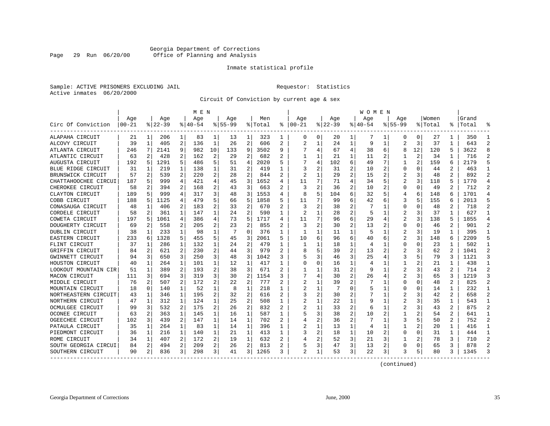#### Georgia Department of Corrections Page 29 Run 06/20/00 Office of Planning and Analysis

#### Inmate statistical profile

Sample: ACTIVE PRISONERS EXCLUDING JAIL **Requestor:** Statistics Active inmates 06/20/2000

Circuit Of Conviction by current age & sex

|                      |           |   |          |                | M E N    |    |           |                |         |                |                         |              |          |                | <b>WOMEN</b> |   |                |          |         |                |           |                |
|----------------------|-----------|---|----------|----------------|----------|----|-----------|----------------|---------|----------------|-------------------------|--------------|----------|----------------|--------------|---|----------------|----------|---------|----------------|-----------|----------------|
|                      | Age       |   | Age      |                | Age      |    | Age       |                | Men     |                | Age                     |              | Age      |                | Age          |   | Age            |          | Women   |                | Grand     |                |
| Circ Of Conviction   | $00 - 21$ |   | $ 22-39$ |                | $ 40-54$ |    | $8 55-99$ |                | % Total | ႜ              | $ 00-21$                |              | $ 22-39$ |                | $ 40-54$     |   | $8155 - 99$    |          | % Total |                | %   Total |                |
| ALAPAHA CIRCUIT      | 21        | 1 | 206      | 1              | 83       | 1  | 13        | 1              | 323     | 1              | 0                       | $\mathbf{0}$ | 20       | 1              | 7            | 1 | O              | $\Omega$ | 27      | 1              | 350       | -1             |
| ALCOVY CIRCUIT       | 39        | 1 | 405      | 2              | 136      | 1  | 26        | 2              | 606     | 2              | $\overline{2}$          | 1            | 24       | 1              | 9            | 1 | 2              | 3        | 37      | 1              | 643       | $\mathcal{D}$  |
| ATLANTA CIRCUIT      | 246       | 7 | 2141     | 9              | 982      | 10 | 133       | 9              | 3502    | 9              |                         | 4            | 67       | 4              | 38           | 6 | 8              | 12       | 120     | 5              | 3622      |                |
| ATLANTIC CIRCUIT     | 63        | 2 | 428      | $\overline{a}$ | 162      | 2  | 29        | 2              | 682     | $\overline{2}$ |                         | 1            | 21       | $\mathbf{1}$   | 11           | 2 |                | 2        | 34      |                | 716       | $\mathcal{D}$  |
| AUGUSTA CIRCUIT      | 192       | 5 | 1291     | 5              | 486      | 5  | 51        | 4              | 2020    | 5              |                         | 4            | 102      | 6              | 49           | 7 | $\mathbf{1}$   | 2        | 159     | 6              | 2179      |                |
| BLUE RIDGE CIRCUIT   | 31        | 1 | 219      | 1              | 138      | 1  | 31        | 2              | 419     | 1              | 3                       | 2            | 31       | 2              | 10           | 2 | O              | O        | 44      | 2              | 463       | $\mathbf{1}$   |
| BRUNSWICK CIRCUIT    | 57        | 2 | 539      | 2              | 220      | 2  | 28        | 2              | 844     | 2              | $\overline{\mathbf{c}}$ |              | 29       | $\overline{2}$ | 15           | 2 |                | 3        | 48      | 2              | 892       | 2              |
| CHATTAHOOCHEE CIRCUI | 187       | 5 | 999      | 4              | 421      | 4  | 45        | 3              | 1652    | 4              | 11                      | 7            | 71       | 4              | 34           | 5 | 2              | 3        | 118     | 5              | 1770      | $\overline{4}$ |
| CHEROKEE CIRCUIT     | 58        | 2 | 394      | 2              | 168      | 2  | 43        | 3              | 663     |                | 3                       | 2            | 36       | $\overline{2}$ | 10           | 2 | $\Omega$       | O        | 49      |                | 712       | $\overline{2}$ |
| CLAYTON CIRCUIT      | 189       |   | 999      | 4              | 317      | 3  | 48        | 3              | 1553    | 4              |                         | 5            | 104      | 6              | 32           | 5 | 4              | 6        | 148     | 6              | 1701      | $\overline{4}$ |
| COBB CIRCUIT         | 188       | 5 | 1125     | 4              | 479      | 5  | 66        | 5              | 1858    | 5              | 11                      | 7            | 99       | 6              | 42           | 6 | 3              | 5        | 155     | 6              | 2013      |                |
| CONASAUGA CIRCUIT    | 48        | 1 | 406      | 2              | 183      | 2  | 33        | $\overline{2}$ | 670     | 2              | 3                       | 2            | 38       | 2              |              | 1 | $\Omega$       | O        | 48      | 2              | 718       | 2              |
| CORDELE CIRCUIT      | 58        | 2 | 361      | 1              | 147      | 1  | 24        | 2              | 590     | 1              | 2                       | 1            | 28       | 2              | 5            | 1 | 2              | 3        | 37      | 1              | 627       | $\mathbf{1}$   |
| COWETA CIRCUIT       | 197       | 5 | 1061     | 4              | 386      | 4  | 73        | 5              | 1717    | 4              | 11                      | 7            | 96       | 6              | 29           | 4 | 2              | 3        | 138     | 5              | 1855      | $\overline{4}$ |
| DOUGHERTY CIRCUIT    | 69        | 2 | 558      | 2              | 205      | 2  | 23        | 2              | 855     | 2              | 3                       | 2            | 30       | 2              | 13           | 2 | $\Omega$       | $\Omega$ | 46      | 2              | 901       | 2              |
| DUBLIN CIRCUIT       | 38        | 1 | 233      | 1              | 98       | 1  | 7         | 0              | 376     | 1              | ı.                      | 1            | 11       | 1              | 5            | 1 |                | 3        | 19      | 1              | 395       | -1             |
| EASTERN CIRCUIT      | 233       | 6 | 1328     | 5              | 455      | 5  | 45        | 3              | 2061    | 5              | 10                      | 6            | 96       | 6              | 40           | 6 | $\overline{c}$ | 3        | 148     | 6              | 2209      | 5              |
| FLINT CIRCUIT        | 37        | 1 | 286      | $\mathbf{1}$   | 132      | 1  | 24        | $\overline{2}$ | 479     |                | -1                      |              | 18       | 1              | 4            | 1 | $\Omega$       | U        | 23      |                | 502       | $\mathbf{1}$   |
| GRIFFIN CIRCUIT      | 84        | 2 | 621      | $\overline{a}$ | 230      | 2  | 44        | 3              | 979     | 2              |                         | 5            | 39       | $\overline{2}$ | 13           | 2 | $\overline{c}$ | 3        | 62      | $\overline{a}$ | 1041      | $\mathcal{D}$  |
| GWINNETT CIRCUIT     | 94        | 3 | 650      | 3              | 250      | 3  | 48        | 3              | 1042    | 3              | 5                       | 3            | 46       | 3              | 25           | 4 | 3              | 5        | 79      | 3              | 1121      | 3              |
| HOUSTON CIRCUIT      | 40        | 1 | 264      | 1              | 101      | 1  | 12        | 1              | 417     | 1              | <sup>0</sup>            | 0            | 16       | 1              |              |   | 1              | 2        | 21      |                | 438       | $\mathbf{1}$   |
| LOOKOUT MOUNTAIN CIR | 51        | 1 | 389      | 2              | 193      | 2  | 38        | 3              | 671     | 2              |                         | 1            | 31       | 2              | q            | 1 | 2              | 3        | 43      | 2              | 714       | $\overline{2}$ |
| MACON CIRCUIT        | 111       | 3 | 694      | 3              | 319      | 3  | 30        | 2              | 1154    | 3              |                         | 4            | 30       | 2              | 26           | 4 | $\overline{2}$ | 3        | 65      | 3              | 1219      | 3              |
| MIDDLE CIRCUIT       | 76        | 2 | 507      | 2              | 172      | 2  | 22        | 2              | 777     | 2              | $\mathfrak{D}$          | 1            | 39       | $\overline{2}$ | 7            | 1 | 0              | O        | 48      | 2              | 825       | $\mathcal{D}$  |
| MOUNTAIN CIRCUIT     | 18        | 0 | 140      | $\mathbf{1}$   | 52       | 1  | 8         | 1              | 218     | 1              |                         | 1            |          | O              |              |   | U              | O        | 14      | 1              | 232       | -1             |
| NORTHEASTERN CIRCUIT | 43        | 1 | 346      | $\mathbf{1}$   | 195      | 2  | 32        | $\overline{2}$ | 616     |                |                         | 2            | 30       | 2              |              | 1 | 2              |          | 42      | 2              | 658       | $\overline{2}$ |
| NORTHERN CIRCUIT     | 47        | 1 | 312      | 1              | 124      | 1  | 25        | $\overline{2}$ | 508     | 1              |                         |              | 22       | 1              |              | 1 | $\overline{2}$ | 3        | 35      | 1              | 543       | $\mathbf{1}$   |
| OCMULGEE CIRCUIT     | 99        | 3 | 532      | 2              | 175      | 2  | 26        | 2              | 832     | 2              |                         | 1            | 33       | $\overline{2}$ | 6            | 1 | $\overline{2}$ | 3        | 43      | 2              | 875       | $\mathcal{D}$  |
| OCONEE CIRCUIT       | 63        | 2 | 363      | 1              | 145      | 1  | 16        | 1              | 587     | 1              | 5                       | 3            | 38       | 2              | 10           | 2 | 1              |          | 54      | 2              | 641       | -1             |
| OGEECHEE CIRCUIT     | 102       | 3 | 439      | 2              | 147      | 1  | 14        | $\mathbf{1}$   | 702     | 2              |                         | 2            | 36       | 2              |              | 1 | 3              | 5        | 50      | 2              | 752       | $\overline{2}$ |
| PATAULA CIRCUIT      | 35        | 1 | 264      | $\mathbf{1}$   | 83       | 1  | 14        | $\mathbf 1$    | 396     | 1              |                         | 1            | 13       | $\mathbf{1}$   | 4            | 1 | $\mathbf{1}$   | 2        | 20      | $\mathbf{1}$   | 416       | $\mathbf{1}$   |
| PIEDMONT CIRCUIT     | 36        | 1 | 216      | $\mathbf{1}$   | 140      | 1  | 21        | $\mathbf{1}$   | 413     | 1              | 3                       | 2            | 18       | $\mathbf{1}$   | 10           | 2 | 0              | $\Omega$ | 31      | 1              | 444       | -1             |
| ROME CIRCUIT         | 34        | 1 | 407      | 2              | 172      | 2  | 19        | $\mathbf{1}$   | 632     | $\mathfrak{D}$ |                         | 2            | 52       | 3              | 21           | 3 | 1              | 2        | 78      | 3              | 710       | $\overline{2}$ |
| SOUTH GEORGIA CIRCUI | 84        | 2 | 494      | 2              | 209      | 2  | 26        | 2              | 813     | 2              | 5                       | 3            | 47       | 3              | 13           | 2 | 0              | 0        | 65      | 3              | 878       | 2              |
| SOUTHERN CIRCUIT     | 90        | 2 | 836      | 3              | 298      | 3  | 41        | 3              | 1265    |                | $\overline{2}$          |              | 53       | 3              | 22           | 3 |                | 5        | 80      | 3              | 1345      |                |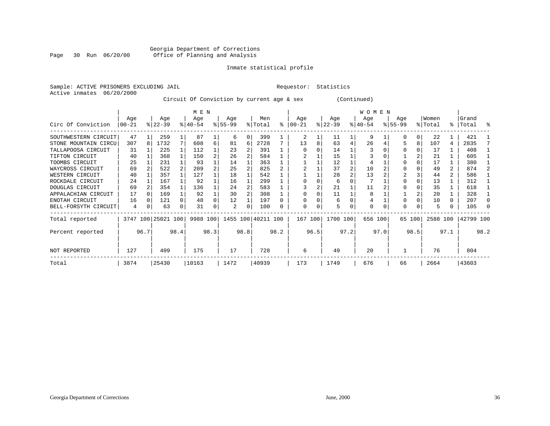#### Georgia Department of Corrections Page 30 Run 06/20/00 Office of Planning and Analysis

#### Inmate statistical profile

|  | Sample: ACTIVE PRISONERS EXCLUDING JAI |  |
|--|----------------------------------------|--|
|  | Active inmates 06/20/2000              |  |

IL Requestor: Statistics

#### Circuit Of Conviction by current age & sex (Continued)

|                      |          |      |                    |      | M E N     |      |          |      |                    |           |              |      |           |      | WOMEN     |      |             |          |          |      |           |      |
|----------------------|----------|------|--------------------|------|-----------|------|----------|------|--------------------|-----------|--------------|------|-----------|------|-----------|------|-------------|----------|----------|------|-----------|------|
|                      | Age      |      | Age                |      | Age       |      | Age      |      | Men                |           | Age          |      | Age       |      | Age       |      | Age         |          | Women    |      | Grand     |      |
| Circ Of Conviction   | $ 00-21$ |      | $ 22-39 $          |      | $8 40-54$ |      | $ 55-99$ |      | % Total            | $\approx$ | $ 00 - 21$   |      | $ 22-39 $ |      | $ 40-54 $ |      | $8155 - 99$ |          | % Total  |      | %   Total | ႜ    |
| SOUTHWESTERN CIRCUIT | 47       |      | 259                |      | 87        |      | 6        |      | 399                |           |              |      | 11        |      | 9         |      |             | $\Omega$ | 22       |      | 421       |      |
| STONE MOUNTAIN CIRCU | 307      | 8    | 1732               | 7    | 608       | 6    | 81       | 6    | 2728               |           | 13           |      | 63        | 4    | 26        |      |             | 8        | 107      | 4    | 2835      |      |
| TALLAPOOSA CIRCUIT   | 31       |      | 225                |      | 112       |      | 23       |      | 391                |           |              |      | 14        |      |           |      |             |          | 17       |      | 408       |      |
| TIFTON CIRCUIT       | 40       |      | 368                |      | 150       |      | 26       |      | 584                |           |              |      | 15        |      |           |      |             |          | 21       |      | 605       |      |
| TOOMBS CIRCUIT       | 25       |      | 231                |      | 93        |      | 14       |      | 363                |           |              |      | 12        |      | 4         |      |             |          | 17       |      | 380       |      |
| WAYCROSS CIRCUIT     | 69       |      | 522                | 2    | 209       |      | 25       |      | 825                |           |              |      | 37        | 2    | 10        |      |             |          | 49       | 2    | 874       |      |
| WESTERN CIRCUIT      | 40       |      | 357                |      | 127       |      | 18       |      | 542                |           |              |      | 28        | 2    | 13        |      | 2           |          | 44       | 2    | 586       |      |
| ROCKDALE CIRCUIT     | 24       |      | 167                |      | 92        |      | 16       |      | 299                |           |              |      | 6         |      |           |      |             |          | 13       |      | 312       |      |
| DOUGLAS CIRCUIT      | 69       |      | 354                |      | 136       |      | 24       |      | 583                |           |              |      | 21        |      | 11        |      |             |          | 35       |      | 618       |      |
| APPALACHIAN CIRCUIT  | 17       |      | 169                |      | 92        |      | 30       |      | 308                |           |              |      | 11        |      | 8         |      |             |          | 20       |      | 328       |      |
| ENOTAH CIRCUIT       | 16       |      | 121                |      | 48        |      | 12       |      | 197                |           |              |      | 6         |      | 4         |      |             |          | 10       |      | 207       |      |
| BELL-FORSYTH CIRCUIT | 4        | 0    | 63                 |      | 31        |      | 2        | O    | 100                |           | <sup>0</sup> |      | 5.        |      | $\Omega$  |      | O           |          | 5        |      | 105       |      |
| Total reported       |          |      | 3747 100 25021 100 |      | 9988 100  |      |          |      | 1455 100 40211 100 |           | 167          | 100  | 1700 100  |      | 656 100   |      |             | 65 100   | 2588 100 |      | 42799 100 |      |
| Percent reported     |          | 96.7 |                    | 98.4 |           | 98.3 |          | 98.8 |                    | 98.2      |              | 96.5 |           | 97.2 |           | 97.0 |             | 98.5     |          | 97.1 |           | 98.2 |
| NOT REPORTED         | 127      |      | 409                |      | 175       |      | 17       |      | 728                |           | 6            |      | 49        |      | 20        |      |             |          | 76       |      | 804       |      |
| Total                | 3874     |      | 25430              |      | 10163     |      | 1472     |      | 40939              |           | 173          |      | 1749      |      | 676       |      | 66          |          | 2664     |      | 43603     |      |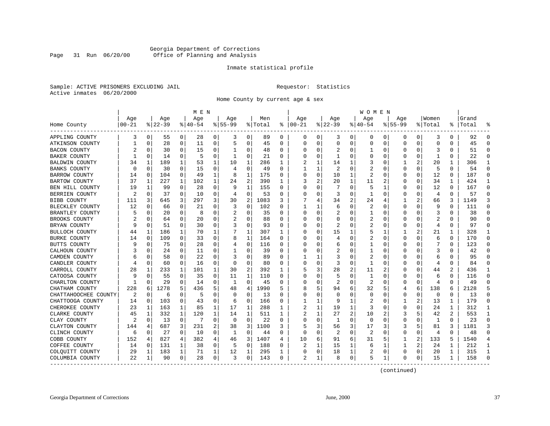#### Georgia Department of Corrections Page 31 Run 06/20/00 Office of Planning and Analysis

#### Inmate statistical profile

Sample: ACTIVE PRISONERS EXCLUDING JAIL **Requestor:** Statistics Active inmates 06/20/2000

Home County by current age & sex

|                      |            |          |          |             | M E N       |   |             |              |         |          |            |          |          |   | W O M E N      |             |             |          |                |          |           |          |
|----------------------|------------|----------|----------|-------------|-------------|---|-------------|--------------|---------|----------|------------|----------|----------|---|----------------|-------------|-------------|----------|----------------|----------|-----------|----------|
|                      | Age        |          | Age      |             | Age         |   | Age         |              | Men     |          | Age        |          | Age      |   | Age            |             | Aqe         |          | Women          |          | Grand     |          |
| Home County          | $ 00 - 21$ |          | $ 22-39$ |             | $8140 - 54$ |   | $8155 - 99$ |              | % Total | နွ       | $ 00 - 21$ |          | $ 22-39$ |   | $8140 - 54$    |             | $8155 - 99$ |          | % Total        |          | %   Total |          |
| APPLING COUNTY       | 3          | 0        | 55       | 0           | 28          | 0 | 3           | 0            | 89      | 0        | 0          | 0        | 3        | 0 | 0              | 0           | 0           | 0        | 3              | 0        | 92        | $\Omega$ |
| ATKINSON COUNTY      |            | 0        | 28       | 0           | 11          | 0 | 5           | 0            | 45      | $\Omega$ | $\Omega$   | $\Omega$ | $\Omega$ | 0 | $\Omega$       | 0           | $\Omega$    | 0        | $\mathbf 0$    | $\Omega$ | 45        | $\Omega$ |
| BACON COUNTY         |            | $\Omega$ | 30       | 0           | 15          | 0 | -1          | 0            | 48      | 0        |            | O        | 2        | 0 |                | 0           | 0           | 0        | 3              | 0        | 51        | ∩        |
| BAKER COUNTY         |            | 0        | 14       | 0           | 5           | 0 | -1          | 0            | 21      | 0        |            | O        | -1       | O |                | 0           | 0           | 0        | -1             | O        | 22        | $\Omega$ |
| BALDWIN COUNTY       | 34         | 1        | 189      | 1           | 53          | 1 | 10          | 1            | 286     | 1        |            |          | 14       | 1 | 3              | $\Omega$    |             | 2        | 20             | 1        | 306       | -1       |
| BANKS COUNTY         | n          | $\Omega$ | 30       | $\Omega$    | 15          | 0 | 4           | $\mathbf 0$  | 49      | $\Omega$ |            | 1        | 2        | 0 | 2              | $\Omega$    | 0           | $\Omega$ | 5              | 0        | 54        | $\Omega$ |
| BARROW COUNTY        | 14         | 0        | 104      | 0           | 49          | 1 | 8           | $\mathbf{1}$ | 175     | 0        | 0          | 0        | 10       | 1 | $\overline{2}$ | 0           | U           | 0        | 12             | 0        | 187       | $\Omega$ |
| BARTOW COUNTY        | 37         | 1        | 227      | 1           | 102         | 1 | 24          | $\sqrt{2}$   | 390     | 1        | 3          | 2        | 20       | 1 | 11             | 2           | 0           | 0        | 34             | 1        | 424       | -1       |
| BEN HILL COUNTY      | 19         | 1        | 99       | 0           | 28          | 0 | 9           | 1            | 155     | 0        | $\Omega$   | O        | 7        | O | 5              | 1           | 0           | 0        | 12             | 0        | 167       | $\Omega$ |
| BERRIEN COUNTY       | 2          | $\Omega$ | 37       | 0           | 10          | 0 | 4           | 0            | 53      | $\Omega$ |            | O        | 3        | 0 |                | $\Omega$    | 0           | 0        | $\overline{4}$ | $\Omega$ | 57        | $\Omega$ |
| BIBB COUNTY          | 111        | 3        | 645      | 3           | 297         | 3 | 30          | 2            | 1083    | 3        |            |          | 34       | 2 | 24             | 4           | 1           | 2        | 66             | 3        | 1149      | 3        |
| BLECKLEY COUNTY      | 12         | $\Omega$ | 66       | 0           | 21          | 0 | 3           | 0            | 102     | $\Omega$ |            | ı        | 6        | 0 | $\overline{2}$ | $\Omega$    | O           | U        | 9              | $\Omega$ | 111       | ∩        |
| BRANTLEY COUNTY      |            | $\Omega$ | 20       | 0           | 8           | 0 | 2           | $\mathbf 0$  | 35      | $\Omega$ |            | $\Omega$ | 2        | U |                | 0           | U           | 0        | 3              | O        | 38        |          |
| BROOKS COUNTY        |            | $\Omega$ | 64       | 0           | 20          | 0 |             | 0            | 88      | $\Omega$ |            | O        | Ω        | U | 2              | 0           | U           | U        | 2              | $\Omega$ | 90        | $\Omega$ |
| BRYAN COUNTY         |            | 0        | 51       | 0           | 30          | 0 |             | 0            | 93      | 0        |            | O        | 2        | 0 | 2              | 0           | 0           | 0        | 4              | 0        | 97        | ∩        |
| BULLOCH COUNTY       | 44         | 1        | 186      | $\mathbf 1$ | 70          | 1 |             | 1            | 307     | 1        |            |          | 15       | 1 |                | -1          |             | 2        | 21             | 1        | 328       | 1        |
| BURKE COUNTY         | 14         | $\Omega$ | 109      | $\Omega$    | 33          | 0 | 8           | 1            | 164     | $\Omega$ |            |          | 4        | U |                | $\Omega$    | $\Omega$    | U        | -6             | $\Omega$ | 170       | $\Omega$ |
| BUTTS COUNTY         |            | 0        | 75       | 0           | 28          | 0 | 4           | 0            | 116     | 0        |            | U        | 6        | U |                | $\Omega$    | O           | O        | 7              | 0        | 123       | ∩        |
| CALHOUN COUNTY       |            | $\Omega$ | 24       | 0           | 11          | 0 | 1           | 0            | 39      | $\Omega$ |            | O        | 2        | U |                | 0           | U           | 0        | 3              | O        | 42        |          |
| CAMDEN COUNTY        |            | $\Omega$ | 58       | 0           | 22          | 0 | 3           | 0            | 89      | $\Omega$ |            | 1        | 3        | U | 2              | 0           | U           | U        | 6              | 0        | 95        | ∩        |
| CANDLER COUNTY       |            | 0        | 60       | 0           | 16          | 0 | $\Omega$    | 0            | 80      | 0        |            | O        | 3        | 0 | -1             | 0           | 0           | 0        | 4              | 0        | 84        | ∩        |
| CARROLL COUNTY       | 28         | 1        | 233      | 1           | 101         | 1 | 30          | 2            | 392     | 1        |            | 3        | 28       | 2 | 11             | 2           | U           | U        | 44             | 2        | 436       | -1       |
| CATOOSA COUNTY       |            | $\Omega$ | 55       | 0           | 35          | 0 | 11          | 1            | 110     | O        |            |          | 5        | U | 1              | $\Omega$    | U           | U        | 6              | O        | 116       | ∩        |
| CHARLTON COUNTY      |            | 0        | 29       | 0           | 14          | 0 | -1          | 0            | 45      | 0        |            | U        | 2        | U | 2              | $\Omega$    | 0           | 0        | 4              | 0        | 49        |          |
| CHATHAM COUNTY       | 228        | 6        | 1278     | 5           | 436         | 5 | 48          | 4            | 1990    | 5        |            | 5        | 94       | 6 | 32             | 5           | 4           | 6        | 138            | 6        | 2128      |          |
| CHATTAHOOCHEE COUNTY | 2          | 0        | 6        | 0           | 5           | 0 | $\Omega$    | 0            | 13      | $\Omega$ |            | O        | $\Omega$ | U | $\Omega$       | $\mathbf 0$ | $\Omega$    | 0        | $\mathbf 0$    | $\Omega$ | 13        | $\Omega$ |
| CHATTOOGA COUNTY     | 14         | 0        | 103      | 0           | 43          | 0 | 6           | 0            | 166     | 0        |            | 1        | 9        | 1 | 2              | 0           | 1           | 2        | 13             | 1        | 179       | $\Omega$ |
| CHEROKEE COUNTY      | 23         | 1        | 163      | 1           | 85          | 1 | 17          | 1            | 288     | 1        | 2          |          | 19       | 1 | 3              | 0           | 0           | U        | 24             | 1        | 312       | -1       |
| CLARKE COUNTY        | 45         | 1        | 332      | 1           | 120         | 1 | 14          | 1            | 511     | 1        |            |          | 27       | 2 | 10             |             | 3           | 5        | 42             |          | 553       | -1       |
| CLAY COUNTY          |            | $\Omega$ | 13       | 0           | 7           | 0 | 0           | 0            | 22      | $\Omega$ | O          | O        | -1       | U | $\Omega$       | $\Omega$    | 0           | 0        | 1              | 0        | 23        | ∩        |
| CLAYTON COUNTY       | 144        | 4        | 687      | 3           | 231         | 2 | 38          | 3            | 1100    | 3        |            | 3        | 56       | 3 | 17             | 3           | 3           | 5        | 81             | 3        | 1181      |          |
| CLINCH COUNTY        | 6          | 0        | 27       | 0           | 10          | 0 | 1           | 0            | 44      | $\Omega$ | $\Omega$   | $\Omega$ | 2        | 0 | 2              | $\mathbf 0$ | $\Omega$    | 0        | $\overline{4}$ | $\Omega$ | 48        | $\cap$   |
| COBB COUNTY          | 152        | 4        | 827      | 4           | 382         | 4 | 46          | 3            | 1407    | 4        | 10         | 6        | 91       | 6 | 31             | 5           | 1           | 2        | 133            | 5        | 1540      |          |
| COFFEE COUNTY        | 14         | 0        | 131      | 1           | 38          | 0 | 5           | 0            | 188     | 0        | 2          |          | 15       | 1 | 6              | -1          | 1           | 2        | 24             | 1        | 212       | 1        |
| COLQUITT COUNTY      | 29         | 1        | 183      | 1           | 71          | 1 | 12          | 1            | 295     | 1        |            | 0        | 18       | 1 | 2              | 0           | 0           | 0        | 20             | 1        | 315       | -1       |
| COLUMBIA COUNTY      | 22         | 1        | 90       | 0           | 28          | 0 | 3           | 0            | 143     | 0        | 2          | 1        | 8        | 0 | 5              | 1           | 0           | 0        | 15             | 1        | 158       |          |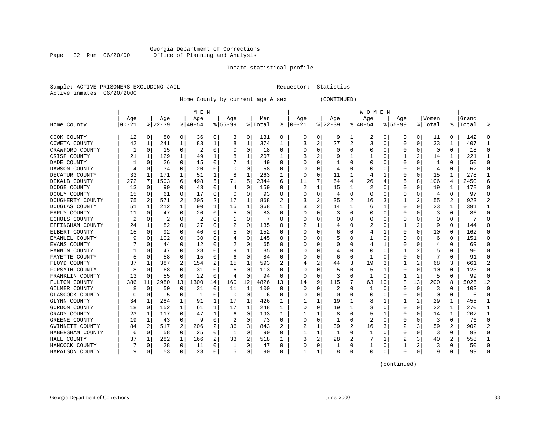#### Georgia Department of Corrections Page 32 Run 06/20/00 Office of Planning and Analysis

#### Inmate statistical profile

|  | Sample: ACTIVE PRISONERS EXCLUDING JAIL |  |
|--|-----------------------------------------|--|
|  | Active inmates 06/20/2000               |  |

L Bample: Active Prequestor: Statistics

Home County by current age & sex (CONTINUED)

|                  |          |             |          |              | M E N       |          |           |             |         |                  |          |          |              |          | W O M E N |          |             |                |          |          |           |              |
|------------------|----------|-------------|----------|--------------|-------------|----------|-----------|-------------|---------|------------------|----------|----------|--------------|----------|-----------|----------|-------------|----------------|----------|----------|-----------|--------------|
|                  | Age      |             | Age      |              | Age         |          | Age       |             | Men     |                  | Age      |          | Age          |          | Age       |          | Age         |                | Women    |          | Grand     |              |
| Home County      | $ 00-21$ |             | $ 22-39$ |              | $8140 - 54$ |          | $8 55-99$ |             | % Total | ៖                | $ 00-21$ |          | $ 22-39$     |          | $ 40-54$  |          | $8155 - 99$ |                | % Total  |          | %   Total |              |
| COOK COUNTY      | 12       | 0           | 80       | 0            | 36          | 0        | 3         | 0           | 131     | 0                | 0        | 0        | 9            | 1        | 2         | 0        | 0           | 0              | 11       | 0        | 142       | ſ            |
| COWETA COUNTY    | 42       | 1           | 241      | 1            | 83          | 1        | 8         | 1           | 374     | 1                | 3        | 2        | 27           | 2        | 3         | 0        | $\Omega$    | 0              | 33       | 1        | 407       |              |
| CRAWFORD COUNTY  | 1        | 0           | 15       | $\Omega$     | 2           | $\Omega$ | 0         | 0           | 18      | 0                | O        | 0        | $\Omega$     | 0        | 0         | 0        | O           | $\Omega$       | $\Omega$ | 0        | 18        | ſ            |
| CRISP COUNTY     | 21       | 1           | 129      | $\mathbf{1}$ | 49          | 1        |           | 1           | 207     | 1                |          | 2        |              |          |           | 0        |             | 2              | 14       | 1        | 221       |              |
| DADE COUNTY      |          | $\Omega$    | 26       | $\Omega$     | 15          | $\Omega$ |           | 1           | 49      | 0                |          | O        |              | 0        | Ω         | 0        | O           | O              | -1       | 0        | 50        | n            |
| DAWSON COUNTY    |          | $\Omega$    | 34       | 0            | 20          | 0        |           | 0           | 58      | 0                |          | 0        | 4            | O        |           | 0        |             | $\Omega$       | 4        | 0        | 62        |              |
| DECATUR COUNTY   | 33       | 1           | 171      | 1            | 51          | 1        | 8         | 1           | 263     | 1                | $\Omega$ | 0        | 11           | 1        |           |          | $\Omega$    | $\Omega$       | 15       | 1        | 278       |              |
| DEKALB COUNTY    | 272      | 7           | 1503     | 6            | 498         | 5        | 71        | 5           | 2344    | 6                | 11       | 7        | 64           | 4        | 26        | 4        |             | 8              | 106      | 4        | 2450      | F            |
| DODGE COUNTY     | 13       | $\mathbf 0$ | 99       | $\Omega$     | 43          | $\Omega$ | 4         | 0           | 159     | U                | 2        | 1        | 15           | 1        | 2         | O        | O           | $\Omega$       | 19       | 1        | 178       | O            |
| DOOLY COUNTY     | 15       | 0           | 61       | 0            | 17          | 0        | 0         | $\mathbf 0$ | 93      | 0                |          | 0        | 4            | O        | 0         | 0        | O           | 0              | 4        | 0        | 97        | <sup>0</sup> |
| DOUGHERTY COUNTY | 75       | 2           | 571      | 2            | 205         | 2        | 17        | 1           | 868     |                  |          | 2        | 35           |          | 16        | 3        |             |                | 55       | 2        | 923       |              |
| DOUGLAS COUNTY   | 51       | 1           | 212      | $\mathbf{1}$ | 90          | 1        | 15        | 1           | 368     | 1                |          | 2        | 14           |          | 6         |          | $\Omega$    | $\Omega$       | 23       | 1        | 391       |              |
| EARLY COUNTY     | 11       | $\Omega$    | 47       | $\Omega$     | 20          | 0        | 5         | $\Omega$    | 83      | U                |          | N        |              | O        | 0         | n        | O           | <sup>0</sup>   | 3        | 0        | 86        | O            |
| ECHOLS COUNTY.   | 2        | 0           | 2        | 0            | 2           | $\Omega$ |           | 0           |         | U                |          | O        |              | 0        | 0         | 0        |             | O              | O        | U        |           |              |
| EFFINGHAM COUNTY | 24       | 1           | 82       | 0            | 27          | O        |           | 0           | 135     | U                |          | 1        |              | O        |           | 0        |             | 2              | 9        | $\Omega$ | 144       | C            |
| ELBERT COUNTY    | 15       | $\mathbf 0$ | 92       | 0            | 40          | O        |           | 0           | 152     | U                |          | 0        | 6            | 0        |           |          | $\Omega$    | $\Omega$       | 10       | 0        | 162       | C            |
| EMANUEL COUNTY   |          | 0           | 102      | 0            | 30          | 0        |           | 0           | 145     | U                |          | 0        |              | 0        |           | n        | O           | 0              | 6        | 0        | 151       | n            |
| EVANS COUNTY     |          | 0           | 44       | 0            | 12          | 0        |           | 0           | 65      | O                | $\left($ | 0        | $\left($     | 0        |           |          | $\left($    | 0              | 4        | 0        | 69        | n            |
| FANNIN COUNTY    |          | 0           | 47       | 0            | 28          | 0        | 9         | 1           | 85      | $\left( \right)$ |          | 0        |              | 0        | 0         | 0        |             |                | 5        | 0        | 90        |              |
| FAYETTE COUNTY   | 5        | 0           | 58       | 0            | 15          | 0        | 6         | $\Omega$    | 84      | 0                |          | 0        | 6            | 0        |           | ſ        | n           | $\Omega$       |          | U        | 91        |              |
| FLOYD COUNTY     | 37       | 1           | 387      | 2            | 154         | 2        | 15        | 1           | 593     | $\overline{2}$   |          | 2        | 44           | 3        | 19        |          |             | 2              | 68       | 3        | 661       |              |
| FORSYTH COUNTY   |          | $\Omega$    | 68       | 0            | 31          | $\Omega$ | 6         | 0           | 113     | 0                |          | U        |              | 0        | 5         |          | 0           | $\Omega$       | 10       | 0        | 123       | n            |
| FRANKLIN COUNTY  | 13       | 0           | 55       | 0            | 22          | 0        | 4         | $\mathbf 0$ | 94      | 0                | 0        | $\Omega$ | 3            | O        | 1         | 0        |             | $\overline{2}$ | 5        | 0        | 99        | <sup>0</sup> |
| FULTON COUNTY    | 386      | 11          | 2980     | 13           | 1300        | 14       | 160       | 12          | 4826    | 13               | 14       | 9        | 115          |          | 63        | 10       | 8           | 13             | 200      | 8        | 5026      | 12           |
| GILMER COUNTY    |          | 0           | 50       | 0            | 31          | 0        | 11        | 1           | 100     | $\Omega$         | 0        | $\Omega$ | 2            | O        |           | 0        | O           | 0              | 3        | 0        | 103       | ſ            |
| GLASCOCK COUNTY  |          | 0           | 5        | 0            | -1          | 0        | $\Omega$  | 0           | 6       | 0                | O        | 0        | $\Omega$     | O        | 0         | 0        | 0           | 0              | 0        | 0        | 6         | $\Omega$     |
| GLYNN COUNTY     | 34       | 1           | 284      | 1            | 91          | 1        | 17        | 1           | 426     |                  |          | 1        | 19           |          | 8         |          |             | 2              | 29       | 1        | 455       |              |
| GORDON COUNTY    | 18       | 0           | 152      | 1            | 61          | 1        | 17        | 1           | 248     | 1                | 0        | $\Omega$ | 19           |          | 3         | 0        | 0           | 0              | 22       | 1        | 270       |              |
| GRADY COUNTY     | 23       | 1           | 117      | 0            | 47          | 1        | 6         | $\Omega$    | 193     | 1                |          |          | 8            | O        | 5         |          | $\Omega$    | O              | 14       | 1        | 207       |              |
| GREENE COUNTY    | 19       | 1           | 43       | $\Omega$     | -9          | $\Omega$ |           | 0           | 73      | 0                | 0        | $\Omega$ | $\mathbf{1}$ | O        | 2         | n        | O           | 0              | 3        | 0        | 76        | ∩            |
| GWINNETT COUNTY  | 84       | 2           | 517      | 2            | 206         | 2        | 36        | 3           | 843     | 2                | 2        | 1        | 39           | 2        | 16        | 3        |             | 3              | 59       | 2        | 902       |              |
| HABERSHAM COUNTY | 6        | 0           | 58       | 0            | 25          | 0        | 1         | 0           | 90      | 0                |          | 1        | 1            | 0        |           | 0        | $\Omega$    | $\Omega$       | 3        | $\Omega$ | 93        | Λ            |
| HALL COUNTY      | 37       | 1           | 282      | $\mathbf 1$  | 166         | 2        | 33        | 2           | 518     | 1                |          | 2        | 28           |          |           |          |             | 3              | 40       | 2        | 558       |              |
| HANCOCK COUNTY   |          | $\mathbf 0$ | 28       | 0            | 11          | 0        |           | 0           | 47      | 0                | O        | 0        |              | $\Omega$ |           | 0        |             | 2              | 3        | 0        | 50        | $\Omega$     |
| HARALSON COUNTY  | 9        | 0           | 53       | 0            | 23          | 0        | 5         | 0           | 90      | 0                | -1       | 1        | 8            | 0        | 0         | $\Omega$ | $\Omega$    | 0              | 9        | 0        | 99        | C            |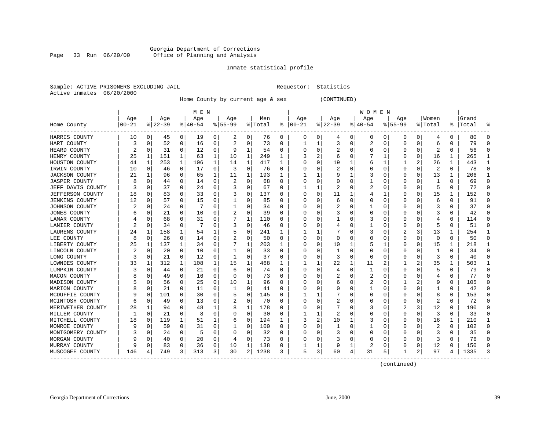#### Georgia Department of Corrections Office of Planning and Analysis

#### Inmate statistical profile

|  | Sample: ACTIVE PRISONERS EXCLUDING JAII |  |
|--|-----------------------------------------|--|
|  | Active inmates 06/20/2000               |  |

L Bample: Active Prequestor: Statistics

Home County by current age & sex (CONTINUED)

|                         |          |          |          |             | M E N    |             |           |          |         |          |          |          |              |          | <b>WOMEN</b> |          |             |          |         |   |       |              |
|-------------------------|----------|----------|----------|-------------|----------|-------------|-----------|----------|---------|----------|----------|----------|--------------|----------|--------------|----------|-------------|----------|---------|---|-------|--------------|
|                         | Age      |          | Age      |             | Age      |             | Age       |          | Men     |          | Age      |          | Age          |          | Age          |          | Age         |          | Women   |   | Grand |              |
| Home County             | $ 00-21$ |          | $ 22-39$ |             | $ 40-54$ |             | $8 55-99$ |          | % Total | ႜ        | $ 00-21$ |          | $ 22-39$     |          | $ 40-54$     |          | $8155 - 99$ |          | % Total | ႜ | Total |              |
| HARRIS COUNTY           | 10       | 0        | 45       | 0           | 19       | 0           | 2         | 0        | 76      | 0        | 0        | 0        | 4            | 0        | 0            | 0        | 0           | 0        | 4       | 0 | 80    | O            |
| HART COUNTY             | 3        | $\Omega$ | 52       | 0           | 16       | 0           | 2         | 0        | 73      | 0        |          | 1        | 3            | $\Omega$ | 2            | 0        | 0           | 0        | 6       | 0 | 79    | $\cap$       |
| HEARD COUNTY            | 2        | 0        | 31       | 0           | 12       | $\mathbf 0$ | 9         | 1        | 54      | 0        |          | $\Omega$ | 2            | 0        | 0            | 0        | U           | $\Omega$ | 2       | 0 | 56    | O            |
| HENRY COUNTY            | 25       | 1        | 151      | $\mathbf 1$ | 63       | 1           | 10        | 1        | 249     | 1        |          | 2        | 6            | 0        |              | 1        |             | 0        | 16      | 1 | 265   |              |
| HOUSTON COUNTY          | 44       | 1        | 253      | 1           | 106      | 1           | 14        | 1        | 417     | 1        |          | $\Omega$ | 19           | 1        | 6            | 1        |             | 2        | 26      | 1 | 443   | $\mathbf{1}$ |
| IRWIN COUNTY            | 10       | 0        | 46       | $\Omega$    | 17       | $\mathbf 0$ | 3         | 0        | 76      | $\Omega$ |          | 0        | 2            | 0        | 0            | 0        | U           | 0        | 2       | 0 | 78    | $\Omega$     |
| <b>JACKSON COUNTY</b>   | 21       | 1        | 96       | 0           | 65       | 1           | 11        | 1        | 193     | 1        |          | 1        | 9            | 1        | 3            | 0        | U           | 0        | 13      | 1 | 206   | 1            |
| <b>JASPER COUNTY</b>    |          | 0        | 44       | 0           | 14       | 0           | 2         | 0        | 68      | 0        |          | 0        | 0            | 0        |              | 0        | 0           | 0        |         | 0 | 69    | $\Omega$     |
| JEFF DAVIS COUNTY       |          | $\Omega$ | 37       | 0           | 24       | 0           |           | 0        | 67      | 0        |          |          |              | 0        | 2            | -0       | U           | O        | 5       | 0 | 72    | $\cap$       |
| <b>JEFFERSON COUNTY</b> | 18       | 0        | 83       | 0           | 33       | 0           |           | 0        | 137     | O        | n        | 0        | 11           | 1        |              |          | O           | 0        | 15      | 1 | 152   | $\Omega$     |
| <b>JENKINS COUNTY</b>   | 12       | 0        | 57       | 0           | 15       | 0           |           | 0        | 85      | O        |          | $\Omega$ | 6            | 0        | O            | $\Omega$ | O           | 0        | 6       | 0 | 91    | n            |
| JOHNSON COUNTY          |          | $\Omega$ | 24       | 0           |          | 0           |           | 0        | 34      | O        |          | 0        | 2            | 0        |              | 0        | 0           | 0        | 3       | 0 | 37    | $\cap$       |
| JONES COUNTY            |          | $\Omega$ | 21       | 0           | 10       | 0           |           | 0        | 39      | O        |          | $\Omega$ |              | O        | Ω            | 0        | O           |          | 3       | 0 | 42    | n            |
| LAMAR COUNTY            |          | $\Omega$ | 68       | 0           | 31       | 0           |           | 1        | 110     | 0        |          | 0        | 1            | 0        | 3            | $\Omega$ | U           | 0        | 4       | 0 | 114   | $\Omega$     |
| LANIER COUNTY           |          | $\Omega$ | 34       | 0           | 7        | 0           |           | 0        | 46      | 0        | n        | $\Omega$ | 4            | 0        |              | 0        | U           | 0        | 5       | 0 | 51    | $\Omega$     |
| LAURENS COUNTY          | 24       | 1        | 158      | 1           | 54       | 1           | 5         | 0        | 241     | 1        |          | 1        |              | 0        | 3            | 0        |             | 3        | 13      | 1 | 254   | -1           |
| LEE COUNTY              |          | 0        | 26       | 0           | 14       | 0           |           | 0        | 50      | 0        |          | 0        | 0            | 0        | 0            | C        | 0           | 0        | 0       | 0 | 50    | $\cap$       |
| LIBERTY COUNTY          | 25       | 1        | 137      | 1           | 34       | 0           |           | 1        | 203     |          |          | 0        | 10           | 1        |              |          | U           | 0        | 15      | 1 | 218   |              |
| LINCOLN COUNTY          |          | 0        | 20       | 0           | 10       | 0           |           | 0        | 33      | 0        |          | 0        | -1           | 0        | 0            | 0        | O           | 0        | -1      | 0 | 34    | $\Omega$     |
| LONG COUNTY             | 3        | $\Omega$ | 21       | 0           | 12       | 0           | 1         | 0        | 37      | 0        |          | $\Omega$ | 3            | 0        | 0            | 0        | 0           | 0        | 3       | 0 | 40    | n            |
| LOWNDES COUNTY          | 33       | 1        | 312      | $\mathbf 1$ | 108      | 1           | 15        | 1        | 468     |          |          | 1        | 22           | 1        | 11           | 2        |             | 2        | 35      | 1 | 503   |              |
| LUMPKIN COUNTY          |          | $\Omega$ | 44       | 0           | 21       | 0           | 6         | 0        | 74      | 0        |          | $\Omega$ | 4            | 0        |              | 0        | 0           | O        | 5       | 0 | 79    | $\Omega$     |
| MACON COUNTY            |          | $\Omega$ | 49       | 0           | 16       | $\Omega$    | $\Omega$  | $\Omega$ | 73      | O        |          | $\Omega$ | 2            | 0        | 2            | $\Omega$ | 0           | O        | 4       | 0 | 77    | $\Omega$     |
| MADISON COUNTY          |          | $\Omega$ | 56       | 0           | 25       | 0           | 10        | 1        | 96      | $\Omega$ |          | $\Omega$ | 6            | 0        |              | 0        |             |          | 9       | 0 | 105   | $\Omega$     |
| MARION COUNTY           |          | 0        | 21       | 0           | 11       | 0           | 1         | 0        | 41      | 0        |          | $\Omega$ | 0            | 0        |              | 0        | 0           | 0        |         | 0 | 42    | $\Omega$     |
| MCDUFFIE COUNTY         |          | $\Omega$ | 101      | 0           | 30       | 0           |           | 0        | 145     | 0        |          |          |              | 0        | 0            | C        | 0           |          | 8       | 0 | 153   | $\cap$       |
| MCINTOSH COUNTY         |          | $\Omega$ | 49       | 0           | 13       | 0           |           | 0        | 70      | 0        |          | $\Omega$ |              | 0        | 0            | C.       | U           | O        |         | 0 | 72    | n            |
| MERIWETHER COUNTY       | 28       | 1        | 94       | 0           | 48       | 1           | 8         | 1        | 178     | O        |          | $\Omega$ |              | O        | 3            | C        |             | 3        | 12      | 0 | 190   | n            |
| MILLER COUNTY           |          | $\Omega$ | 21       | $\Omega$    | 8        | 0           | O         | 0        | 30      | O        |          | 1        | 2            | O        | O            | $\Omega$ | U           | $\Omega$ | 3       | 0 | 33    | O            |
| MITCHELL COUNTY         | 18       | 0        | 119      | 1           | 51       | 1           | 6         | 0        | 194     |          | 3        | 2        | 10           | 1        | 3            | 0        | 0           | 0        | 16      | 1 | 210   |              |
| MONROE COUNTY           |          | $\Omega$ | 59       | 0           | 31       | 0           |           | 0        | 100     | $\Omega$ |          | $\Omega$ | $\mathbf{1}$ | $\Omega$ | 1            | 0        | $\Omega$    | 0        | 2       | 0 | 102   | $\bigcap$    |
| MONTGOMERY COUNTY       |          | $\Omega$ | 24       | 0           | 5        | 0           | O         | 0        | 32      | O        |          | 0        | 3            | O        | O            | 0        | U           | 0        | 3       | 0 | 35    | $\Omega$     |
| MORGAN COUNTY           |          | $\Omega$ | 40       | 0           | 20       | 0           | 4         | 0        | 73      | 0        |          | 0        |              | 0        | 0            | 0        | O           | 0        | 3       | 0 | 76    | $\Omega$     |
| MURRAY COUNTY           |          | $\Omega$ | 83       | 0           | 36       | 0           | 10        | 1        | 138     | 0        |          | 1        | 9            | 1        | 2            | 0        | 0           | 0        | 12      | 0 | 150   | $\Omega$     |
| MUSCOGEE COUNTY         | 146      |          | 749      | 3           | 313      | 3           | 30        | 2        | 1238    | 3        | 5        | 3        | 60           | 4        | 31           | 5        |             | 2        | 97      | 4 | 1335  |              |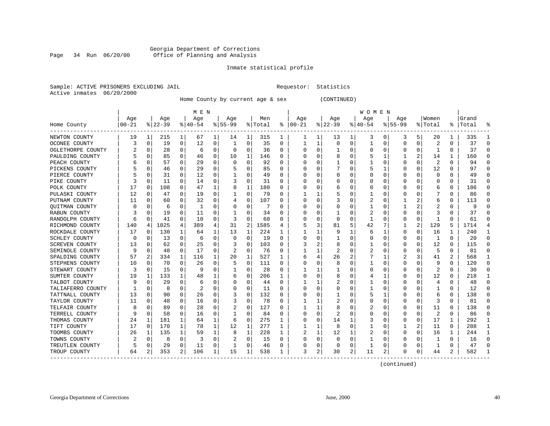#### Georgia Department of Corrections Office of Planning and Analysis

#### Inmate statistical profile

|  | Sample: ACTIVE PRISONERS EXCLUDING JAII |  |
|--|-----------------------------------------|--|
|  | Active inmates 06/20/2000               |  |

L Bample: Activities Requestor: Statistics

Home County by current age & sex (CONTINUED)

|                       |          |             |          |             | M E N    |   |           |          |         |   |          |          |          |          | W O M E N |             |             |          |         |              |           |                |
|-----------------------|----------|-------------|----------|-------------|----------|---|-----------|----------|---------|---|----------|----------|----------|----------|-----------|-------------|-------------|----------|---------|--------------|-----------|----------------|
|                       | Age      |             | Age      |             | Age      |   | Age       |          | Men     |   | Age      |          | Age      |          | Age       |             | Age         |          | Women   |              | Grand     |                |
| Home County           | $ 00-21$ |             | $ 22-39$ |             | $ 40-54$ |   | $8 55-99$ |          | % Total | ႜ | $ 00-21$ |          | $ 22-39$ |          | $ 40-54$  |             | $8155 - 99$ |          | % Total |              | %   Total |                |
| NEWTON COUNTY         | 19       | 1           | 215      | 1           | 67       | 1 | 14        | 1        | 315     | 1 | 1        | 1        | 13       | 1        | 3         | 0           | 3           | 5        | 20      | 1            | 335       |                |
| OCONEE COUNTY         | 3        | 0           | 19       | $\mathbf 0$ | 12       | 0 |           | 0        | 35      | 0 | 1        | 1        | 0        | 0        | 1         | 0           | 0           | 0        | 2       | 0            | 37        | $\Omega$       |
| OGLETHORPE COUNTY     |          | 0           | 28       | $\Omega$    | 6        | 0 | O         | 0        | 36      | 0 | O        | 0        | -1       | $\Omega$ | 0         | 0           | 0           | $\Omega$ | 1       | $\Omega$     | 37        | $\Omega$       |
| PAULDING COUNTY       |          | 0           | 85       | $\Omega$    | 46       | 0 | 10        | 1        | 146     | U |          | 0        | 8        | $\Omega$ |           | 1           | 1           | 2        | 14      | $\mathbf{1}$ | 160       |                |
| PEACH COUNTY          |          | $\Omega$    | 57       | 0           | 29       | 0 | $\Omega$  | 0        | 92      | U |          | $\Omega$ | 1        | O        |           | $\mathbf 0$ | $\Omega$    | $\Omega$ | 2       | $\Omega$     | 94        | $\Omega$       |
| PICKENS COUNTY        |          | $\Omega$    | 46       | 0           | 29       | 0 |           | 0        | 85      | 0 |          | 0        |          | 0        |           | 1           | 0           | $\Omega$ | 12      | 0            | 97        | $\Omega$       |
| PIERCE COUNTY         |          | 0           | 31       | 0           | 12       | 0 |           | 0        | 49      | 0 | O        | 0        | 0        | 0        | 0         | 0           | 0           | O        | 0       | 0            | 49        | $\Omega$       |
| PIKE COUNTY           | 3        | 0           | 11       | 0           | 14       | 0 |           | 0        | 31      | 0 |          | 0        |          | 0        | 0         | 0           | 0           | O        | 0       | 0            | 31        | ∩              |
| POLK COUNTY           | 17       | 0           | 108      | 0           | 47       | 1 | 8         | 1        | 180     | U |          | 0        | 6        | 0        | 0         | 0           | 0           | U        | 6       | $\Omega$     | 186       |                |
| PULASKI COUNTY        | 12       | 0           | 47       | 0           | 19       | 0 |           | 0        | 79      | U |          | 1        |          | 0        |           | 0           | O           | O        |         | 0            | 86        |                |
| PUTNAM COUNTY         | 11       | n           | 60       | 0           | 32       | 0 | 4         | 0        | 107     | U | O        | $\Omega$ |          | 0        | 2         | 0           |             |          | 6       | 0            | 113       |                |
| <b>OUITMAN COUNTY</b> | C        | $\Omega$    | 6        | 0           | 1        | 0 |           | 0        | 7       | U |          | 0        | C        | 0        | 1         | 0           | 1           | 2        | 2       | $\Omega$     | 9         |                |
| RABUN COUNTY          |          | $\Omega$    | 19       | 0           | 11       | 0 |           | $\Omega$ | 34      | U |          | 0        | -1       | 0        | 2         | $\mathbf 0$ | $\Omega$    | $\Omega$ | 3       | O            | 37        |                |
| RANDOLPH COUNTY       | 6        | $\Omega$    | 41       | 0           | 10       | 0 | 3         | 0        | 60      | 0 |          | 0        | $\Omega$ | $\Omega$ | -1        | 0           | 0           | 0        | -1      | 0            | 61        | ∩              |
| RICHMOND COUNTY       | 140      | 4           | 1025     | 4           | 389      | 4 | 31        | 2        | 1585    | 4 |          | 3        | 81       | 5        | 42        | 7           | 1           | 2        | 129     | 5            | 1714      | $\overline{4}$ |
| ROCKDALE COUNTY       | 17       | 0           | 130      | 1           | 64       | 1 | 13        | 1        | 224     | 1 |          | 1        | 9        | 1        | 6         | 1           | 0           | 0        | 16      | 1            | 240       | -1             |
| SCHLEY COUNTY         | 0        | 0           | 13       | 0           | 6        | 0 | 0         | 0        | 19      | 0 |          | 0        |          | 0        | 0         | 0           | 0           | 0        | 1       | 0            | 20        | ∩              |
| SCREVEN COUNTY        | 13       | 0           | 62       | 0           | 25       | 0 | 3         | $\Omega$ | 103     | 0 | 3        | 2        | 8        | 0        |           | 0           | 0           | O        | 12      | 0            | 115       |                |
| SEMINOLE COUNTY       | 9        | n           | 48       | 0           | 17       | 0 | 2         | 0        | 76      | 0 |          | 1        | 2        | 0        |           | 0           | 0           | O        | 5       | 0            | 81        |                |
| SPALDING COUNTY       | 57       | 2           | 334      | 1           | 116      | 1 | 20        | 1        | 527     | 1 | 6        | 4        | 26       | 2        |           | 1           |             | 3        | 41      | 2            | 568       |                |
| STEPHENS COUNTY       | 10       | 0           | 70       | 0           | 26       | 0 | 5         | 0        | 111     | 0 |          | 0        | 8        | 0        |           | 0           | 0           | 0        | 9       | $\Omega$     | 120       | $\Omega$       |
| STEWART COUNTY        | 3        | 0           | 15       | 0           | -9       | 0 |           | 0        | 28      | 0 |          | 1        |          | 0        |           | 0           | 0           | 0        | 2       | 0            | 30        | ∩              |
| SUMTER COUNTY         | 19       | 1           | 133      | 1           | 48       | 1 | 6         | 0        | 206     | 1 | C        | $\Omega$ | 8        | 0        | 4         | 1           | 0           | O        | 12      | $\Omega$     | 218       | -1             |
| TALBOT COUNTY         | 9        | $\Omega$    | 29       | 0           | 6        | 0 | O         | 0        | 44      | 0 |          | 1        |          | 0        |           | 0           | 0           | 0        | 4       | $\Omega$     | 48        | ∩              |
| TALIAFERRO COUNTY     |          | 0           | 8        | 0           | 2        | 0 | 0         | 0        | 11      | 0 |          | $\Omega$ | 0        | 0        |           | 0           | 0           | 0        | 1       | 0            | 12        | $\Omega$       |
| TATTNALL COUNTY       | 13       | 0           | 90       | 0           | 26       | 0 |           | $\Omega$ | 132     | 0 |          | 0        | 1        | 0        | 5         |             | 0           | 0        | 6       | 0            | 138       |                |
| TAYLOR COUNTY         | 11       | 0           | 48       | 0           | 16       | 0 | 3         | 0        | 78      | 0 |          | 1        |          | 0        | 0         | $\Omega$    | 0           | O        | 3       | 0            | 81        |                |
| TELFAIR COUNTY        | 8        | n           | 89       | 0           | 28       | 0 |           | $\Omega$ | 127     | U |          | 1        | 8        | O        | 2         | $\Omega$    | O           | 0        | 11      | 0            | 138       | n              |
| TERRELL COUNTY        | 9        | $\Omega$    | 58       | 0           | 16       | 0 |           | 0        | 84      | 0 | O        | $\Omega$ |          | O        | 0         | $\Omega$    | 0           | $\Omega$ | 2       | 0            | 86        | ∩              |
| THOMAS COUNTY         | 24       | 1           | 181      | 1           | 64       | 1 | 6         | 0        | 275     | 1 | 0        | 0        | 14       | 1        | 3         | 0           | 0           | 0        | 17      | 1            | 292       | -1             |
| TIFT COUNTY           | 17       | $\mathbf 0$ | 170      | 1           | 78       | 1 | 12        | 1        | 277     | 1 |          | 1        | 8        | $\Omega$ | 1         | $\mathbf 0$ | 1           | 2        | 11      | $\Omega$     | 288       | $\mathbf{1}$   |
| TOOMBS COUNTY         | 26       | 1           | 135      | 1           | 59       | 1 | 8         | 1        | 228     | 1 | 2        | 1        | 12       | 1        | 2         | 0           | 0           | $\Omega$ | 16      | 1            | 244       | -1             |
| TOWNS COUNTY          | 2        | 0           | 8        | 0           | 3        | 0 |           | 0        | 15      | 0 | C        | 0        | $\Omega$ | 0        |           | 0           | 0           | 0        | -1      | 0            | 16        | $\Omega$       |
| TREUTLEN COUNTY       | 5        | 0           | 29       | 0           | 11       | 0 |           | 0        | 46      | 0 | 0        | 0        | 0        | 0        |           | 0           | 0           | 0        |         | 0            | 47        | ∩              |
| TROUP COUNTY          | 64       | 2           | 353      | 2           | 106      | 1 | 15        | 1        | 538     | 1 | 3        | 2        | 30       | 2        | 11        | 2           | 0           | 0        | 44      | 2            | 582       |                |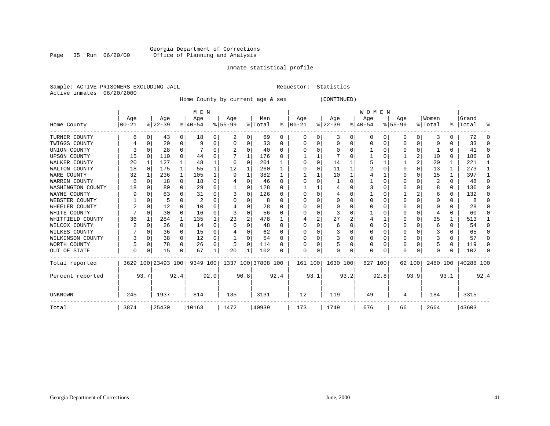#### Georgia Department of Corrections Page 35 Run 06/20/00 Office of Planning and Analysis

### Inmate statistical profile

|  | Sample: ACTIVE PRISONERS EXCLUDING JAI |  |
|--|----------------------------------------|--|
|  | Active inmates 06/20/2000              |  |

IL Requestor: Statistics

Home County by current age & sex (CONTINUED)

|                     |       |              |                    |          | M E N       |          |                    |      |         |              |            |      |           |      | WOMEN    |      |             |                |          |              |           |              |
|---------------------|-------|--------------|--------------------|----------|-------------|----------|--------------------|------|---------|--------------|------------|------|-----------|------|----------|------|-------------|----------------|----------|--------------|-----------|--------------|
|                     | Age   |              | Age                |          | Age         |          | Age                |      | Men     |              | Age        |      | Age       |      | Age      |      | Age         |                | Women    |              | Grand     |              |
| Home County         | 00-21 |              | $ 22-39 $          |          | $8140 - 54$ |          | $8 55-99$          |      | % Total | ႜၟ           | $ 00 - 21$ |      | $ 22-39 $ |      | $ 40-54$ |      | $8155 - 99$ |                | % Total  | ⊱            | Total     | ႜ            |
| TURNER COUNTY       |       | 0            | 43                 | 0        | 18          |          | 2                  | 0    | 69      | 0            | 0          | O    | 3         | 0    | 0        | 0    | O           | 0 <sup>1</sup> | 3        |              | 72        | O            |
| TWIGGS COUNTY       |       | <sup>0</sup> | 20                 | $\Omega$ |             |          | $\left($           | 0    | 33      | <sup>0</sup> |            |      | 0         | 0    | U        | 0    |             | 0              |          |              | 33        | $\Omega$     |
| UNION COUNTY        |       |              | 28                 | $\Omega$ |             |          |                    | 0    | 40      | $\Omega$     |            | U    | $\cap$    | U    |          | O    |             | 0              |          | U            | 41        | $\Omega$     |
| <b>UPSON COUNTY</b> | 15    | $\Omega$     | 110                | $\Omega$ | 44          |          |                    |      | 176     | <sup>0</sup> |            |      |           |      |          | 0    |             | 2              | 10       | 0            | 186       | $\Omega$     |
| WALKER COUNTY       | 20    | 1            | 127                |          | 48          |          | 6                  | 0    | 201     |              | O          | O    | 14        |      |          |      |             | $\overline{2}$ | 20       |              | 221       |              |
| WALTON COUNTY       | 18    | $\Omega$     | 175                |          | 55          |          | 12                 |      | 260     |              | U          | U    | 11        |      |          | 0    |             | $\Omega$       | 13       |              | 273       |              |
| WARE COUNTY         | 32    |              | 236                | 1        | 105         |          | 9                  |      | 382     |              |            |      | 10        |      |          |      |             | $\Omega$       | 15       |              | 397       | 1            |
| WARREN COUNTY       | 6     | $\Omega$     | 18                 | $\Omega$ | 18          |          |                    | 0    | 46      | $\Omega$     |            |      |           |      |          | 0    |             | $\Omega$       | 2        | <sup>0</sup> | 48        | $\Omega$     |
| WASHINGTON COUNTY   | 18    |              | 80                 | $\Omega$ | 29          |          |                    | 0    | 128     | $\Omega$     |            |      |           |      |          | 0    |             | $\Omega$       | 8        | 0            | 136       | $\Omega$     |
| WAYNE COUNTY        |       |              | 83                 | $\Omega$ | 31          |          |                    | 0    | 126     | <sup>0</sup> |            | O    |           |      |          | U    |             | 2              | 6        | <sup>0</sup> | 132       | <sup>0</sup> |
| WEBSTER COUNTY      |       |              | 5                  | 0        | 2           |          |                    | U    | 8       | $\Omega$     |            | U    | C         | N    |          | U    |             | $\Omega$       | U        | <sup>0</sup> | 8         | $\Omega$     |
| WHEELER COUNTY      |       | $\Omega$     | 12                 | $\Omega$ | 10          |          |                    | N    | 28      | <sup>n</sup> |            |      | $\cap$    |      | U        | U    |             | $\Omega$       | U        | U            | 28        | <sup>n</sup> |
| WHITE COUNTY        |       | $\Omega$     | 30                 | $\Omega$ | 16          |          | ζ                  | O    | 56      | ∩            |            | O    |           |      |          | U    |             | $\Omega$       |          |              | 60        | <sup>0</sup> |
| WHITFIELD COUNTY    | 36    | 1            | 284                | 1        | 135         |          | 23                 | 2    | 478     |              |            | 2    | 27        | 2    |          |      |             | $\Omega$       | 35       | -1           | 513       |              |
| WILCOX COUNTY       | 2     | $\Omega$     | 26                 | $\Omega$ | 14          |          | 6                  | O    | 48      | $\Omega$     | U          | U    | 6         |      | U        | U    |             | $\Omega$       | 6        |              | 54        | $\Omega$     |
| WILKES COUNTY       |       |              | 36                 | $\Omega$ | 15          |          |                    | 0    | 62      | <sup>0</sup> |            |      | 3         |      | 0        | 0    |             | $\Omega$       |          |              | 65        | 0            |
| WILKINSON COUNTY    |       | $\Omega$     | 38                 | $\Omega$ | 12          | $\Omega$ |                    | 0    | 54      | $\Omega$     |            | O    | 3         | 0    | 0        | 0    |             | $\Omega$       |          | 0            | 57        | $\Omega$     |
| WORTH COUNTY        |       | $\Omega$     | 78                 | $\Omega$ | 26          | $\Omega$ | 5                  | 0    | 114     | $\Omega$     |            |      |           | U    | U        | U    |             | $\Omega$       |          | 0            | 119       | $\Omega$     |
| OUT OF STATE        | O     | 0            | 15                 |          | 67          |          | 20                 |      | 102     | $\Omega$     | O          | 0    | C         | 0    | U        | 0    |             | 0              | U        |              | 102       | $\Omega$     |
| Total reported      |       |              | 3629 100 23493 100 |          | 9349 100    |          | 1337 100 37808 100 |      |         |              | 161 100    |      | 1630 100  |      | 627 100  |      | 62 100      |                | 2480 100 |              | 40288 100 |              |
| Percent reported    |       | 93.7         |                    | 92.4     |             | 92.0     |                    | 90.8 |         | 92.4         |            | 93.1 |           | 93.2 |          | 92.8 |             | 93.9           |          | 93.1         |           | 92.4         |
| <b>UNKNOWN</b>      | 245   |              | 1937               |          | 814         |          | 135                |      | 3131    |              | 12         |      | 119       |      | 49       |      |             |                | 184      |              | 3315      |              |
| Total               | 3874  |              | 25430              |          | 10163       |          | 1472               |      | 40939   |              | 173        |      | 1749      |      | 676      |      | 66          |                | 2664     |              | 43603     |              |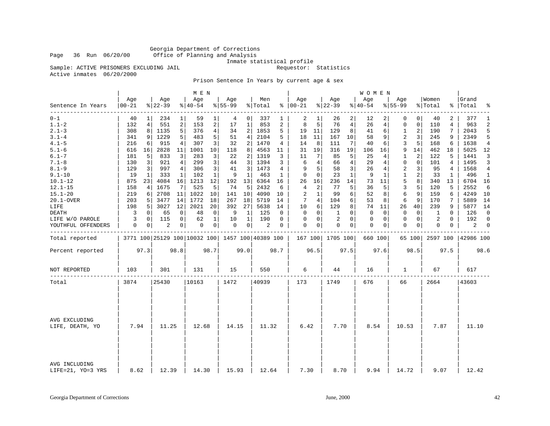Georgia Department of Corrections Office of Planning and Analysis

Inmate statistical profile

Sample: ACTIVE PRISONERS EXCLUDING JAIL **Requestor:** Statistics

Active inmates 06/20/2000

Prison Sentence In Years by current age & sex

|                                    |                   |             |                 |             | M E N           |                |                  |                |                                                 |              |                      |              |                  |                | W O M E N       |             |                    |             |                  |              |                    |                |
|------------------------------------|-------------------|-------------|-----------------|-------------|-----------------|----------------|------------------|----------------|-------------------------------------------------|--------------|----------------------|--------------|------------------|----------------|-----------------|-------------|--------------------|-------------|------------------|--------------|--------------------|----------------|
| Sentence In Years                  | Age<br>$ 00 - 21$ |             | Age<br>$ 22-39$ |             | Age<br>$ 40-54$ |                | Age<br>$8 55-99$ |                | Men<br>% Total                                  |              | Age<br>$8   00 - 21$ |              | Age<br>$8 22-39$ |                | Age<br>$ 40-54$ |             | Age<br>$8155 - 99$ |             | Women<br>% Total |              | Grand<br>%   Total | ႜ              |
| -------<br>$0 - 1$                 | 40                |             | 234             | 1           | 59              | 1              | 4                | 0              | 337                                             | 1            | 2                    | 1            | 26               | 2              | 12              |             | $\Omega$           | $\Omega$    | 40               | 2            | 377                | 1              |
| $1.1 - 2$                          | 132               | 4           | 551             | 2           | 153             | 2              | 17               | $\mathbf{1}$   | 853                                             | 2            | 8                    | 5            | 76               | $\overline{4}$ | 26              | 4           | 0                  | $\mathbf 0$ | 110              | 4            | 963                | $\overline{2}$ |
| $2.1 - 3$                          | 308               | 8           | 1135            | 5           | 376             | $\overline{4}$ | 34               | 2              | 1853                                            | 5            | 19                   | 11           | 129              | 8              | 41              | 6           | 1                  | 2           | 190              | 7            | 2043               | 5              |
| $3.1 - 4$                          | 341               | 9           | 1229            | 5           | 483             | 5              | 51               | 4              | 2104                                            | 5            | 18                   | 11           | 167              | 10             | 58              | 9           | 2                  | 3           | 245              | 9            | 2349               | 5              |
| $4.1 - 5$                          | 216               | 6           | 915             | 4           | 307             | 3              | 32               | 2              | 1470                                            | 4            | 14                   | 8            | 111              | 7              | 40              | 6           | 3                  | 5           | 168              | 6            | 1638               | $\overline{4}$ |
| $5.1 - 6$                          | 616               | 16          | 2828            | 11          | 1001            | 10             | 118              | 8              | 4563                                            | 11           | 31                   | 19           | 316              | 19             | 106             | 16          | 9                  | 14          | 462              | 18           | 5025               | 12             |
| $6.1 - 7$                          | 181               | 5           | 833             | 3           | 283             | 3              | 22               | 2              | 1319                                            | 3            | 11                   | 7            | 85               | 5              | 25              | 4           | 1                  | 2           | 122              | 5            | 1441               | 3              |
| $7.1 - 8$                          | 130               | 3           | 921             | 4           | 299             | 3              | 44               | 3              | 1394                                            | 3            | 6                    | 4            | 66               | $\overline{4}$ | 29              | 4           | 0                  | $\mathbf 0$ | 101              | 4            | 1495               | 3              |
| $8.1 - 9$                          | 129               | 3           | 997             | 4           | 306             | 3              | 41               | 3              | 1473                                            | 4            | 9                    | 5            | 58               | 3              | 26              | 4           | 2                  | 3           | 95               | 4            | 1568               | 4              |
| $9.1 - 10$                         | 19                | 1           | 333             | 1           | 102             | $\mathbf{1}$   | 9                | 1              | 463                                             | $\mathbf{1}$ | $\mathbf 0$          | $\Omega$     | 23               | $\mathbf{1}$   | 9               | 1           | $\mathbf 1$        | 2           | 33               | $\mathbf{1}$ | 496                | $\mathbf{1}$   |
| $10.1 - 12$                        | 875               | 23          | 4084            | 16          | 1213            | 12             | 192              | 13             | 6364                                            | 16           | 26                   | 16           | 236              | 14             | 73              | 11          | 5                  | 8           | 340              | 13           | 6704               | 16             |
| $12.1 - 15$                        | 158               | 4           | 1675            | 7           | 525             | 5              | 74               | 5              | 2432                                            | 6            | 4                    | 2            | 77               | 5              | 36              | 5           | 3                  | 5           | 120              | 5            | 2552               | 6              |
| $15.1 - 20$                        | 219               | 6           | 2708            | 11          | 1022            | 10             | 141              | 10             | 4090                                            | 10           | 2                    | $\mathbf{1}$ | 99               | 6              | 52              | 8           | 6                  | 9           | 159              | 6            | 4249               | 10             |
| 20.1-OVER                          | 203               | 5           | 3477            | 14          | 1772            | 18             | 267              | 18             | 5719                                            | 14           | 7                    | 4            | 104              | 6              | 53              | 8           | 6                  | 9           | 170              | 7            | 5889               | 14             |
| LIFE                               | 198               | 5           | 3027            | 12          | 2021            | 20             | 392              | 27             | 5638                                            | 14           | 10                   | 6            | 129              | 8              | 74              | 11          | 26                 | 40          | 239              | 9            | 5877               | 14             |
| <b>DEATH</b>                       | 3                 | $\mathbf 0$ | 65              | 0           | 48              | 0              | 9                | 1              | 125                                             | 0            | 0                    | 0            | 1                | $\Omega$       | 0               | $\mathbf 0$ | 0                  | 0           | 1                | 0            | 126                | $\mathbf 0$    |
| LIFE W/O PAROLE                    | 3                 | $\Omega$    | 115             | $\mathbf 0$ | 62              | $\mathbf{1}$   | 10               | $\mathbf{1}$   | 190                                             | $\Omega$     | $\Omega$             | $\Omega$     | 2                | $\Omega$       | 0               | $\Omega$    | $\Omega$           | $\Omega$    | 2                | $\Omega$     | 192                | $\Omega$       |
| YOUTHFUL OFFENDERS                 | 0                 | 0           | $\overline{2}$  | 0           | 0               | 0              | 0                | $\overline{0}$ | $\overline{c}$                                  | 0            | 0                    | 0            | 0                | 0              | 0               | 0           | $\mathbf 0$        | 0           | 0                | 0            | 2                  | 0              |
| Total reported                     |                   |             |                 |             |                 |                |                  |                | 3771 100 25129 100 10032 100 1457 100 40389 100 |              | 167 100              |              | 1705 100         |                | 660 100         |             |                    | 65 100      | 2597 100         |              | 42986 100          |                |
| Percent reported                   |                   | 97.3        |                 | 98.8        |                 | 98.7           |                  | 99.0           |                                                 | 98.7         |                      | 96.5         |                  | 97.5           |                 | 97.6        |                    | 98.5        |                  | 97.5         |                    | 98.6           |
| NOT REPORTED                       | 103               |             | 301             |             | 131             |                | 15               |                | 550                                             |              | 6                    |              | 44               |                | 16              |             | 1                  |             | 67               |              | 617                |                |
| Total                              | 3874              |             | 25430           |             | 10163           |                | 1472             |                | 40939                                           |              | 173                  |              | 1749             |                | 676             |             | 66                 |             | 2664             |              | 43603              |                |
|                                    |                   |             |                 |             |                 |                |                  |                |                                                 |              |                      |              |                  |                |                 |             |                    |             |                  |              |                    |                |
| AVG EXCLUDING<br>LIFE, DEATH, YO   | 7.94              |             | 11.25           |             | 12.68           |                | 14.15            |                | 11.32                                           |              | 6.42                 |              | 7.70             |                | 8.54            |             | 10.53              |             | 7.87             |              | 11.10              |                |
| AVG INCLUDING<br>LIFE=21, YO=3 YRS | 8.62              |             | 12.39           |             | 14.30           |                | 15.93            |                | 12.64                                           |              | 7.30                 |              | 8.70             |                | 9.94            |             | 14.72              |             | 9.07             |              | 12.42              |                |
|                                    |                   |             |                 |             |                 |                |                  |                |                                                 |              |                      |              |                  |                |                 |             |                    |             |                  |              |                    |                |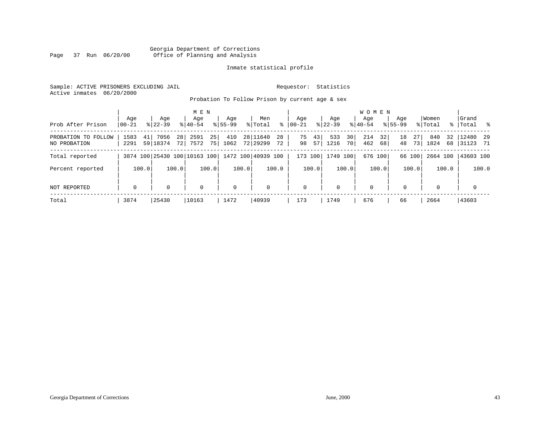#### Georgia Department of Corrections<br>Page 37 Run 06/20/00 office of Planning and Analysis Page 37 Run 06/20/00 Office of Planning and Analysis

#### Inmate statistical profile

Sample: ACTIVE PRISONERS EXCLUDING JAIL **Requestor:** Statistics Active inmates 06/20/2000

Probation To Follow Prison by current age & sex

| Prob After Prison                   | Age<br>$ 00-21 $ | Age<br>$8122 - 39$           |            | M E N<br>Age<br>$8140 - 54$ |          | Age<br>$8155 - 99$ | Men<br>% Total       | ွေ       | Aqe<br>$00 - 21$ |          | Aqe<br>$ 22 - 39 $ |          | W O M E N<br>Aqe<br>$8 40-54$ |          | Age<br>$8155 - 99$ |          | Women<br>% Total |       | Grand<br>%   Total %  |       |
|-------------------------------------|------------------|------------------------------|------------|-----------------------------|----------|--------------------|----------------------|----------|------------------|----------|--------------------|----------|-------------------------------|----------|--------------------|----------|------------------|-------|-----------------------|-------|
| PROBATION TO FOLLOW<br>NO PROBATION | 1583<br>2291     | 7056<br>41  <br>59 18374     | 28<br>72 l | 2591<br>7572                | 25<br>75 | 410<br>1062        | 28 11640<br>72 29299 | 28<br>72 | 75<br>98         | 43<br>57 | 533<br>1216        | 30<br>70 | 214<br>462                    | 32<br>68 | 18<br>48           | 27<br>73 | 840<br>1824      | 68    | 32 12480 29<br> 31123 | 71    |
| Total reported                      |                  | 3874 100 25430 100 10163 100 |            |                             |          |                    | 1472 100 40939 100   |          | 173 100          |          | 1749 100           |          | 676 100                       |          |                    | 66 100   | 2664 100         |       | 43603 100             |       |
| Percent reported                    |                  | 100.0                        | 100.0      |                             | 100.0    | 100.0              |                      | 100.0    |                  | 100.0    |                    | 100.0    |                               | 100.0    |                    | 100.0    |                  | 100.0 |                       | 100.0 |
| NOT REPORTED                        | $\mathbf 0$      | 0                            |            | $\mathbf 0$                 |          | $\mathbf 0$        | 0                    |          | $\mathbf 0$      |          | $\mathbf{0}$       |          | $\mathbf 0$                   |          | $\Omega$           |          | 0                |       | $\mathbf 0$           |       |
| Total                               | 3874             | 25430                        |            | 10163                       |          | 1472               | 40939                |          | 173              |          | 1749               |          | 676                           |          | 66                 |          | 2664             |       | 43603                 |       |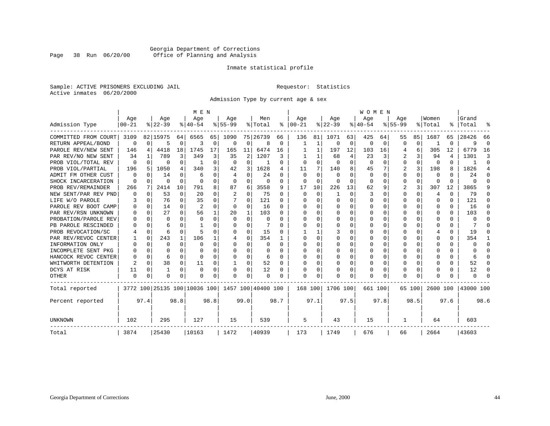#### Georgia Department of Corrections Page 38 Run 06/20/00 Office of Planning and Analysis

#### Inmate statistical profile

Sample: ACTIVE PRISONERS EXCLUDING JAIL **Requestor:** Statistics Active inmates 06/20/2000

Admission Type by current age & sex

|                        |           |              |                              |          | M E N          |          |           |                |                    |          |            |          |          |      | <b>WOMEN</b> |          |             |          |                |          |           |                |
|------------------------|-----------|--------------|------------------------------|----------|----------------|----------|-----------|----------------|--------------------|----------|------------|----------|----------|------|--------------|----------|-------------|----------|----------------|----------|-----------|----------------|
|                        | Age       |              | Age                          |          | Age            |          | Age       |                | Men                |          | Age        |          | Age      |      | Age          |          | Age         |          | Women          |          | Grand     |                |
| Admission Type         | $00 - 21$ |              | $8 22-39$                    |          | $8 40-54$      |          | $8 55-99$ |                | % Total            |          | $% 100-21$ |          | $ 22-39$ |      | $8 40-54$    |          | $8155 - 99$ |          | % Total        |          | %   Total | ু              |
| COMMITTED FROM COURT   | 3109      |              | 82 15975                     | 64       | 6565           | 65       | 1090      |                | 75 26739           | 66       | 136        | 81       | 1071     | 63   | 425          | 64       | 55          | 85       | 1687           | 65       | 28426     | 66             |
| RETURN APPEAL/BOND     | $\Omega$  | $\Omega$     | 5                            | $\Omega$ | 3              | 0        | 0         | 0              | 8                  | 0        |            | 1        | 0        | 0    | O            | 0        | 0           | 0        |                | 0        | a         | $\Omega$       |
| PAROLE REV/NEW SENT    | 146       | 4            | 4418                         | 18       | 1745           | 17       | 165       | 11             | 6474               | 16       |            |          | 197      | 12   | 103          | 16       | 4           | 6        | 305            | 12       | 6779      | 16             |
| PAR REV/NO NEW SENT    | 34        | 1            | 789                          | 3        | 349            | 3        | 35        | $\overline{2}$ | 1207               | 3        |            |          | 68       | 4    | 23           | 3        |             | 3        | 94             | 4        | 1301      | 3              |
| PROB VIOL/TOTAL REV    | O         | $\Omega$     | 0                            | $\Omega$ | -1             | $\Omega$ | $\Omega$  | $\Omega$       | -1                 | $\Omega$ | O          | $\Omega$ | $\Omega$ | 0    | $\Omega$     | $\Omega$ | 0           | $\Omega$ | $\Omega$       | 0        |           | $\Omega$       |
| PROB VIOL/PARTIAL      | 196       | 5            | 1050                         | 4        | 340            | 3        | 42        | 3              | 1628               | 4        | 11         | 7        | 140      | 8    | 45           | 7        | 2           | 3        | 198            | 8        | 1826      | $\overline{4}$ |
| FM OTHER CUST<br>ADMIT | $\Omega$  | <sup>0</sup> | 14                           | $\Omega$ | 6              | O        | 4         | $\Omega$       | 24                 | O        | $\Omega$   | $\Omega$ | $\Omega$ | U    | $\Omega$     | $\Omega$ | 0           | $\Omega$ | 0              | $\Omega$ | 24        | ∩              |
| SHOCK INCARCERATION    | 0         | $\Omega$     | 0                            | $\Omega$ | $\Omega$       | $\Omega$ | 0         | $\Omega$       |                    | $\Omega$ | $\Omega$   | $\Omega$ | 0        | O    |              | O        | 0           | $\Omega$ | $\Omega$       | $\Omega$ |           |                |
| PROB REV/REMAINDER     | 266       | 7            | 2414                         | 10       | 791            | 8        | 87        | 6              | 3558               | 9        | 17         | 10       | 226      | 13   | 62           | 9        | 2           | 3        | 307            | 12       | 3865      |                |
| NEW SENT/PAR REV PND   | O         | $\Omega$     | 53                           | $\Omega$ | 20             | $\Omega$ | 2         | $\Omega$       | 75                 | $\Omega$ | $\Omega$   | $\Omega$ |          | O    | 3            | $\Omega$ | 0           | $\Omega$ | $\overline{4}$ | $\Omega$ | 79        |                |
| LIFE W/O PAROLE        |           | $\Omega$     | 76                           | $\Omega$ | 35             | $\Omega$ |           | $\Omega$       | 121                | U        | O          | $\Omega$ | 0        | U    | n            | U        | 0           | 0        | $\Omega$       | 0        | 121       |                |
| PAROLE REV BOOT CAMP   |           | 0            | 14                           | $\Omega$ | $\overline{2}$ | U        | $\Omega$  | U              | 16                 | U        | O          |          | O        | U    |              | U        | U           | 0        | $\Omega$       | 0        | 16        |                |
| PAR REV/RSN UNKNOWN    |           | $\Omega$     | 27                           | $\Omega$ | 56             |          | 20        | 1              | 103                | U        |            |          | O        | U    |              | U        | U           | 0        | $\Omega$       | 0        | 103       | n              |
| PROBATION/PAROLE REV   |           | $\Omega$     | U                            | U        | $\Omega$       | U        | O         | O              | $\Omega$           | ∩        |            |          | O        | U    |              | O        | U           | 0        | $\Omega$       | $\Omega$ |           |                |
| PB PAROLE RESCINDED    |           | $\Omega$     | б                            | U        |                |          | O         | U              |                    |          |            |          | O        | U    |              | $\Omega$ | U           | 0        | $\cap$         | 0        |           |                |
| PROB REVOCATION/SC     |           | 0            | 6                            | $\Omega$ |                |          | U         | 0              | 15                 | O        |            |          |          |      |              | O        | U           | 0        | 4              | 0        | 19        | ∩              |
| PAR REV/REVOC CENTER   |           | 0            | 243                          | 1        | 106            |          | 4         | 0              | 354                |          | ∩          | $\Omega$ | O        | U    |              | $\Omega$ | U           | 0        | O              | 0        | 354       |                |
| INFORMATION ONLY       |           | $\Omega$     | U                            | $\Omega$ | $\Omega$       | O        | U         | U              | $\Omega$           | U        | O          | $\Omega$ |          | U    |              | $\Omega$ | U           | 0        | $\Omega$       | 0        |           | ∩              |
| INCOMPLETE SENT PKG    |           | 0            | U                            | $\Omega$ | ∩              |          |           | 0              | $\Omega$           | U        |            | O        |          | U    |              | $\Omega$ |             | 0        | C              | $\Omega$ |           |                |
| HANCOCK REVOC CENTER   |           | $\Omega$     | 6                            | $\Omega$ | $\Omega$       | O        | 0         | $\Omega$       | 6                  | O        |            | O        |          | 0    |              | $\Omega$ | 0           | 0        | O              | 0        | 6         | $\cap$         |
| WHITWORTH DETENTION    |           | $\Omega$     | 38                           | $\Omega$ | 11             | 0        |           | $\Omega$       | 52                 | 0        |            | $\Omega$ | 0        | 0    |              | $\Omega$ | 0           | 0        | O              | 0        | 52        | ∩              |
| DCYS AT RISK           | 11        | 0            |                              | $\Omega$ | $\Omega$       | $\Omega$ |           | $\Omega$       | 12                 | 0        |            | $\Omega$ | 0        | U    |              | 0        | 0           | 0        | 0              | 0        | 12        | ∩              |
| OTHER                  | 0         | 0            | U                            | U        | ∩              | 0        | U         | 0              | $\Omega$           | U        | $\Omega$   | $\Omega$ | O        | 0    | ∩            | U        | U           | 0        | $\Omega$       | U        |           |                |
| Total reported         |           |              | 3772 100 25135 100 10036 100 |          |                |          |           |                | 1457 100 40400 100 |          | 168 100    |          | 1706 100 |      | 661 100      |          |             | 65 100   | 2600 100       |          | 43000 100 |                |
| Percent reported       |           | 97.4         |                              | 98.8     |                | 98.8     |           | 99.0           |                    | 98.7     |            | 97.1     |          | 97.5 |              | 97.8     |             | 98.5     |                | 97.6     |           | 98.6           |
| UNKNOWN                | 102       |              | 295                          |          | 127            |          | 15        |                | 539                |          | 5          |          | 43       |      | 15           |          | 1           |          | 64             |          | 603       |                |
| Total                  | 3874      |              | 25430                        |          | 10163          |          | 1472      |                | 40939              |          | 173        |          | 1749     |      | 676          |          | 66          |          | 2664           |          | 43603     |                |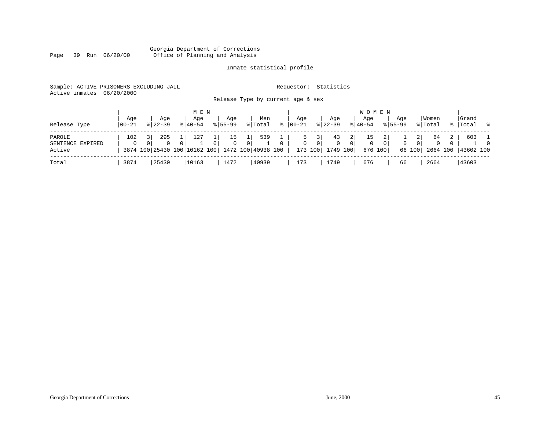#### Georgia Department of Corrections Page 39 Run 06/20/00 Office of Planning and Analysis

### Inmate statistical profile

| Sample: ACTIVE PRISONERS EXCLUDING JAIL<br>Active inmates | 06/20/2000 |                              |             |             |                                   |   | Requestor:  |                  | Statistics  |                |                |           |             |                |          |                |           |   |
|-----------------------------------------------------------|------------|------------------------------|-------------|-------------|-----------------------------------|---|-------------|------------------|-------------|----------------|----------------|-----------|-------------|----------------|----------|----------------|-----------|---|
|                                                           |            |                              |             |             | Release Type by current age & sex |   |             |                  |             |                |                |           |             |                |          |                |           |   |
|                                                           |            |                              | M E N       |             |                                   |   |             |                  |             |                |                | W O M E N |             |                |          |                |           |   |
|                                                           | Age        | Age                          | Aqe         | Aqe         | Men                               |   | Aqe         |                  | Aqe         |                | Aqe            |           | Aqe         |                | Women    |                | Grand     |   |
| Release Type                                              | 00-21      | $8122 - 39$                  | $8140 - 54$ | $8155 - 99$ | % Total                           | ፠ | $ 00-21$    |                  | $8$   22-39 | $ 40-54 $      |                |           | $8155 - 99$ |                | % Total  | $\approx$      | Total     | ွ |
| PAROLE                                                    | 102        | 295<br>3 I                   | 127         | 15          | 539                               |   | 5           |                  | 43          | 2              | 15             |           |             | $\overline{2}$ | 64       | $\overline{a}$ | 603       |   |
| SENTENCE EXPIRED                                          |            | $\Omega$<br>$\Omega$         | 0           | $\Omega$    | $\Omega$                          |   | $\mathbf 0$ | $\Omega$         | $\mathbf 0$ | $\overline{0}$ | $\overline{0}$ | $\circ$   | $\mathbf 0$ | $\overline{0}$ | $\Omega$ |                |           |   |
| Active                                                    |            | 3874 100 25430 100 10162 100 |             |             | 1472 100 40938 100                |   |             | 173 100 1749 100 |             |                | 676 100        |           |             | 66 100         | 2664 100 |                | 43602 100 |   |
| Total                                                     | 3874       | 25430                        | 10163       | 1472        | 40939                             |   | 173         |                  | 1749        |                | 676            |           | 66          |                | 2664     |                | 43603     |   |

 $1\,$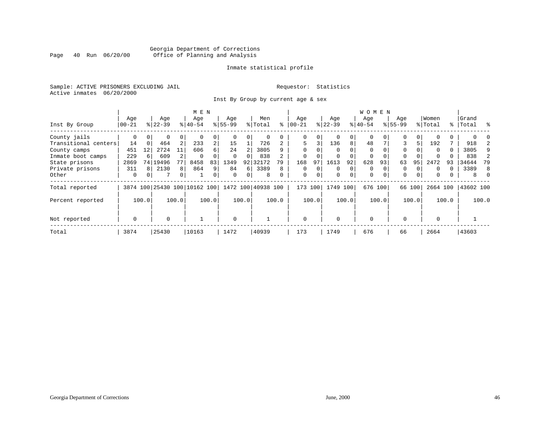#### Georgia Department of Corrections<br>Page 40 Run 06/20/00 Office of Planning and Analysis Page 40 Run 06/20/00 Office of Planning and Analysis

#### Inmate statistical profile

Sample: ACTIVE PRISONERS EXCLUDING JAIL **Requestor:** Statistics Active inmates 06/20/2000

Inst By Group by current age & sex

|                      |          |              |           |                | M E N                        |                |           |          |                    |       |             |          |           |       | <b>WOMEN</b> |          |             |        |          |          |           |          |
|----------------------|----------|--------------|-----------|----------------|------------------------------|----------------|-----------|----------|--------------------|-------|-------------|----------|-----------|-------|--------------|----------|-------------|--------|----------|----------|-----------|----------|
|                      | Age      |              | Age       |                | Age                          |                | Age       |          | Men                |       | Age         |          | Age       |       | Aqe          |          | Age         |        | Women    |          | Grand     |          |
| Inst By Group        | $ 00-21$ |              | $ 22-39 $ |                | $8 40-54$                    |                | $ 55-99 $ |          | % Total            | ႜ     | $00 - 21$   |          | $ 22-39 $ |       | $ 40-54 $    |          | $8155 - 99$ |        | % Total  | %        | Total     |          |
| County jails         | 0        |              | $\Omega$  | 0              | $\Omega$                     | 0              |           |          |                    |       | 0           |          |           | 0     | $\Omega$     |          | $\Omega$    |        |          |          |           |          |
| Transitional centers | 14       | $\Omega$     | 464       | $\overline{2}$ | 233                          | $\overline{a}$ | 15        |          | 726                |       | 5           | 3        | 136       | 8     | 48           |          | 3           | 5      | 192      |          | 918       |          |
| County camps         | 451      | 12           | 2724      | 11             | 606                          | б.             | 24        |          | 3805               |       | $\Omega$    |          |           |       | $\mathbf 0$  |          | 0           |        | $\Omega$ | 0        | 3805      | 9        |
| Inmate boot camps    | 229      |              | 609       |                | $\Omega$                     |                | $\Omega$  | $\Omega$ | 838                |       | $\Omega$    |          | $\Omega$  |       | 0            | $\Omega$ | $\Omega$    |        | $\Omega$ |          | 838       | 2        |
| State prisons        | 2869     |              | 74 19496  |                | 8458                         | 83             | 1349      | 92       | 32172              | 79    | 168         | 97       | 1613      | 92    | 628          | 93       | 63          | 95     | 2472     | 93       | 34644     | 79       |
| Private prisons      | 311      | $\mathsf{R}$ | 2130      | 8              | 864                          | 9              | 84        | 6        | 3389               | 8     | 0           | $\Omega$ | $\Omega$  | 0     | 0            |          | 0           |        | $\Omega$ | $\Omega$ | 3389      | 8        |
| Other                | $\Omega$ | $\Omega$     | 7         | 0              |                              | 0              | $\Omega$  | $\Omega$ | 8                  |       | $\mathbf 0$ | $\Omega$ | 0         | 0     | $\mathbf 0$  | $\Omega$ | $\mathbf 0$ |        | $\Omega$ | 0        | 8         | $\Omega$ |
| Total reported       |          |              |           |                | 3874 100 25430 100 10162 100 |                |           |          | 1472 100 40938 100 |       | 173         | 100      | 1749 100  |       |              | 676 100  |             | 66 100 | 2664 100 |          | 43602 100 |          |
| Percent reported     |          | 100.0        |           | 100.0          |                              | 100.0          |           | 100.0    |                    | 100.0 |             | 100.0    |           | 100.0 |              | 100.0    |             | 100.0  |          | 100.0    |           | 100.0    |
| Not reported         | 0        |              | $\Omega$  |                |                              |                | $\Omega$  |          |                    |       | $\Omega$    |          | $\Omega$  |       | $\mathbf 0$  |          | $\Omega$    |        | $\Omega$ |          |           |          |
| Total                | 3874     |              | 25430     |                | 10163                        |                | 1472      |          | 40939              |       | 173         |          | 1749      |       | 676          |          | 66          |        | 2664     |          | 43603     |          |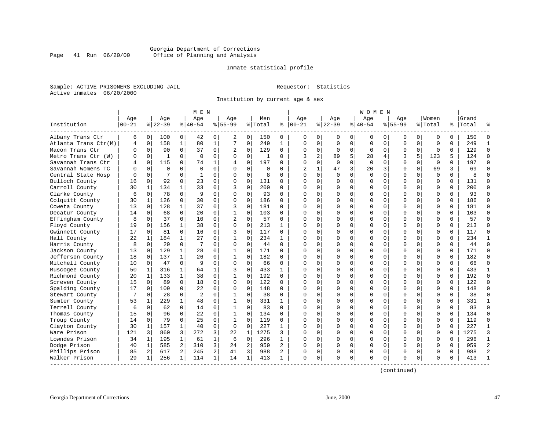#### Georgia Department of Corrections<br>Page 41 Run 06/20/00 Office of Planning and Analysis Page 41 Run 06/20/00 Office of Planning and Analysis

#### Inmate statistical profile

Sample: ACTIVE PRISONERS EXCLUDING JAIL **Requestor:** Statistics Active inmates 06/20/2000

Institution by current age & sex

| Age<br>Age<br>Age<br>Institution<br>$00 - 21$<br>$8 22-39$<br>$8 40-54$<br>Albany Trans Ctr<br>6<br>$\overline{0}$<br>100<br>0<br>42<br>158<br>$\mathbf{1}$<br>80<br>Atlanta Trans Ctr(M)<br>$\mathbf 0$<br>4<br>90<br>$\Omega$<br>37<br>Macon Trans Ctr<br>$\Omega$<br>0<br>$\Omega$<br>$\Omega$<br>Metro Trans Ctr (W)<br>0<br>$\mathbf{1}$<br>U<br>115<br>Savannah Trans Ctr<br>$\Omega$<br>0<br>74<br>4<br>$\Omega$<br>$\Omega$<br>Savannah Womens TC<br>$\Omega$<br>$\Omega$<br>$\Omega$<br>$\mathbf 0$<br>7<br>Central State Hosp<br>0<br>1<br>Bulloch County<br>$\Omega$<br>92<br>$\Omega$<br>23<br>16<br>Carroll County<br>134<br>$\mathbf{1}$<br>33<br>30<br>1<br>78<br>9<br>Clarke County<br>6<br>$\mathbf 0$<br>$\Omega$<br>126<br>$\Omega$<br>30<br>Colquitt County<br>30<br>1<br>128<br>$\mathbf{1}$<br>37<br>Coweta County<br>13<br>$\mathbf 0$<br>68<br>$\mathbf 0$<br>20<br>Decatur County<br>14<br>$\mathbf 0$<br>37<br>$\Omega$<br>Effingham County<br>8<br>$\mathbf 0$<br>10 | Men<br>Aqe<br>$8155 - 99$<br>% Total<br>နွ                   | Aqe<br>Aqe<br>Women<br>Grand<br>Age<br>Aqe<br>$ 22-39$<br>$8155 - 99$<br>$ 00-21$<br>$ 40-54$<br>% Total<br>%   Total                                   |
|-------------------------------------------------------------------------------------------------------------------------------------------------------------------------------------------------------------------------------------------------------------------------------------------------------------------------------------------------------------------------------------------------------------------------------------------------------------------------------------------------------------------------------------------------------------------------------------------------------------------------------------------------------------------------------------------------------------------------------------------------------------------------------------------------------------------------------------------------------------------------------------------------------------------------------------------------------------------------------------------------|--------------------------------------------------------------|---------------------------------------------------------------------------------------------------------------------------------------------------------|
|                                                                                                                                                                                                                                                                                                                                                                                                                                                                                                                                                                                                                                                                                                                                                                                                                                                                                                                                                                                                 |                                                              |                                                                                                                                                         |
|                                                                                                                                                                                                                                                                                                                                                                                                                                                                                                                                                                                                                                                                                                                                                                                                                                                                                                                                                                                                 |                                                              |                                                                                                                                                         |
|                                                                                                                                                                                                                                                                                                                                                                                                                                                                                                                                                                                                                                                                                                                                                                                                                                                                                                                                                                                                 | 0<br>0<br>150<br>0<br>2                                      | $\mathbf{0}$<br>0<br>0<br>150<br>$\Omega$<br>$\Omega$<br>0<br>0<br>0<br>0<br>0<br>0                                                                     |
|                                                                                                                                                                                                                                                                                                                                                                                                                                                                                                                                                                                                                                                                                                                                                                                                                                                                                                                                                                                                 | $\mathbf{1}$<br>7<br>$\mathbf 0$<br>249<br>$\mathbf{1}$      | $\Omega$<br>249<br>$\Omega$<br>$\Omega$<br>$\mathbf 0$<br>$\mathbf 0$<br>$\Omega$<br>$\mathbf 0$<br>$\Omega$<br>$\mathbf 0$<br>$\Omega$<br>$\mathbf{1}$ |
|                                                                                                                                                                                                                                                                                                                                                                                                                                                                                                                                                                                                                                                                                                                                                                                                                                                                                                                                                                                                 | $\mathbf 0$<br>129<br>0<br>2<br>0                            | $\mathbf 0$<br>$\Omega$<br>129<br>$\Omega$<br>$\Omega$<br>$\mathbf{0}$<br>$\Omega$<br>$\Omega$<br>$\mathbf 0$<br>0<br>$\mathbf 0$<br>$\Omega$           |
|                                                                                                                                                                                                                                                                                                                                                                                                                                                                                                                                                                                                                                                                                                                                                                                                                                                                                                                                                                                                 | $\mathbf 0$<br>$\mathbf 0$<br>$\Omega$<br>-1<br>O            | 5<br>$\overline{a}$<br>3<br>5<br>123<br>124<br>$\Omega$<br>3<br>89<br>28<br>4<br>5                                                                      |
|                                                                                                                                                                                                                                                                                                                                                                                                                                                                                                                                                                                                                                                                                                                                                                                                                                                                                                                                                                                                 | $\Omega$<br>1<br>197<br>$\Omega$<br>4                        | $\Omega$<br>$\Omega$<br>$\Omega$<br>$\Omega$<br>197<br>$\Omega$<br>$\Omega$<br>$\Omega$<br>$\Omega$<br>$\Omega$<br>$\Omega$<br>$\Omega$                 |
|                                                                                                                                                                                                                                                                                                                                                                                                                                                                                                                                                                                                                                                                                                                                                                                                                                                                                                                                                                                                 | $\Omega$<br>$\Omega$<br>$\Omega$<br>$\Omega$<br>0            | 3<br>$\mathbf{1}$<br>47<br>3<br>$\mathbf 0$<br>$\Omega$<br>69<br>3<br>69<br>$\overline{2}$<br>20<br>$\Omega$                                            |
|                                                                                                                                                                                                                                                                                                                                                                                                                                                                                                                                                                                                                                                                                                                                                                                                                                                                                                                                                                                                 | 0<br>0<br>8<br>0<br>0                                        | $\Omega$<br>$\mathbf 0$<br>$\mathbf 0$<br>$\Omega$<br>$\Omega$<br>$\cap$<br>$\Omega$<br>$\mathbf 0$<br>$\Omega$<br>$\mathbf 0$<br>8<br>$\Omega$         |
|                                                                                                                                                                                                                                                                                                                                                                                                                                                                                                                                                                                                                                                                                                                                                                                                                                                                                                                                                                                                 | $\mathbf 0$<br>$\Omega$<br>$\Omega$<br>131<br>$\Omega$       | 0<br>$\Omega$<br>$\Omega$<br>$\Omega$<br>131<br>0<br>$\Omega$<br>$\Omega$<br>$\Omega$<br>$\Omega$<br>$\Omega$                                           |
|                                                                                                                                                                                                                                                                                                                                                                                                                                                                                                                                                                                                                                                                                                                                                                                                                                                                                                                                                                                                 | $\Omega$<br>200<br>$\Omega$<br>3<br>$\Omega$                 | $\Omega$<br>200<br>$\cap$<br>0<br>$\Omega$<br>0<br>$\Omega$<br>$\Omega$<br>$\Omega$<br>$\Omega$<br>$\Omega$<br>$\Omega$                                 |
|                                                                                                                                                                                                                                                                                                                                                                                                                                                                                                                                                                                                                                                                                                                                                                                                                                                                                                                                                                                                 | $\mathbf 0$<br>$\Omega$<br>$\Omega$<br>93<br>$\Omega$        | 0<br>$\Omega$<br>93<br>$\Omega$<br>$\Omega$<br>0<br>$\Omega$<br>$\Omega$<br>$\Omega$<br>$\Omega$<br>C                                                   |
|                                                                                                                                                                                                                                                                                                                                                                                                                                                                                                                                                                                                                                                                                                                                                                                                                                                                                                                                                                                                 | $\Omega$<br>$\Omega$<br>$\Omega$<br>186<br>$\Omega$          | $\Omega$<br>$\Omega$<br>$\Omega$<br>186<br>0<br>$\Omega$<br>$\Omega$<br>$\Omega$<br>$\Omega$<br>$\Omega$<br>$\Omega$<br>∩                               |
|                                                                                                                                                                                                                                                                                                                                                                                                                                                                                                                                                                                                                                                                                                                                                                                                                                                                                                                                                                                                 | $\mathbf 0$<br>$\Omega$<br>181<br>3<br>$\Omega$              | $\Omega$<br>$\Omega$<br>$\Omega$<br>$\mathbf 0$<br>181<br>$\Omega$<br>$\Omega$<br>$\Omega$<br>$\Omega$<br><sup>0</sup><br>$\Omega$<br>$\Omega$          |
|                                                                                                                                                                                                                                                                                                                                                                                                                                                                                                                                                                                                                                                                                                                                                                                                                                                                                                                                                                                                 | $\mathbf 0$<br>$\mathbf 1$<br>$\mathbf 0$<br>103<br>$\Omega$ | $\Omega$<br>0<br>$\mathbf 0$<br>$\mathbf 0$<br>$\Omega$<br>103<br>$\Omega$<br>$\Omega$<br>0<br>$\Omega$<br>0                                            |
|                                                                                                                                                                                                                                                                                                                                                                                                                                                                                                                                                                                                                                                                                                                                                                                                                                                                                                                                                                                                 | $\overline{c}$<br>$\mathbf 0$<br>57<br>0<br>$\Omega$         | 57<br>$\Omega$<br>$\Omega$<br>$\Omega$<br>O<br>$\Omega$<br>0<br>$\Omega$<br>$\Omega$<br>$\Omega$<br>$\Omega$<br>U                                       |
| Floyd County<br>19<br>156<br>$\mathbf 1$<br>38<br>0                                                                                                                                                                                                                                                                                                                                                                                                                                                                                                                                                                                                                                                                                                                                                                                                                                                                                                                                             | 0<br>$\Omega$<br>0<br>213<br>1                               | $\Omega$<br>0<br>$\Omega$<br>$\Omega$<br>213<br>$\Omega$<br>∩<br>$\Omega$<br>$\Omega$<br>0<br>0<br>0                                                    |
| Gwinnett County<br>17<br>0<br>16<br>0<br>81                                                                                                                                                                                                                                                                                                                                                                                                                                                                                                                                                                                                                                                                                                                                                                                                                                                                                                                                                     | 0<br>0<br>3<br>117<br>$\Omega$                               | 0<br>$\Omega$<br>117<br>$\Omega$<br>$\Omega$<br>$\Omega$<br>$\Omega$<br>0<br>$\Omega$<br>$\mathbf 0$<br>$\Omega$                                        |
| 22<br>184<br>$\mathbf{1}$<br>27<br>Hall County<br>$\mathbf{1}$                                                                                                                                                                                                                                                                                                                                                                                                                                                                                                                                                                                                                                                                                                                                                                                                                                                                                                                                  | $\Omega$<br>$\mathbf{1}$<br>$\Omega$<br>234<br>$\mathbf{1}$  | 234<br>$\Omega$<br>0<br>$\Omega$<br>$\Omega$<br>$\Omega$<br>$\Omega$<br>$\Omega$<br>$\Omega$<br>$\Omega$<br>$\mathbf{1}$<br>∩                           |
| $\Omega$<br>$\Omega$<br>29<br>7<br>Harris County<br>8                                                                                                                                                                                                                                                                                                                                                                                                                                                                                                                                                                                                                                                                                                                                                                                                                                                                                                                                           | $\Omega$<br>44<br>$\Omega$<br>$\Omega$<br>$\Omega$           | 0<br>44<br>$\Omega$<br>$\Omega$<br>$\Omega$<br>$\Omega$<br>$\Omega$<br>$\Omega$<br>$\Omega$<br>$\Omega$<br>$\Omega$<br>∩                                |
| $\mathbf{1}$<br>129<br>28<br>Jackson County<br>13<br>0                                                                                                                                                                                                                                                                                                                                                                                                                                                                                                                                                                                                                                                                                                                                                                                                                                                                                                                                          | $\Omega$<br>$\mathbf 1$<br>$\mathbf 0$<br>171<br>$\Omega$    | $\Omega$<br>0<br>$\mathbf 0$<br>$\Omega$<br>$\Omega$<br>$\mathbf 0$<br>$\Omega$<br>171<br>$\Omega$<br>O                                                 |
| 18<br>137<br>$\mathbf{1}$<br>26<br>Jefferson County<br>0                                                                                                                                                                                                                                                                                                                                                                                                                                                                                                                                                                                                                                                                                                                                                                                                                                                                                                                                        | 182<br>$\mathbf{1}$<br>$\Omega$<br>0<br>$\Omega$             | 182<br>$\Omega$<br>$\Omega$<br>$\Omega$<br>$\Omega$<br>0<br>$\Omega$<br>$\Omega$<br>$\Omega$<br>$\Omega$<br>$\Omega$<br>U                               |
| $\Omega$<br>Mitchell County<br>10<br>47<br>9<br>0                                                                                                                                                                                                                                                                                                                                                                                                                                                                                                                                                                                                                                                                                                                                                                                                                                                                                                                                               | $\mathbf 0$<br>0<br>$\Omega$<br>66<br>$\Omega$               | 0<br>$\Omega$<br>0<br>$\Omega$<br>$\Omega$<br>$\Omega$<br>$\Omega$<br>66<br>$\Omega$<br><sup>0</sup><br>$\Omega$<br>$\Omega$                            |
| $\mathbf{1}$<br>Muscogee County<br>50<br>316<br>1<br>64                                                                                                                                                                                                                                                                                                                                                                                                                                                                                                                                                                                                                                                                                                                                                                                                                                                                                                                                         | $\mathbf 0$<br>433<br>1<br>3<br>1                            | 0<br>$\Omega$<br>$\Omega$<br>$\mathbf 0$<br>$\Omega$<br>433<br>$\Omega$<br>O<br>0<br>0<br>-1                                                            |
| Richmond County<br>20<br>133<br>$\mathbf{1}$<br>38<br>1                                                                                                                                                                                                                                                                                                                                                                                                                                                                                                                                                                                                                                                                                                                                                                                                                                                                                                                                         | $\mathbf 0$<br>$\Omega$<br>1<br>192<br>$\Omega$              | $\Omega$<br>192<br>0<br>$\Omega$<br>$\Omega$<br>$\Omega$<br>$\Omega$<br>$\Omega$<br>$\Omega$<br>$\cap$<br>$\Omega$<br>0                                 |
| $\mathbf 0$<br>18<br>15<br>89<br>Screven County<br>0                                                                                                                                                                                                                                                                                                                                                                                                                                                                                                                                                                                                                                                                                                                                                                                                                                                                                                                                            | $\mathbf 0$<br>$\mathbf 0$<br>0<br>122<br>0                  | $\Omega$<br>$\mathbf 0$<br>122<br>0<br>$\Omega$<br>$\Omega$<br>$\mathbf 0$<br>$\Omega$<br>$\Omega$<br>$\Omega$<br>$\Omega$<br>$\Omega$                  |
| $\mathbf 0$<br>22<br>Spalding County<br>$\mathbf 0$<br>109<br>17                                                                                                                                                                                                                                                                                                                                                                                                                                                                                                                                                                                                                                                                                                                                                                                                                                                                                                                                | $\mathbf 0$<br>$\mathbf 0$<br>$\Omega$<br>148<br>$\Omega$    | 148<br>$\Omega$<br>$\Omega$<br>$\Omega$<br>0<br>$\mathbf 0$<br>$\Omega$<br>0<br>$\mathbf 0$<br>$\Omega$<br>$\Omega$                                     |
| 7<br>28<br>$\Omega$<br>$\overline{2}$<br>Stewart County<br>$\Omega$                                                                                                                                                                                                                                                                                                                                                                                                                                                                                                                                                                                                                                                                                                                                                                                                                                                                                                                             | $\Omega$<br>38<br>$\Omega$<br>$\mathbf{1}$<br>$\Omega$       | $\Omega$<br>$\Omega$<br>38<br>$\Omega$<br>$\Omega$<br>$\Omega$<br>$\Omega$<br>0<br>$\Omega$<br>$\Omega$<br>$\Omega$<br>$\Omega$                         |
| 229<br>$\mathbf{1}$<br>Sumter County<br>53<br>1<br>48                                                                                                                                                                                                                                                                                                                                                                                                                                                                                                                                                                                                                                                                                                                                                                                                                                                                                                                                           | $\Omega$<br>$\Omega$<br>331<br>1<br>1                        | 0<br>331<br>$\cap$<br>0<br>$\Omega$<br>0<br>$\Omega$<br>$\Omega$<br>$\Omega$<br>$\Omega$<br>$\mathbf{1}$<br>$\Omega$                                    |
| Terrell County<br>62<br>$\Omega$<br>6<br>0<br>14                                                                                                                                                                                                                                                                                                                                                                                                                                                                                                                                                                                                                                                                                                                                                                                                                                                                                                                                                | $\mathbf 0$<br>0<br>1<br>83<br>$\Omega$                      | $\Omega$<br>$\Omega$<br>O<br>$\mathbf 0$<br>$\Omega$<br>$\Omega$<br>$\Omega$<br>$\Omega$<br>83<br>$\Omega$<br>C                                         |
| $\Omega$<br>22<br>Thomas County<br>96<br>15<br>$\Omega$                                                                                                                                                                                                                                                                                                                                                                                                                                                                                                                                                                                                                                                                                                                                                                                                                                                                                                                                         | $\Omega$<br>1<br>$\Omega$<br>134<br>0                        | 0<br>134<br>$\cap$<br>$\Omega$<br>$\Omega$<br>$\Omega$<br>$\Omega$<br>$\Omega$<br>$\Omega$<br>∩<br>$\Omega$<br>$\Omega$                                 |
| 79<br>$\Omega$<br>Troup County<br>14<br>25<br>0                                                                                                                                                                                                                                                                                                                                                                                                                                                                                                                                                                                                                                                                                                                                                                                                                                                                                                                                                 | $\mathbf 0$<br>$\Omega$<br>1<br>119<br>0                     | $\Omega$<br>0<br>119<br>$\Omega$<br>0<br>$\Omega$<br>$\Omega$<br>$\mathbf 0$<br>$\Omega$<br>$\Omega$<br>$\Omega$                                        |
| $\mathbf{1}$<br>40<br>Clayton County<br>30<br>$\mathbf 1$<br>157                                                                                                                                                                                                                                                                                                                                                                                                                                                                                                                                                                                                                                                                                                                                                                                                                                                                                                                                | $\mathbf 0$<br>$\Omega$<br>$\mathbf 0$<br>227<br>1           | $\mathbf 0$<br>227<br>0<br>0<br>0<br>0<br>$\Omega$<br>$\Omega$<br>$\Omega$<br>$\mathbf{1}$                                                              |
| 3<br>272<br>Ware Prison<br>121<br>3<br>860                                                                                                                                                                                                                                                                                                                                                                                                                                                                                                                                                                                                                                                                                                                                                                                                                                                                                                                                                      | 3<br>22<br>$\mathbf{1}$<br>1275<br>3                         | 1275<br>3<br>0<br>0<br>$\Omega$<br>$\mathbf 0$<br>$\cap$<br>$\Omega$<br>$\Omega$<br>0<br>$\Omega$<br>$\Omega$                                           |
| Lowndes Prison<br>34<br>195<br>$\mathbf{1}$<br>$\mathbf 1$<br>61                                                                                                                                                                                                                                                                                                                                                                                                                                                                                                                                                                                                                                                                                                                                                                                                                                                                                                                                | $\mathbf 1$<br>$\mathbf 0$<br>296<br>6<br>1                  | $\Omega$<br>$\Omega$<br>296<br>$\cap$<br>0<br>0<br>$\Omega$<br>$\Omega$<br>$\mathbf{1}$<br>$\Omega$<br>$\Omega$<br>$\Omega$                             |
| Dodge Prison<br>585<br>2<br>310<br>40<br>1                                                                                                                                                                                                                                                                                                                                                                                                                                                                                                                                                                                                                                                                                                                                                                                                                                                                                                                                                      | 3<br>24<br>2<br>959<br>2                                     | $\overline{2}$<br>$\Omega$<br>$\Omega$<br>959<br>$\Omega$<br>$\Omega$<br>$\Omega$<br>0<br>$\Omega$<br>$\Omega$<br>$\Omega$<br>∩                         |
| Phillips Prison<br>2<br>85<br>2<br>617<br>245                                                                                                                                                                                                                                                                                                                                                                                                                                                                                                                                                                                                                                                                                                                                                                                                                                                                                                                                                   | $\overline{a}$<br>3<br>988<br>41<br>2                        | 988<br>$\mathcal{D}$<br>0<br>0<br>0<br>$\mathbf 0$<br>$\Omega$<br>$\Omega$<br>$\Omega$<br>$\Omega$<br><sup>0</sup><br>$\Omega$                          |
| Walker Prison<br>29<br>256<br>$\mathbf 1$<br>114<br>1                                                                                                                                                                                                                                                                                                                                                                                                                                                                                                                                                                                                                                                                                                                                                                                                                                                                                                                                           | 1<br>14<br>1<br>413<br>1                                     |                                                                                                                                                         |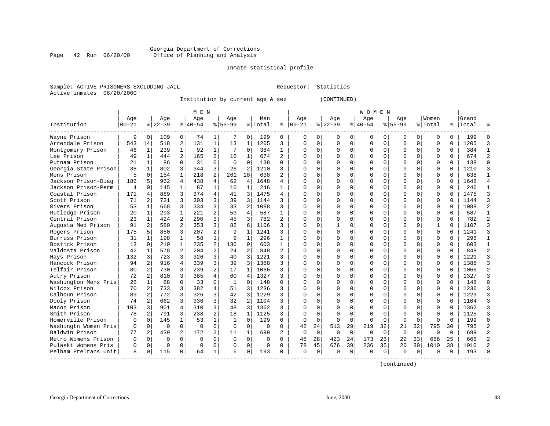#### Georgia Department of Corrections Page 42 Run 06/20/00 Office of Planning and Analysis

#### Inmate statistical profile

|  | Sample: ACTIVE PRISONERS EXCLUDING JAIL |  |
|--|-----------------------------------------|--|
|  | Active inmates 06/20/2000               |  |

L Bample: Activities Requestor: Statistics

Institution by current age & sex (CONTINUED)

|                      |            |                |          |                | M E N    |                |              |                |          |                |              |             |          |             | W O M E N |          |           |          |          |          |       |              |
|----------------------|------------|----------------|----------|----------------|----------|----------------|--------------|----------------|----------|----------------|--------------|-------------|----------|-------------|-----------|----------|-----------|----------|----------|----------|-------|--------------|
|                      | Age        |                | Age      |                | Aqe      |                | Aqe          |                | Men      |                | Age          |             | Age      |             | Aqe       |          | Aqe       |          | Women    |          | Grand |              |
| Institution          | $ 00 - 21$ |                | $ 22-39$ |                | $ 40-54$ |                | $8 55-99$    |                | % Total  | ႜ              | $ 00-21$     |             | $ 22-39$ |             | $ 40-54$  |          | $8 55-99$ |          | % Total  | ွေ       | Total |              |
| Wayne Prison         | 9          | $\Omega$       | 109      | 0              | 74       | 1              |              | 0              | 199      | 0              | $\Omega$     | 0           | O        | 0           | 0         | 0        | $\Omega$  | 0        | U        | 0        | 199   | Ω            |
| Arrendale Prison     | 543        | 14             | 518      | 2              | 131      | $\mathbf 1$    | 13           | 1              | 1205     | 3              | $\Omega$     | 0           | $\Omega$ | 0           | $\Omega$  | $\Omega$ | $\Omega$  | $\Omega$ | $\Omega$ | O        | 1205  | κ            |
| Montgomery Prison    | 46         | -1             | 239      | $\mathbf{1}$   | 92       | $\mathbf{1}$   |              | $\Omega$       | 384      | $\mathbf{1}$   | $\Omega$     | 0           | ∩        | $\Omega$    | $\Omega$  | U        | $\Omega$  | $\Omega$ | $\Omega$ | $\Omega$ | 384   |              |
| Lee Prison           | 49         | $\mathbf{1}$   | 444      | $\overline{2}$ | 165      | $\overline{a}$ | 16           | $\mathbf{1}$   | 674      | $\overline{a}$ | ∩            | $\Omega$    | $\Omega$ | $\Omega$    | $\Omega$  | $\cap$   | $\Omega$  | $\Omega$ | $\Omega$ | $\Omega$ | 674   |              |
| Putnam Prison        | 21         | $\mathbf{1}$   | 86       | $\Omega$       | 31       | $\Omega$       | $\Omega$     | $\Omega$       | 138      | $\Omega$       | Ω            | 0           |          | $\Omega$    | O         | $\Omega$ |           | $\Omega$ | $\Omega$ | $\Omega$ | 138   | U            |
| Georgia State Prison | 38         | $\mathbf{1}$   | 802      | 3              | 344      | 3              | 26           | 2              | 1210     | 3              | O            | 0           |          | $\Omega$    | O         | $\Omega$ |           | $\Omega$ | $\Omega$ | $\Omega$ | 1210  |              |
| Mens Prison          | 5          | $\Omega$       | 154      | $\mathbf{1}$   | 218      | $\overline{a}$ | 261          | 18             | 638      | $\overline{a}$ | $\cap$       | 0           |          | $\Omega$    | O         | O        | ∩         | 0        | 0        | 0        | 638   | $\mathbf{1}$ |
| Jackson Prison-Diag  | 186        | 5              | 962      | $\overline{4}$ | 438      | 4              | 62           | 4              | 1648     | 4              | $\cap$       | 0           |          | $\Omega$    | O         | O        | $\Omega$  | $\Omega$ | $\Omega$ | $\Omega$ | 1648  |              |
| Jackson Prison-Perm  | 4          | $\Omega$       | 145      |                | 87       | $\mathbf{1}$   | 10           | 1              | 246      | 1              | Λ            | 0           |          | $\Omega$    | 0         | O        | $\Omega$  | 0        | 0        | 0        | 246   | -1           |
| Coastal Prison       | 171        | 4              | 889      | 3              | 374      | 4              | 41           | 3              | 1475     | 4              | Λ            | 0           |          | $\Omega$    | 0         | O        |           | 0        | $\Omega$ | U        | 1475  |              |
| Scott Prison         | 71         |                | 731      | 3              | 303      | 3              | 39           | 3              | 1144     | ς              | Λ            | 0           |          | $\Omega$    | O         | U        | $\Omega$  | $\Omega$ | $\Omega$ | $\cap$   | 1144  |              |
| Rivers Prison        | 53         | $\mathbf{1}$   | 668      | 3              | 334      | 3              | 33           | 2              | 1088     | ς              | Λ            | 0           |          | $\Omega$    | O         | U        | $\Omega$  | $\Omega$ | $\Omega$ | $\Omega$ | 1088  |              |
| Rutledge Prison      | 20         | $\mathbf{1}$   | 293      | $\mathbf{1}$   | 221      | 2              | 53           | $\overline{4}$ | 587      | $\mathbf{1}$   | Ω            | 0           |          | $\Omega$    | O         | O        | $\Omega$  | $\Omega$ | $\Omega$ | $\Omega$ | 587   |              |
| Central Prison       | 23         | $\mathbf{1}$   | 424      | 2              | 290      | 3              | 45           | 3              | 782      | $\overline{2}$ | Λ            | 0           |          | $\mathbf 0$ | ი         | O        |           | $\Omega$ | $\Omega$ | $\Omega$ | 782   |              |
| Augusta Med Prison   | 91         | 2              | 580      | 2              | 353      | 3              | 82           | 6              | 1106     | ς              | $\Omega$     | 0           |          | $\Omega$    | O         | O        | $\Omega$  | $\Omega$ | 1        | $\Omega$ | 1107  |              |
| Rogers Prison        | 175        | 5              | 850      | 3              | 207      | 2              | 9            | $\mathbf{1}$   | 1241     | ς              | $\cap$       | 0           |          | $\Omega$    | O         | U        | $\Omega$  | $\Omega$ | $\Omega$ | $\Omega$ | 1241  |              |
| Burruss Prison       | 31         | $\mathbf{1}$   | 198      | $\mathbf{1}$   | 58       | $\mathbf{1}$   |              | 1              | 296      | 1              | $\Omega$     | 0           |          | $\Omega$    | O         | O        | $\Omega$  | $\Omega$ | $\Omega$ | $\Omega$ | 296   | $\mathbf{1}$ |
| Bostick Prison       | 13         | $\Omega$       | 219      | $\mathbf{1}$   | 235      | 2              | 136          | 9              | 603      | $\mathbf{1}$   | $\Omega$     | 0           |          | $\Omega$    | $\Omega$  | $\Omega$ |           | $\Omega$ | $\Omega$ | O        | 603   | $\mathbf{1}$ |
| Valdosta Prison      | 42         | $\mathbf{1}$   | 578      | $\overline{2}$ | 204      | $\overline{2}$ | 2.4          | 2              | 848      | $\overline{2}$ | <sup>0</sup> | 0           |          | $\Omega$    | O         | U        | $\Omega$  | $\Omega$ | $\Omega$ | U        | 848   |              |
| Hays Prison          | 132        | 3              | 723      | 3              | 326      | 3              | 40           | 3              | 1221     | ς              | ∩            | 0           | ∩        | $\Omega$    | O         | U        | $\Omega$  | $\Omega$ | $\Omega$ | $\Omega$ | 1221  |              |
| Hancock Prison       | 94         | 2              | 916      | 4              | 339      | 3              | 39           | $\overline{3}$ | 1388     | 3              | Ω            | 0           |          | $\mathbf 0$ | 0         | O        | $\Omega$  | $\Omega$ | $\Omega$ | $\Omega$ | 1388  |              |
| Telfair Prison       | 80         | $\overline{a}$ | 730      | 3              | 239      | $\overline{a}$ | 17           | $\mathbf{1}$   | 1066     | 3              | Ω            | 0           |          | $\Omega$    | 0         | O        |           | $\Omega$ | 0        | $\Omega$ | 1066  |              |
| Autry Prison         | 72         | 2              | 810      | 3              | 385      | $\overline{4}$ | 60           | 4              | 1327     | 3              | $\cap$       | 0           |          | $\Omega$    | U         | O        | $\Omega$  | $\Omega$ | $\Omega$ | $\Omega$ | 1327  | ζ            |
| Washington Mens Pris | 26         | $\mathbf{1}$   | 88       | $\Omega$       | 33       | $\Omega$       | $\mathbf{1}$ | $\Omega$       | 148      | U              | $\cap$       | 0           |          | $\Omega$    | O         | O        | $\Omega$  | $\Omega$ | 0        | $\Omega$ | 148   | $\cap$       |
| Wilcox Prison        | 70         | 2              | 733      | 3              | 382      | 4              | 51           | 3              | 1236     | 3              | $\cap$       | 0           |          | $\Omega$    | O         | O        | $\Omega$  | $\Omega$ | $\Omega$ | $\Omega$ | 1236  |              |
| Calhoun Prison       | 89         | 2              | 772      | 3              | 326      | 3              | 42           | 3              | 1229     | ς              | $\cap$       | 0           |          | $\Omega$    | O         |          |           | $\Omega$ | $\Omega$ | $\cap$   | 1229  |              |
| Dooly Prison         | 74         |                | 662      | 3              | 336      | 3              | 32           | $\overline{2}$ | 1104     | 3              | $\Omega$     | 0           |          | $\Omega$    | O         | U        | $\Omega$  | $\Omega$ | $\Omega$ | $\Omega$ | 1104  |              |
| Macon Prison         | 103        | 3              | 901      | 4              | 310      | 3              | 48           | २              | 1362     | 3              | ∩            | 0           |          | $\Omega$    | O         | U        | ∩         | $\cap$   | $\cap$   | $\cap$   | 1362  |              |
| Smith Prison         | 78         | 2              | 791      | 3              | 238      | 2              | 18           | $\mathbf{1}$   | 1125     | 3              | <sup>0</sup> | 0           | $\Omega$ | $\Omega$    | O         | O        | $\Omega$  | $\Omega$ | $\Omega$ | $\Omega$ | 1125  |              |
| Homerville Prison    | $\Omega$   | $\Omega$       | 145      |                | 53       | $\mathbf{1}$   | 1            | $\Omega$       | 199      | 0              | $\Omega$     | $\Omega$    | $\Omega$ | $\Omega$    | $\Omega$  | $\Omega$ | $\Omega$  | $\Omega$ | $\Omega$ | $\Omega$ | 199   | U            |
| Washingtn Women Pris | $\Omega$   | 0              | $\Omega$ | $\Omega$       | $\Omega$ | $\Omega$       | $\Omega$     | $\Omega$       | $\Omega$ | $\Omega$       | 42           | 24          | 513      | 29          | 219       | 32       | 21        | 32       | 795      | 30       | 795   |              |
| Baldwin Prison       | 77         | 2              | 439      | $\overline{2}$ | 172      | $\overline{a}$ | 11           | 1              | 699      | $\overline{a}$ | $\Omega$     | $\Omega$    | $\Omega$ | $\Omega$    | $\Omega$  | $\Omega$ | $\Omega$  | $\Omega$ | $\Omega$ | $\Omega$ | 699   |              |
| Metro Womens Prison  | $\Omega$   | 0              | $\Omega$ | $\Omega$       | $\Omega$ | $\Omega$       | $\Omega$     | $\Omega$       | 0        | 0              | 48           | 28          | 423      | 24          | 173       | 26       | 22        | 33       | 666      | 25       | 666   |              |
| Pulaski Womens Pris  | 0          | $\Omega$       | $\Omega$ | $\Omega$       | $\Omega$ | 0              | $\Omega$     | $\Omega$       | 0        | 0              | 78           | 45          | 676      | 39          | 236       | 35       | 20        | 30       | 1010     | 38       | 1010  |              |
| Pelham PreTrans Unit | 8          | 0              | 115      | $\Omega$       | 64       | 1              | 6            | 0              | 193      | U              | $\Omega$     | $\mathbf 0$ |          | 0           | 0         | 0        | ∩         | 0        | O        | 0        | 193   |              |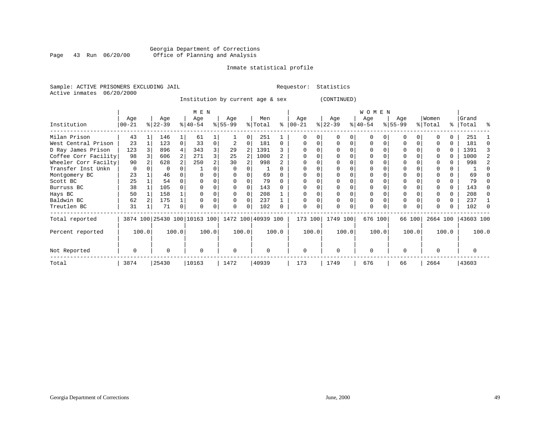#### Georgia Department of Corrections<br>Page 43 Run 06/20/00 Office of Planning and Analysis Page 43 Run 06/20/00 Office of Planning and Analysis

#### Inmate statistical profile

Sample: ACTIVE PRISONERS EXCLUDING JAIL **Requestor:** Statistics Active inmates 06/20/2000

Institution by current age & sex (CONTINUED)

|                      |          |       |           |       | M E N                        |                |              |   |                    |          |            |       |           |       | WOMEN     |          |             |        |          |       |           |       |
|----------------------|----------|-------|-----------|-------|------------------------------|----------------|--------------|---|--------------------|----------|------------|-------|-----------|-------|-----------|----------|-------------|--------|----------|-------|-----------|-------|
|                      | Age      |       | Age       |       | Age                          |                | Age          |   | Men                |          | Age        |       | Age       |       | Age       |          | Age         |        | Women    |       | Grand     |       |
| Institution          | $ 00-21$ |       | $ 22-39 $ |       | $8 40-54$                    |                | $ 55-99 $    |   | % Total            | ∻        | $ 00 - 21$ |       | $ 22-39 $ |       | $ 40-54 $ |          | $8155 - 99$ |        | % Total  |       | %   Total | ႜ     |
| Milan Prison         | 43       |       | 146       |       | 61                           |                |              | 0 | 251                |          |            |       |           |       |           |          |             |        |          |       | 251       |       |
| West Central Prison  | 23       |       | 123       | 0     | 33                           | 0              |              | U | 181                | $\Omega$ |            |       |           |       |           |          |             | 0      |          |       | 181       |       |
| D Ray James Prison   | 123      |       | 896       | 4     | 343                          | 3              | 29           |   | 1391               |          |            |       |           |       |           |          |             |        | $\Omega$ |       | 1391      | 3     |
| Coffee Corr Facility | 98       |       | 606       | 2     | 271                          | 3 <sub>1</sub> | 25           |   | 1000               |          |            |       |           |       |           |          |             |        |          |       | 1000      | 2     |
| Wheeler Corr Facilty | 90       |       | 628       |       | 250                          | 2              | 30           | 2 | 998                |          |            |       |           |       |           |          |             |        |          |       | 998       | 2     |
| Transfer Inst Unkn   | $\Omega$ |       |           |       |                              |                | <sup>0</sup> |   |                    |          |            |       |           |       |           |          |             |        |          |       |           |       |
| Montgomery BC        | 23       |       | 46        |       |                              |                |              |   | 69                 |          |            |       |           |       |           |          |             |        |          |       | 69        |       |
| Scott BC             | 25       |       | 54        |       |                              |                | $\Omega$     |   | 79                 | $\Omega$ |            |       |           |       |           |          |             |        |          |       | 79        |       |
| Burruss BC           | 38       |       | 105       |       |                              |                | $\Omega$     | O | 143                | $\Omega$ |            |       |           |       |           |          |             |        |          | 0     | 143       |       |
| Hays BC              | 50       |       | 158       |       |                              |                | $\Omega$     | 0 | 208                |          |            |       |           |       |           |          |             |        |          |       | 208       |       |
| Baldwin BC           | 62       |       | 175       |       |                              |                | $\Omega$     | 0 | 237                |          |            |       |           |       |           |          | 0           |        | $\Omega$ | 0     | 237       |       |
| Treutlen BC          | 31       |       | 71        | 0     |                              |                | 0            | 0 | 102                | 0        |            |       |           |       | $\Omega$  | $\Omega$ | 0           |        | $\Omega$ | 0     | 102       |       |
| Total reported       |          |       |           |       | 3874 100 25430 100 10163 100 |                |              |   | 1472 100 40939 100 |          | 173 100    |       | 1749 100  |       | 676 100   |          |             | 66 100 | 2664 100 |       | 43603 100 |       |
| Percent reported     |          | 100.0 |           | 100.0 |                              | 100.0          | 100.0        |   |                    | 100.0    |            | 100.0 |           | 100.0 |           | 100.0    |             | 100.0  |          | 100.0 |           | 100.0 |
| Not Reported         | O        |       | U         |       | O                            |                | 0            |   | $\Omega$           |          | $\Omega$   |       | $\Omega$  |       | $\Omega$  |          | $\Omega$    |        | $\Omega$ |       |           |       |
| Total                | 3874     |       | 25430     |       | 10163                        |                | 1472         |   | 40939              |          | 173        |       | 1749      |       | 676       |          | 66          |        | 2664     |       | 43603     |       |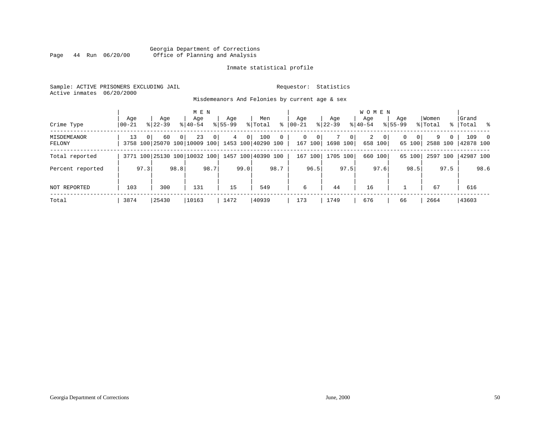#### Georgia Department of Corrections<br>Page 44 Run 06/20/00 Office of Planning and Analysis Page 44 Run 06/20/00 Office of Planning and Analysis

#### Inmate statistical profile

Sample: ACTIVE PRISONERS EXCLUDING JAIL **Requestor:** Statistics Active inmates 06/20/2000

Misdemeanors And Felonies by current age & sex

| Crime Type            | Age<br>$ 00-21$ |          | Age<br>$8122 - 39$                 |          | M E N<br>Age<br>$8140 - 54$ |                | Age<br>$8155 - 99$ |                | Men<br>% Total            | ွေ           | Age<br>$00 - 21$ |              | Age<br>$ 22 - 39 $ |              | <b>WOMEN</b><br>Aqe<br>$8140 - 54$ |                         | Age<br>$8155 - 99$ |                    | Women<br>% Total |          | Grand<br>%   Total | း ေ            |
|-----------------------|-----------------|----------|------------------------------------|----------|-----------------------------|----------------|--------------------|----------------|---------------------------|--------------|------------------|--------------|--------------------|--------------|------------------------------------|-------------------------|--------------------|--------------------|------------------|----------|--------------------|----------------|
| MISDEMEANOR<br>FELONY | 13              | $\Omega$ | 60<br>3758 100 25070 100 10009 100 | $\Omega$ | 23                          | $\overline{0}$ | $\overline{4}$     | 0 <sup>1</sup> | 100<br>1453 100 40290 100 | $\mathbf{0}$ | $\Omega$         | 0<br>167 100 | 1698 100           | $\mathbf{0}$ | 2                                  | $\mathbf{0}$<br>658 100 | $\Omega$           | $\Omega$<br>65 100 | 9<br>2588 100    | $\Omega$ | 109<br>142878 100  | $\overline{0}$ |
| Total reported        |                 |          | 3771 100 25130 100 10032 100       |          |                             |                |                    |                | 1457 100 40390 100        |              | 167              | 100          | 1705 100           |              |                                    | 660 100                 |                    | 65 100             | 2597 100         |          | 42987 100          |                |
| Percent reported      |                 | 97.3     |                                    | 98.8     |                             | 98.7           |                    | 99.0           |                           | 98.7         |                  | 96.5         |                    | 97.5         |                                    | 97.6                    |                    | 98.5               |                  | 97.5     |                    | 98.6           |
| NOT REPORTED          | 103             |          | 300                                |          | 131                         |                | 15                 |                | 549                       |              | 6                |              | 44                 |              | 16                                 |                         |                    |                    | 67               |          | 616                |                |
| Total                 | 3874            |          | 25430                              |          | 10163                       |                | 1472               |                | 40939                     |              | 173              |              | 1749               |              | 676                                |                         | 66                 |                    | 2664             |          | 43603              |                |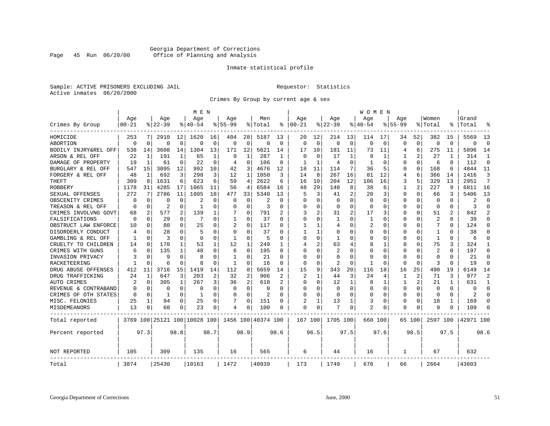#### Georgia Department of Corrections Page 45 Run 06/20/00 Office of Planning and Analysis

#### Inmate statistical profile

Sample: ACTIVE PRISONERS EXCLUDING JAIL **Requestor:** Statistics Active inmates 06/20/2000

Crimes By Group by current age & sex

|                      |           |          |                              |      | M E N       |          |              |                |                    |             |             |          |             |          | <b>WOMEN</b> |             |             |                |                |              |           |                |
|----------------------|-----------|----------|------------------------------|------|-------------|----------|--------------|----------------|--------------------|-------------|-------------|----------|-------------|----------|--------------|-------------|-------------|----------------|----------------|--------------|-----------|----------------|
|                      | Age       |          | Age                          |      | Age         |          | Age          |                | Men                |             | Age         |          | Age         |          | Age          |             | Age         |                | Women          |              | Grand     |                |
| Crimes By Group      | $00 - 21$ |          | $8 22-39$                    |      | $8140 - 54$ |          | $8155 - 99$  |                | % Total            | ႜ           | $ 00-21$    |          | $8122 - 39$ |          | $ 40-54$     |             | $8155 - 99$ |                | % Total        | ະ            | Total     |                |
| HOMICIDE             | 253       | 7        | 2910                         | 12   | 1620        | 16       | 404          | 28             | 5187               | 13          | 20          | 12       | 214         | 13       | 114          | 17          | 34          | 52             | 382            | 15           | 5569      | 13             |
| ABORTION             | 0         | 0        | 0                            | 0    | $\Omega$    | 0        | 0            | 0              | $\mathbf 0$        | $\mathbf 0$ | $\mathbf 0$ | 0        | 0           | 0        | $\Omega$     | $\mathbf 0$ | 0           | 0              | $\Omega$       | 0            | $\Omega$  | $\mathbf 0$    |
| BODILY INJRY&REL OFF | 538       | 14       | 3608                         | 14   | 1304        | 13       | 171          | 12             | 5621               | 14          | 17          | 10       | 181         | 11       | 73           | 11          | 4           | 6              | 275            | 11           | 5896      | 14             |
| ARSON & REL OFF      | 22        | 1        | 191                          | 1    | 65          | 1        | 9            | 1              | 287                | 1           | $\Omega$    | $\Omega$ | 17          |          | 9            | 1           |             | 2              | 27             |              | 314       | 1              |
| DAMAGE OF PROPERTY   | 19        | 1        | 61                           | 0    | 22          | $\Omega$ | 4            | 0              | 106                | $\Omega$    |             |          | 4           | 0        |              | $\Omega$    | 0           | $\Omega$       | 6              | $\Omega$     | 112       | $\mathbf{0}$   |
| BURGLARY & REL OFF   | 547       | 15       | 3095                         | 12   | 992         | 10       | 42           | 3              | 4676               | 12          | 18          | 11       | 114         | 7        | 36           | 5           | 0           | 0              | 168            | 6            | 4844      | 11             |
| FORGERY & REL OFF    | 48        | 1        | 692                          | 3    | 298         | 3        | 12           | $\mathbf{1}$   | 1050               | 3           | 14          | 8        | 267         | 16       | 81           | 12          | 4           | 6              | 366            | 14           | 1416      | 3              |
| THEFT                | 309       | 8        | 1631                         | 6    | 623         | 6        | 59           | 4              | 2622               | 6           | 16          | 10       | 204         | 12       | 106          | 16          | 3           | 5              | 329            | 13           | 2951      | 7              |
| <b>ROBBERY</b>       | 1178      | 31       | 4285                         | 17   | 1065        | 11       | 56           | 4              | 6584               | 16          | 48          | 29       | 140         | 8        | 38           | 6           | 1           | $\overline{2}$ | 227            | 9            | 6811      | 16             |
| SEXUAL OFFENSES      | 272       | 7        | 2786                         | 11   | 1805        | 18       | 477          | 33             | 5340               | 13          | 5           | 3        | 41          | 2        | 20           | 3           | 0           | 0              | 66             | 3            | 5406      | 13             |
| OBSCENITY CRIMES     | O         | $\Omega$ | O                            | O    | 2           | O        | O            | $\Omega$       | 2                  | O           | $\Omega$    | $\Omega$ | $\Omega$    | $\Omega$ | <sup>0</sup> | $\Omega$    | U           | 0              | $\Omega$       | <sup>0</sup> |           | $\Omega$       |
| TREASON & REL OFF    | O         | 0        | 2                            | 0    | -1          | O        | U            | $\Omega$       | 3                  | O           | O           | $\Omega$ | 0           | $\Omega$ | <sup>0</sup> | $\Omega$    | U           | 0              | $\Omega$       | 0            | 3         | $\Omega$       |
| CRIMES INVOLVNG GOVT | 68        | 2        | 577                          | 2    | 139         | 1        |              | 0              | 791                |             | 3           | 2        | 31          | 2        | 17           | 3           | Ω           | 0              | 51             | 2            | 842       | $\overline{2}$ |
| FALSIFICATIONS       | $\Omega$  | $\Omega$ | 29                           | 0    | 7           | 0        | $\mathbf{1}$ | U              | 37                 | O           | $\Omega$    | O        | -1          | O        | 1            | $\Omega$    | U           | 0              | $\overline{2}$ | 0            | 39        | $\Omega$       |
| OBSTRUCT LAW ENFORCE | 10        | 0        | 80                           | 0    | 25          | O        | 2            | $\Omega$       | 117                | O           |             |          | 4           | U        | 2            | O           | O           | U              | 7              | O            | 124       | $\Omega$       |
| DISORDERLY CONDUCT   | 4         | $\Omega$ | 28                           | U    | 5           | U        | U            | U              | 37                 | n           |             |          | O           | U        |              | O           |             | U              | -1             |              | 38        | ∩              |
| GAMBLING & REL OFF   |           | $\Omega$ | 3                            | 0    | $\cap$      | O        | 1            | 0              | 5                  | U           | ∩           | $\Omega$ | -1          | N        | O            | ∩           | U           | 0              | -1             | 0            | 6         | ∩              |
| CRUELTY TO CHILDREN  | 14        | 0        | 170                          | 1    | 53          | 1        | 12           | 1              | 249                | 1           | 4           | 2        | 63          | 4        | 8            | 1           | O           | 0              | 75             | 3            | 324       | 1              |
| CRIMES WITH GUNS     | 6         | 0        | 135                          | 1    | 48          | $\Omega$ | 6            | $\Omega$       | 195                | U           | ∩           | ∩        | 2           | N        |              | $\Omega$    | Ω           | 0              | 2              | <sup>0</sup> | 197       | $\Omega$       |
| INVASION PRIVACY     |           | 0        | 9                            | 0    | 8           | U        | -1           | 0              | 21                 | U           | ∩           | $\Omega$ | 0           | O        |              | O           | O           | 0              | ∩              | O            | 21        | $\Omega$       |
| RACKETEERING         |           | $\Omega$ | 6                            | 0    | 8           | U        | -1           | 0              | 16                 | O           | O           | $\Omega$ | 2           | O        |              | $\Omega$    | Ω           | 0              | 3              | n            | 19        | $\Omega$       |
| DRUG ABUSE OFFENSES  | 412       | 11       | 3716                         | 15   | 1419        | 14       | 112          | 8              | 5659               | 14          | 15          | 9        | 343         | 20       | 116          | 18          | 16          | 25             | 490            | 19           | 6149      | 14             |
| DRUG TRAFFICKING     | 24        | 1        | 647                          | 3    | 203         | 2        | 32           | 2              | 906                | 2           | 2           |          | 44          | 3        | 24           | 4           | 1           | 2              | 71             | 3            | 977       | $\overline{2}$ |
| AUTO CRIMES          | 2         | 0        | 305                          | 1    | 267         | 3        | 36           | $\overline{c}$ | 610                | 2           | $\Omega$    | $\Omega$ | 12          | 1        | 8            | 1           |             | 2              | 21             |              | 631       | $\mathbf{1}$   |
| REVENUE & CONTRABAND |           | 0        | 0                            | 0    | $\Omega$    | 0        | O            | $\Omega$       | $\Omega$           | U           | $\Omega$    | ∩        | 0           | 0        | <sup>0</sup> | $\Omega$    | 0           | 0              | $\Omega$       | 0            | $\Omega$  | $\Omega$       |
| CRIMES OF OTH STATES | $\Omega$  | 0        | 1                            | 0    | -1          | $\Omega$ | 0            | 0              | 2                  | U           | $\Omega$    | $\Omega$ | 0           | O        | <sup>0</sup> | $\Omega$    | 0           | 0              | $\Omega$       | 0            | 2         | $\Omega$       |
| MISC. FELONIES       | 25        | 1        | 94                           | 0    | 25          | 0        | 7            | 0              | 151                | O           |             |          | 13          | 1        | 3            | $\Omega$    | 0           | 0              | 18             |              | 169       | $\Omega$       |
| <b>MISDEMEANORS</b>  | 13        | 0        | 60                           | 0    | 23          | 0        | 4            | 0              | 100                | $\Omega$    | $\Omega$    | 0        |             | 0        | 2            | $\Omega$    | 0           | 0              |                | O            | 109       | $\Omega$       |
| Total reported       |           |          | 3769 100 25121 100 10028 100 |      |             |          |              |                | 1456 100 40374 100 |             | 167 100     |          | 1705 100    |          | 660 100      |             |             | 65 100         | 2597 100       |              | 42971 100 |                |
| Percent reported     |           | 97.3     |                              | 98.8 |             | 98.7     |              | 98.9           |                    | 98.6        |             | 96.5     |             | 97.5     |              | 97.6        |             | 98.5           |                | 97.5         |           | 98.6           |
| NOT REPORTED         | 105       |          | 309                          |      | 135         |          | 16           |                | 565                |             | 6           |          | 44          |          | 16           |             | -1.         |                | 67             |              | 632       |                |
| Total                | 3874      |          | 25430                        |      | 10163       |          | 1472         |                | 40939              |             | 173         |          | 1749        |          | 676          |             | 66          |                | 2664           |              | 43603     |                |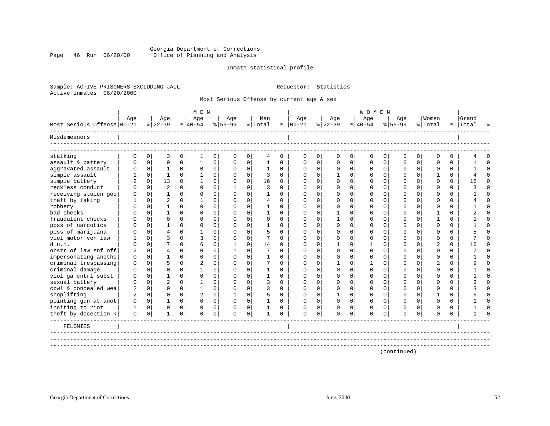#### Georgia Department of Corrections Page 46 Run 06/20/00 Office of Planning and Analysis

#### Inmate statistical profile

Sample: ACTIVE PRISONERS EXCLUDING JAIL **Requestor:** Statistics Active inmates 06/20/2000

Most Serious Offense by current age & sex

|                            |                |              |                |             | M E N          |             |              |             |                |          |               |             |             |              | <b>WOMEN</b> |              |          |              |                |          |           |          |
|----------------------------|----------------|--------------|----------------|-------------|----------------|-------------|--------------|-------------|----------------|----------|---------------|-------------|-------------|--------------|--------------|--------------|----------|--------------|----------------|----------|-----------|----------|
|                            | Age            |              | Age            |             | Age            |             | Age          |             | Men            |          | Age           |             | Age         |              | Age          |              | Age      |              | Women          |          | Grand     |          |
| Most Serious Offense 00-21 |                |              | $ 22-39 $      |             | $ 40-54 $      |             | $8 55-99$    |             | % Total        |          | $8   00 - 21$ |             | $ 22-39 $   |              | $ 40-54 $    |              | $ 55-99$ |              | % Total        |          | %   Total |          |
| Misdemeanors               |                |              |                |             |                |             |              |             |                |          |               |             |             |              |              |              |          |              |                |          |           |          |
| stalking                   | $\mathbf 0$    | $\mathbf 0$  | 3              | $\mathbf 0$ | 1              | $\mathbf 0$ | $\mathbf 0$  | $\mathbf 0$ | 4              | 0        | 0             | $\mathbf 0$ | $\mathbf 0$ | 0            | $\mathbf 0$  | 0            | 0        | $\mathbf 0$  | $\Omega$       | $\Omega$ |           | $\Omega$ |
| assault & battery          | $\Omega$       | $\mathbf 0$  | $\mathbf 0$    | $\mathbf 0$ | 1              | 0           | $\Omega$     | $\mathbf 0$ | 1              | $\Omega$ | $\Omega$      | $\Omega$    | $\Omega$    | $\Omega$     | $\Omega$     | $\Omega$     | $\Omega$ | $\mathbf 0$  | $\Omega$       | $\Omega$ |           | $\Omega$ |
| aggravated assault         | $\mathbf 0$    | $\mathbf{0}$ | 1              | $\mathbf 0$ | $\mathbf 0$    | 0           | $\mathbf 0$  | 0           | 1              | 0        | 0             | $\Omega$    | 0           | $\mathbf 0$  | 0            | $\mathbf{0}$ | 0        | $\mathbf{0}$ | $\Omega$       | 0        |           | $\Omega$ |
| simple assault             |                | $\mathbf 0$  | $\mathbf{1}$   | $\Omega$    | $\mathbf{1}$   | $\mathbf 0$ | $\Omega$     | $\mathbf 0$ | 3              | $\Omega$ | $\Omega$      | $\Omega$    |             | $\Omega$     | $\Omega$     | $\mathbf 0$  | $\Omega$ | $\Omega$     |                | $\Omega$ |           | $\Omega$ |
| simple battery             |                | $\mathbf 0$  | 13             | $\Omega$    |                | $\Omega$    | $\Omega$     | $\Omega$    | 16             | 0        | $\Omega$      |             | $\Omega$    | $\Omega$     | $\Omega$     | $\Omega$     | O        | $\Omega$     | $\Omega$       | $\Omega$ | 16        | $\Omega$ |
| reckless conduct           |                | $\Omega$     | $\overline{2}$ | $\Omega$    | $\Omega$       | $\Omega$    | -1           | $\Omega$    | 3              | $\Omega$ |               |             |             | $\Omega$     |              | $\Omega$     |          | $\Omega$     | ∩              | $\Omega$ |           | $\Omega$ |
| receiving stolen goo       | 0              | 0            | 1              | $\Omega$    | $\Omega$       | $\Omega$    | $\Omega$     | $\Omega$    |                | $\Omega$ | ∩             |             |             | <sup>n</sup> |              | $\Omega$     |          | $\cap$       | ∩              | $\Omega$ |           | $\Omega$ |
| theft by taking            |                | $\Omega$     | $\overline{2}$ | $\cap$      |                | $\Omega$    | $\Omega$     | $\Omega$    | $\overline{4}$ | $\cap$   | ∩             |             | n           | 0            |              | $\cap$       |          | $\cap$       | ∩              | $\Omega$ |           | $\cap$   |
| robbery                    |                | $\Omega$     | $\mathbf{1}$   | $\Omega$    | $\Omega$       | $\Omega$    | $\Omega$     | $\Omega$    | $\mathbf{1}$   | $\cap$   | ∩             |             | $\Omega$    | 0            |              | $\Omega$     | ∩        | $\cap$       | ∩              | $\Omega$ |           | $\cap$   |
| bad checks                 |                | $\Omega$     | $\mathbf{1}$   | $\Omega$    | $\Omega$       | $\Omega$    | $\Omega$     | $\Omega$    | $\mathbf{1}$   | $\Omega$ | $\Omega$      |             |             | $\Omega$     |              | $\Omega$     | ∩        | $\cap$       |                | $\Omega$ |           | $\cap$   |
| fraudulent checks          |                | $\Omega$     | $\Omega$       | $\Omega$    | $\Omega$       | $\Omega$    | $\Omega$     | $\Omega$    | $\mathbf 0$    | $\Omega$ | $\Omega$      |             |             | $\Omega$     |              | $\Omega$     | ∩        | $\cap$       |                | $\Omega$ |           | $\cap$   |
| poss of narcotics          |                | $\Omega$     | 1              | $\Omega$    | $\Omega$       | $\Omega$    | $\Omega$     | $\Omega$    |                | $\Omega$ |               |             | ∩           | $\Omega$     |              | $\Omega$     | ∩        | $\Omega$     | $\Omega$       | $\Omega$ |           | $\Omega$ |
| poss of marijuana          |                | $\Omega$     | 4              | $\Omega$    | -1             | $\Omega$    | $\Omega$     | $\Omega$    | 5              | $\Omega$ |               |             | $\Omega$    | $\Omega$     |              | $\Omega$     | U        | $\Omega$     | $\Omega$       | $\Omega$ |           | $\Omega$ |
| viol motor yeh law         |                | $\Omega$     | 3              | $\Omega$    | 3              | $\Omega$    | $\Omega$     | $\Omega$    | 7              | $\Omega$ | $\Omega$      |             | $\Omega$    | $\Omega$     |              | $\Omega$     | O        | $\Omega$     | $\Omega$       | $\Omega$ |           | $\Omega$ |
| d.u.i.                     | O              | $\Omega$     | 7              | $\Omega$    | 6              | $\Omega$    | $\mathbf{1}$ | $\Omega$    | 14             | $\Omega$ |               | $\Omega$    |             | $\Omega$     |              | $\Omega$     | $\Omega$ | $\Omega$     | 2              | $\Omega$ | 16        | $\Omega$ |
| obstr of law enf off       | $\overline{c}$ | $\mathbf 0$  | 4              | $\Omega$    | $\Omega$       | $\mathbf 0$ | $\mathbf{1}$ | $\mathbf 0$ | 7              | $\Omega$ |               | $\Omega$    | $\Omega$    | $\Omega$     |              | $\Omega$     | $\Omega$ | $\Omega$     | $\Omega$       | $\Omega$ |           | $\Omega$ |
| impersonating anothe       | $\Omega$       | 0            | 1              | $\Omega$    | $\Omega$       | 0           | $\Omega$     | $\Omega$    | $\mathbf{1}$   | $\Omega$ | $\Omega$      | $\Omega$    | $\Omega$    | $\Omega$     |              | $\Omega$     | $\Omega$ | $\Omega$     | $\Omega$       | $\Omega$ |           | $\cap$   |
| criminal trespassing       | $\Omega$       | $\Omega$     | 5              | $\Omega$    | $\overline{2}$ | $\Omega$    | $\Omega$     | $\Omega$    | 7              | $\Omega$ | $\Omega$      | $\Omega$    |             | $\Omega$     |              | $\Omega$     | $\Omega$ | $\Omega$     | $\overline{2}$ | $\Omega$ |           | $\cap$   |
| criminal damage            | U              | $\Omega$     | $\Omega$       | $\Omega$    | $\mathbf{1}$   | $\Omega$    | $\Omega$     | $\Omega$    | 1              | $\Omega$ | $\Omega$      | 0           | $\Omega$    | $\Omega$     | $\Omega$     | $\Omega$     | O        | $\Omega$     | $\Omega$       | $\Omega$ |           | $\cap$   |
| viol ga cntrl subst        | $\Omega$       | $\Omega$     | $\mathbf{1}$   | $\Omega$    | $\Omega$       | $\Omega$    | $\Omega$     | $\Omega$    | $\mathbf{1}$   | $\Omega$ | $\Omega$      |             | $\Omega$    | $\Omega$     | ∩            | $\Omega$     | $\Omega$ | $\Omega$     | ∩              | $\Omega$ |           | $\Omega$ |
| sexual battery             | $\Omega$       | $\Omega$     | $\overline{2}$ | $\Omega$    | $\mathbf{1}$   | $\Omega$    | $\Omega$     | $\Omega$    | 3              | $\Omega$ | $\Omega$      | $\Omega$    | $\Omega$    | $\Omega$     | $\Omega$     | $\Omega$     | O        | $\Omega$     | ∩              | $\Omega$ |           | $\Omega$ |
| cpwl & concealed wea       | 2              | $\Omega$     | $\Omega$       | $\Omega$    | $\mathbf{1}$   | $\mathbf 0$ | $\Omega$     | $\Omega$    | 3              | $\Omega$ | $\Omega$      | $\Omega$    | $\Omega$    | $\Omega$     | $\Omega$     | $\Omega$     | O        | $\Omega$     | $\Omega$       | $\Omega$ |           | $\Omega$ |
| shoplifting                | $\overline{a}$ | $\Omega$     | $\Omega$       | $\Omega$    | 2              | $\mathbf 0$ | $\mathbf{1}$ | $\Omega$    | 5              | $\Omega$ | $\Omega$      | $\Omega$    |             | $\Omega$     | $\Omega$     | $\Omega$     | O        | $\Omega$     |                | $\Omega$ |           | $\Omega$ |
| pointing gun at anot       | $\Omega$       | $\mathbf 0$  | 1              | $\Omega$    | $\Omega$       | $\mathbf 0$ | $\Omega$     | $\mathbf 0$ |                | $\Omega$ | $\Omega$      | $\Omega$    | $\Omega$    | $\Omega$     | $\Omega$     | $\Omega$     | $\Omega$ | $\Omega$     | $\Omega$       | $\Omega$ |           | $\Omega$ |
| inciting to riot           | 1              | 0            | $\Omega$       | $\Omega$    | $\Omega$       | $\mathbf 0$ | $\Omega$     | $\mathbf 0$ |                | $\Omega$ | $\Omega$      | 0           | $\Omega$    | $\Omega$     | $\Omega$     | $\Omega$     | O        | $\Omega$     | ∩              | $\Omega$ |           | $\cap$   |
| theft by deception <       | 0              | 0            | 1              | 0           | $\Omega$       | 0           | 0            | 0           |                | 0        | 0             | 0           | 0           | 0            | 0            | 0            | O        | 0            | ∩              | $\Omega$ |           |          |
| FELONIES                   |                |              |                |             |                |             |              |             |                |          |               |             |             |              |              |              |          |              |                |          |           |          |
|                            |                |              |                |             |                |             |              |             |                |          |               |             |             |              |              |              |          |              |                |          |           |          |
|                            |                |              |                |             |                |             |              |             |                |          |               |             |             |              |              |              |          |              |                |          |           |          |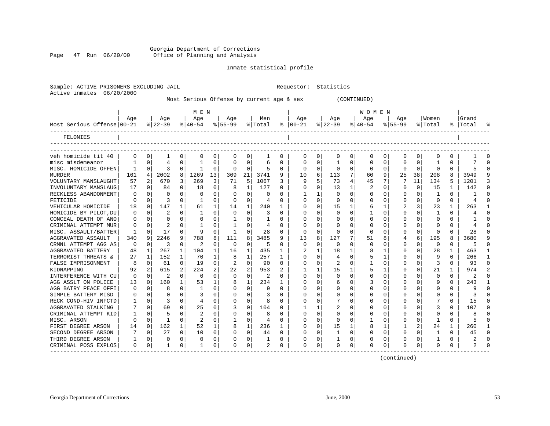#### Georgia Department of Corrections Page 47 Run 06/20/00 Office of Planning and Analysis

Active inmates 06/20/2000

Inmate statistical profile

|                            |              |                |                  |                |                           |                |                  |              | MOSt Serious Ullense by current age & Sex |              |                      |          |                    | (CONTINUED) |                           |          |                    |          |                  |          |
|----------------------------|--------------|----------------|------------------|----------------|---------------------------|----------------|------------------|--------------|-------------------------------------------|--------------|----------------------|----------|--------------------|-------------|---------------------------|----------|--------------------|----------|------------------|----------|
| Most Serious Offense 00-21 | Age          |                | Age<br>$ 22-39 $ |                | M E N<br>Age<br>$ 40-54 $ |                | Age<br>$8 55-99$ |              | Men<br>% Total                            |              | Age<br>$8   00 - 21$ |          | Age<br>$ 22 - 39 $ |             | WOMEN<br>Age<br>$8 40-54$ |          | Age<br>$8155 - 99$ |          | Women<br>% Total | ⊱        |
| FELONIES                   |              |                |                  |                |                           |                |                  |              |                                           |              |                      |          |                    |             |                           |          |                    |          |                  |          |
| veh homicide tit 40        | $\Omega$     | $\Omega$       |                  | 0              |                           | 0              | 0                | 0            |                                           | 0            | 0                    | $\Omega$ | 0                  | 0           | 0                         | 0        | 0                  | 0        | 0                | U        |
| misc misdemeanor           |              | 0              |                  | 0              |                           |                |                  | 0            | б                                         | 0            |                      | $\Omega$ |                    |             |                           | $\Omega$ | U                  | 0        |                  | $\Omega$ |
| MISC. HOMICIDE OFFEN       |              | $\Omega$       |                  | $\mathbf{0}$   |                           | 0              | 0                | $\Omega$     | 5                                         | 0            | 0                    | $\Omega$ |                    |             | 0                         | 0        | 0                  | 0        | ∩                | $\Omega$ |
| <b>MURDER</b>              | 161          | 4 <sup>1</sup> | 2002             | 8              | 1269                      | 13             | 309              | 21           | 3741                                      | 9            | 10                   | 6        | 113                |             | 60                        | 9        | 25                 | 38       | 208              | 8        |
| VOLUNTARY MANSLAUGHT       | 57           | 2              | 670              | 3              | 269                       | 3              | 71               | 5            | 1067                                      | 3            | 9                    | 5        | 73                 |             | 45                        | 7        |                    | 11       | 134              | 5        |
| INVOLUNTARY MANSLAUG       | 17           | $\Omega$       | 84               | $\Omega$       | 18                        | 0              | 8                | $\mathbf{1}$ | 127                                       | O.           | <sup>0</sup>         | $\cap$   | 13                 |             | 2                         | $\Omega$ | U                  | $\Omega$ | 15               | 1        |
| RECKLESS ABANDONMENT       | $\Omega$     | $\Omega$       | $\Omega$         | $\Omega$       | $\Omega$                  | 0              | 0                | $\Omega$     | $\Omega$                                  | 0            |                      |          |                    |             |                           | 0        |                    | 0        |                  | 0        |
| FETICIDE                   | $\Omega$     | $\Omega$       |                  | $\Omega$       |                           | 0              | 0                | $\Omega$     | 4                                         | 0            | n                    | $\Omega$ | <sup>0</sup>       |             | <sup>0</sup>              | $\Omega$ | U                  | 0        | $\Omega$         | O.       |
| VEHICULAR HOMICIDE         | 18           | 0              | 147              | 1              | 61                        | $\mathbf{1}$   | 14               | 1            | 240                                       |              |                      | $\Omega$ | 15                 |             | 6                         | 1        |                    | 3        | 23               | 1        |
| HOMICIDE BY PILOT, DU      | $\Omega$     | $\Omega$       |                  | $\Omega$       |                           | 0              | O                | $\Omega$     | 3                                         | 0            | O                    | $\Omega$ | O                  |             |                           | $\Omega$ | U                  | 0        |                  | $\Omega$ |
| CONCEAL DEATH OF ANO       | <sup>0</sup> | $\Omega$       |                  | 0              |                           |                |                  |              |                                           | 0            |                      |          |                    |             | U                         | O.       |                    | 0        | n                |          |
| CRIMINAL ATTEMPT MUR       |              | $\Omega$       |                  | $\Omega$       |                           |                |                  | <sup>0</sup> | 4                                         | O.           |                      | $\Omega$ |                    |             |                           | 0        |                    | 0        |                  | U        |
| MISC. ASSAULT/BATTER       | -1           | $\Omega$       | 17               | $\Omega$       | 9                         | $\Omega$       |                  | $\Omega$     | 28                                        | 0            | 0                    | $\Omega$ | 0                  | U           | $\Omega$                  | $\Omega$ | O                  | $\Omega$ | n                | U        |
| AGGRAVATED ASSAULT         | 340          | 9              | 2246             | 9              | 788                       | 8              | 111              | 8            | 3485                                      | 9            | 13                   | 8        | 127                |             | 51                        | 8        |                    | 6        | 195              | ጸ        |
| CRMNL ATTEMPT AGG AS       | $\Omega$     | $\Omega$       | 3                | $\Omega$       | 2                         | O.             | $\Omega$         | $\Omega$     | 5                                         | O.           | <sup>0</sup>         | $\Omega$ | $\Omega$           |             | <sup>0</sup>              | O.       | U                  | 0        | $\Omega$         | O.       |
| AGGRAVATED BATTERY         | 48           | 1              | 267              | 1              | 104                       |                | 16               |              | 435                                       |              |                      |          | 18                 |             |                           |          | U                  | 0        | 28               |          |
| TERRORIST THREATS &        | 27           | $\mathbf{1}$   | 152              | $\mathbf{1}$   | 70                        |                | 8                | 1            | 257                                       |              | 0                    | $\Omega$ |                    |             |                           |          | O                  | 0        | q                |          |
| FALSE IMPRISONMENT         | 8            | $\Omega$       | 61               | $\Omega$       | 19                        | 0              | 2                | $\Omega$     | 90                                        | <sup>0</sup> |                      | $\Omega$ | 2                  |             |                           | $\Omega$ | O                  | 0        | 3                | 0        |
| KIDNAPPING                 | 92           | $\overline{2}$ | 615              | $\overline{2}$ | 224                       | $\overline{a}$ | 22               | 2            | 953                                       | 2            |                      |          | 15                 |             | 5                         |          | 0                  | 0        | 21               |          |
| INTERFERENCE WITH CU       | $\Omega$     | $\Omega$       | $\overline{2}$   | $\Omega$       | $\Omega$                  | U              | <sup>0</sup>     | $\Omega$     | 2                                         | 0            |                      | $\cap$   |                    |             |                           |          | U                  | 0        | <sup>n</sup>     | U        |
| AGG ASSLT ON POLICE        | 13           | $\Omega$       | 160              |                | 53                        |                | 8                | 1            | 234                                       |              |                      | $\Omega$ | 6                  |             |                           | U        |                    | 0        | 9                | U        |
| AGG BATRY PEACE OFFI       | $\Omega$     | $\Omega$       | 8                | $\Omega$       |                           | 0              | 0                | $\Omega$     | 9                                         | 0            |                      | $\cap$   |                    | U           | O                         | $\Omega$ | O                  | 0        | <sup>0</sup>     | U        |
| SIMPLE BATTERY MISD        |              | $\Omega$       |                  | $\Omega$       |                           | 0              | 0                | $\Omega$     |                                           | 0            |                      | $\Omega$ |                    |             |                           | $\Omega$ | 0                  | 0        | O                | U        |
| RECK COND-HIV INFCTD       |              | 0              |                  | 0              |                           |                | O                | <sup>0</sup> | 8                                         | 0            |                      |          |                    |             |                           | O.       |                    | 0        |                  | 0        |
| AGGRAVATED STALKING        |              | $\Omega$       | 69               | $\Omega$       | 25                        |                |                  | $\Omega$     | 104                                       | U            |                      |          |                    |             |                           | 0        | U                  | 0        | ζ                |          |

Sample: ACTIVE PRISONERS EXCLUDING JAIL **Requestor:** Statistics

Most Serious Offense by current age & sex (CONTINUED)

 | Age | Age | Age | Age | Men | Age | Age | Age | Age |Women |Grand Most Serious Offense|00-21 %|22-39 %|40-54 %|55-99 %|Total % |00-21 %|22-39 %|40-54 %|55-99 %|Total % |Total % ------------------------------------------------------------------------------------------------------------------------------------ FELONIES | | | -----------------------------------------------------------------------------------------------------------------------------------------------------------------------------------------------------------------------------------------------------------------------veh homicide tit 40 | 0 0| 1 0| 0 0| 0 0| 1 0 | 0 0| 0 0| 0 0| 0 0| 0 0 | 1 0 misc misdemeanor | 1 0| 4 0| 1 0| 0 0| 6 0 | 0 0| 1 0| 0 0| 0 0| 1 0 | 7 0 MISC. HOMICIDE OFFEN| 1 0| 3 0| 1 0| 0 0| 5 0 | 0 0| 0 0| 0 0| 0 0| 0 0 | 5 0 MURDER | 161 4| 2002 8| 1269 13| 309 21| 3741 9 | 10 6| 113 7| 60 9| 25 38| 208 8 | 3949 9 VOLUNTARY MANSLAUGHT| 57 2| 670 3| 269 3| 71 5| 1067 3 | 9 5| 73 4| 45 7| 7 11| 134 5 | 1201 3 INVOLUNTARY MANSLAUG| 17 0| 84 0| 18 0| 8 1| 127 0 | 0 0| 13 1| 2 0| 0 0| 15 1 | 142 0 RECKLESS ABANDONMENT| 0 0| 0 0| 0 0| 0 0| 0 0 | 1 1| 0 0| 0 0| 0 0| 1 0 | 1 0 FETICIDE | 0 0| 3 0| 1 0| 0 0| 4 0 | 0 0| 0 0| 0 0| 0 0| 0 0 | 4 0 VEHICULAR HOMICIDE | 18 0| 147 1| 61 1| 14 1| 240 1 | 0 0| 15 1| 6 1| 2 3| 23 1 | 263 1 HOMICIDE BY PILOT,DU| 0 0| 2 0| 1 0| 0 0| 3 0 | 0 0| 0 0| 1 0| 0 0| 1 0 | 4 0 CONCEAL DEATH OF ANO| 0 0| 0 0| 0 0| 1 0| 1 0 | 0 0| 0 0| 0 0| 0 0| 0 0 | 1 0 CRIMINAL ATTEMPT MUR| 0 0| 2 0| 1 0| 1 0| 4 0 | 0 0| 0 0| 0 0| 0 0| 0 0 | 4 0 MISC. ASSAULT/BATTER| 1 0| 17 0| 9 0| 1 0| 28 0 | 0 0| 0 0| 0 0| 0 0| 0 0 | 28 0 AGGRAVATED ASSAULT | 340 9| 2246 9| 788 8| 111 8| 3485 9 | 13 8| 127 7| 51 8| 4 6| 195 8 | 3680 9 CRMNL ATTEMPT AGG AS| 0 0| 3 0| 2 0| 0 0| 5 0 | 0 0| 0 0| 0 0| 0 0| 0 0 | 5 0 AGGRAVATED BATTERY | 48 1| 267 1| 104 1| 16 1| 435 1 | 2 1| 18 1| 8 1| 0 0| 28 1 | 463 1 TERRORIST THREATS & | 27 1| 152 1| 70 1| 8 1| 257 1 | 0 0| 4 0| 5 1| 0 0| 9 0 | 266 1 FALSE IMPRISONMENT | 8 0| 61 0| 19 0| 2 0| 90 0 | 0 0| 2 0| 1 0| 0 0| 3 0 | 93 0 KIDNAPPING | 92 2| 615 2| 224 2| 22 2| 953 2 | 1 1| 15 1| 5 1| 0 0| 21 1 | 974 2 INTERFERENCE WITH CU| 0 0| 2 0| 0 0| 0 0| 2 0 | 0 0| 0 0| 0 0| 0 0| 0 0 | 2 0 AGG ASSLT ON POLICE | 13 0| 160 1| 53 1| 8 1| 234 1 | 0 0| 6 0| 3 0| 0 0| 9 0 | 243 1 AGG BATRY PEACE OFFI| 0 0| 8 0| 1 0| 0 0| 9 0 | 0 0| 0 0| 0 0| 0 0| 0 0 | 9 0 SIMPLE BATTERY MISD | 0 0| 0 0| 3 0| 0 0| 3 0 | 0 0| 0 0| 0 0| 0 0| 0 0 | 3 0 RECK COND-HIV INFCTD| 1 0| 3 0| 4 0| 0 0| 8 0 | 0 0| 7 0| 0 0| 0 0| 7 0 | 15 0 AGGRAVATED STALKING | 7 0| 69 0| 25 0| 3 0| 104 0 | 1 1| 2 0| 0 0| 0 0| 3 0 | 107 0 CRIMINAL ATTEMPT KID| 1 0| 5 0| 2 0| 0 0| 8 0 | 0 0| 0 0| 0 0| 0 0| 0 0 | 8 0 MISC. ARSON | 0 0| 1 0| 2 0| 1 0| 4 0 | 0 0| 0 0| 1 0| 0 0| 1 0 | 5 0 FIRST DEGREE ARSON | 14 0 | 162 1 | 52 1 | 8 1 | 236 1 | 0 0 | 15 1 | 8 1 | 1 2 | 24 1 | 260 1<br>SECOND DEGREE ARSON | 7 0 | 27 0 | 10 0 | 0 0 | 44 0 | 0 0 | 1 0 | 0 0 | 0 0 | 1 0 | 45 0 SECOND DEGREE ARSON | 7 0 | 27 0 | 10 0 | 0 0 | 44 0 | 0 0 | 1 0 | 0 0 | 0 0 | 1 0 | 45 0<br>THIRD DEGREE ARSON | 1 0 | 0 0 | 0 0 | 0 0 | 1 0 | 0 0 | 1 0 | 0 0 | 0 0 | 1 0 | 2 0 THIRD DEGREE ARSON | 1 0 | 0 0 | 0 0 | 0 0 | 1 0 | 0 0 | 1 0 | 0 0 | 0 0 | 1 0 | 2 0<br>CRIMINAL POSS EXPLOS | 0 0 | 1 0 | 1 0 | 0 0 | 2 0 | 0 0 | 0 0 | 0 0 | 0 0 | 0 0 | 2 0 CRIMINAL POSS EXPLOS| 0 0| 1 0| 1 0| 0 0| 2 0 | 0 0| 0 0| 0 0| 0 0| 0 0 | 2 0

------------------------------------------------------------------------------------------------------------------------------------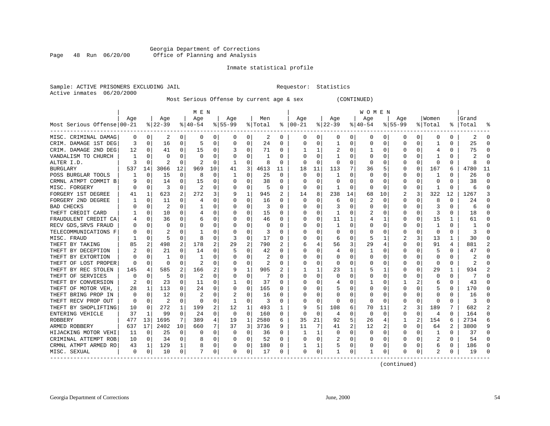#### Georgia Department of Corrections Page 48 Run 06/20/00 Office of Planning and Analysis

#### Inmate statistical profile

| Sample: ACTIVE PRISONERS EXCLUDING JAIL | Requestor: Statistics |  |
|-----------------------------------------|-----------------------|--|
| Active inmates 06/20/2000               |                       |  |

#### Most Serious Offense by current age & sex (CONTINUED)

|                            | M E N    |                |                |              |                |          |           |          |                |              | W O M E N     |          |          |    |          |          |          |          |                |              |           |          |
|----------------------------|----------|----------------|----------------|--------------|----------------|----------|-----------|----------|----------------|--------------|---------------|----------|----------|----|----------|----------|----------|----------|----------------|--------------|-----------|----------|
|                            | Age      |                | Age            |              | Age            |          | Age       |          | Men            |              | Age           |          | Age      |    | Aqe      |          | Age      |          | Women          |              | Grand     |          |
| Most Serious Offense 00-21 |          |                | $8 22-39$      |              | $8 40-54$      |          | $8 55-99$ |          | % Total        |              | $8   00 - 21$ |          | $ 22-39$ |    | $ 40-54$ |          | $ 55-99$ |          | % Total        |              | %   Total | ៖        |
| MISC. CRIMINAL DAMAG       | 0        | 0 <sup>1</sup> | 2              | 0            | 0              | 0        | 0         | 0        | 2              | 0            | 0             | 0        | 0        | 0  | 0        | 0        | 0        | 0        | 0              | $\Omega$     | 2         | $\Omega$ |
| CRIM. DAMAGE 1ST DEG       | 3        | 0              | 16             | 0            | 5              | 0        | 0         | 0        | 24             | O            | $\Omega$      | 0        | 1        | 0  | O        | 0        | C        | 0        | 1              | $\Omega$     | 25        | $\Omega$ |
| CRIM. DAMAGE 2ND DEG       | 12       | $\Omega$       | 41             | 0            | 15             | 0        |           | 0        | 71             | O            |               |          |          | 0  |          | $\Omega$ |          | $\Omega$ | 4              | $\Omega$     | 75        | ∩        |
| VANDALISM TO CHURCH        |          | $\cap$         | U              | U            | $\cap$         | 0        | O         | U        |                | U            | ∩             | ∩        |          | 0  |          | $\Omega$ | Ω        | $\Omega$ |                | $\Omega$     |           |          |
| ALTER I.D.                 | 3        | $\Omega$       | 2              | <sup>0</sup> | $\overline{c}$ | $\Omega$ | -1        | 0        | 8              | O            | $\Omega$      | $\Omega$ | $\Omega$ | 0  | $\left($ | $\Omega$ | 0        | $\Omega$ | $\Omega$       | $\Omega$     | 8         | U        |
| <b>BURGLARY</b>            | 537      | 14             | 3066           | 12           | 969            | 10       | 41        | 3        | 4613           | 11           | 18            | 11       | 113      | 7  | 36       | 5        | C        | 0        | 167            | 6            | 4780      | 11       |
| POSS BURGLAR TOOLS         |          | 0              | 15             | 0            | 8              | 0        | -1        | $\Omega$ | 25             | $\Omega$     | $\Omega$      | $\Omega$ | -1       | 0  | $\Omega$ | $\Omega$ | C        | $\Omega$ | 1              | $\Omega$     | 26        | $\Omega$ |
| CRMNL ATMPT COMMIT B       |          | $\Omega$       | 14             | 0            | 15             | 0        | U         | 0        | 38             | $\Omega$     | $\Omega$      | $\Omega$ | $\Omega$ | 0  | O        | $\Omega$ | C        | $\Omega$ | $\Omega$       | $\Omega$     | 38        | $\Omega$ |
| MISC. FORGERY              |          | 0              | 3              | 0            | 2              | 0        | U         | 0        | 5              | 0            | $\Omega$      | $\Omega$ | -1       | 0  | O        | 0        | C        | 0        |                | $\Omega$     | 6         | 0        |
| FORGERY 1ST DEGREE         |          | 1              | 623            | 2            | 272            | 3        | 9         | 1        | 945            | 2            | 14            | 8        | 238      | 14 | 68       | 10       | 2        | 3        | 322            | 12           | 1267      | 3        |
| FORGERY 2ND DEGREE         |          | $\Omega$       | 11             | U            | 4              | 0        | U         | $\Omega$ | 16             | U            | O             |          | 6        | 0  |          | $\Omega$ | Ω        | $\Omega$ | 8              | ∩            | 24        | $\cap$   |
| <b>BAD CHECKS</b>          |          | $\Omega$       | $\overline{c}$ | 0            |                | 0        | U         | 0        | 3              | U            | ∩             | ∩        | 3        | U  | ∩        | $\Omega$ | O        | $\Omega$ | 3              | $\Omega$     | 6         | $\cap$   |
| THEFT CREDIT CARD          |          | $\Omega$       | 10             | 0            | 4              | $\Omega$ | U         | $\Omega$ | 15             | O            |               | $\Omega$ | -1       | U  | 2        | $\Omega$ | C        | $\Omega$ | 3              | $\Omega$     | 18        | $\Omega$ |
| FRAUDULENT CREDIT CA       |          | 0              | 36             | 0            | 6              | $\Omega$ |           | $\Omega$ | 46             | 0            | 0             | $\Omega$ | 11       |    |          | 1        | C        | $\Omega$ | 15             |              | 61        | $\Omega$ |
| RECV GDS, SRVS FRAUD       |          | $\Omega$       | 0              | 0            | 0              | 0        |           | 0        | $\Omega$       | O            | $\Omega$      | $\Omega$ | 1        | 0  |          | $\Omega$ | Ω        | $\Omega$ | 1              | $\Omega$     | -1        | $\cap$   |
| TELECOMMUNICATIONS F       |          | $\Omega$       | 2              | U            |                | 0        | U         | 0        | 3              | O            | $\Omega$      | $\Omega$ | 0        | 0  | $\Omega$ | $\Omega$ | C        | $\Omega$ | $\Omega$       | $\Omega$     |           | U        |
| MISC. FRAUD                |          | 0              | 5              | 0            | 8              | 0        | 3         | 0        | 17             | O            | O             | $\Omega$ | 6        | 0  | 5        | 1        | 2        | 3        | 13             | 1            | 30        | $\Omega$ |
| THEFT BY TAKING            | 85       | 2              | 498            | 2            | 178            | 2        | 29        | 2        | 790            | 2            |               |          | 56       | 3  | 29       | 4        | C        | 0        | 91             | 4            | 881       |          |
| THEFT BY DECEPTION         |          | $\Omega$       | 21             | U            | 14             | 0        | .5        | O        | 42             | U            | O             |          |          | U  |          | $\Omega$ | C        | O        | 5              | $\Omega$     | 47        | $\cap$   |
| THEFT BY EXTORTION         |          | $\Omega$       | 1              | U            | -1             | 0        | U         | U        | 2              | U            | ∩             | $\Omega$ | n        | U  | ∩        | $\Omega$ | C        | $\Omega$ | $\Omega$       | $\Omega$     |           | ∩        |
| THEFT OF LOST PROPER       |          | $\Omega$       | $\Omega$       | 0            | $\overline{c}$ | $\Omega$ | U         | $\Omega$ | $\overline{2}$ | O            |               | $\Omega$ | n        | U  |          | $\Omega$ | C        | $\Omega$ | $\Omega$       | $\Omega$     |           | $\Omega$ |
| THEFT BY REC STOLEN        | 145      | 4              | 585            | 2            | 166            | 2        | 9         | 1        | 905            | 2            |               |          | 23       |    |          | 1        | O        | $\Omega$ | 29             |              | 934       |          |
| THEFT OF SERVICES          |          | 0              | 5              | 0            | 2              | 0        |           | 0        |                | $\Omega$     | $\Omega$      | $\Omega$ | 0        | U  |          | 0        | Ω        | $\Omega$ | $\Omega$       | $\Omega$     |           | $\Omega$ |
| THEFT BY CONVERSION        |          | $\Omega$       | 23             | 0            | 11             | 0        | 1         | 0        | 37             | <sup>0</sup> | $\Omega$      | $\Omega$ | 4        | 0  |          | $\Omega$ |          | 2        | 6              | $\Omega$     | 43        | $\Omega$ |
| THEFT OF MOTOR VEH.        | 28       | 1              | 113            | 0            | 24             | 0        | $\Omega$  | 0        | 165            | O            | ∩             | 0        | 5        | 0  |          | 0        | C        | 0        | 5              | $\Omega$     | 170       | $\Omega$ |
| THEFT BRING PROP IN        | $\Omega$ | 0              | 12             | U            | 2              | 0        | 2         | 0        | 16             | O            | O             |          | 0        | 0  | O        | $\Omega$ | C        | 0        | O              | O            | 16        | O        |
| THEFT RECV PROP OUT        | O        | $\Omega$       | 2              | U            | $\cap$         | 0        | -1        | 0        | 3              | U            | ∩             |          | n        | 0  | O        | $\Omega$ | C        | $\Omega$ | ∩              | $\Omega$     | ζ         | $\cap$   |
| THEFT BY SHOPLIFTING       | 10       | $\Omega$       | 272            | 1            | 199            | 2        | 12        | 1        | 493            | 1            |               | 5        | 108      | 6  | 70       | 11       |          | 3        | 189            |              | 682       | 2        |
| ENTERING VEHICLE           | 37       | 1              | 99             | 0            | 24             | 0        | 0         | 0        | 160            | $\Omega$     | $\Omega$      | $\Omega$ | 4        | 0  | 0        | $\Omega$ | O        | 0        | 4              | <sup>0</sup> | 164       | $\Omega$ |
| ROBBERY                    | 477      | 13             | 1695           | 7            | 389            | 4        | 19        | 1        | 2580           | 6            | 35            | 21       | 92       | 5  | 26       | 4        |          | 2        | 154            |              | 2734      | 6        |
| ARMED ROBBERY              | 637      | 17             | 2402           | 10           | 660            | 7        | 37        | 3        | 3736           | 9            | 11            | 7        | 41       | 2  | 12       | 2        | C        | $\Omega$ | 64             | 2            | 3800      | 9        |
| HIJACKING MOTOR VEHI       | 11       | $\Omega$       | 25             | 0            | $\Omega$       | 0        | $\Omega$  | 0        | 36             | $\Omega$     | 1             | 1        | 0        | 0  | $\Omega$ | $\Omega$ | 0        | $\Omega$ | 1              | $\Omega$     | 37        | $\Omega$ |
| CRIMINAL ATTEMPT ROB       | 10       | $\Omega$       | 34             | $\Omega$     |                | 0        | $\Omega$  | $\Omega$ | 52             | $\Omega$     | $\Omega$      | $\Omega$ | 2        | 0  | O        | $\Omega$ | 0        | $\Omega$ | $\overline{2}$ | $\Omega$     | 54        | $\Omega$ |
| CRMNL ATMPT ARMED RO       | 43       | 1              | 129            | 1            | 8              | 0        | $\Omega$  | 0        | 180            | 0            |               |          | 5        | 0  | O        | 0        | C        | 0        | 6              | $\Omega$     | 186       | $\Omega$ |
| MISC. SEXUAL               | 0        | 0              | 10             | 0            | 7              | 0        | 0         | 0        | 17             | 0            | 0             | 0        |          | 0  |          | 0        | O        | 0        | 2              | 0            | 19        |          |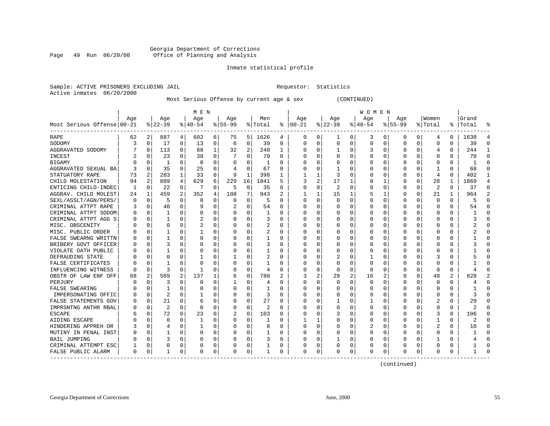#### Georgia Department of Corrections<br>Page 49 Run 06/20/00 Office of Planning and Analysis Page 49 Run 06/20/00 Office of Planning and Analysis

#### Inmate statistical profile

|  | Sample: ACTIVE PRISONERS EXCLUDING JAI |  |
|--|----------------------------------------|--|
|  | Active inmates 06/20/2000              |  |

IL Requestor: Statistics

Most Serious Offense by current age & sex (CONTINUED)

|                                        | M E N    |             |                |             |                |             |           |                |                |              | <b>WOMEN</b>  |                |              |   |          |          |          |          |                |                |           |                |
|----------------------------------------|----------|-------------|----------------|-------------|----------------|-------------|-----------|----------------|----------------|--------------|---------------|----------------|--------------|---|----------|----------|----------|----------|----------------|----------------|-----------|----------------|
|                                        | Aqe      |             | Age            |             | Age            |             | Age       |                | Men            |              | Age           |                | Age          |   | Aqe      |          | Aqe      |          | Women          |                | Grand     |                |
| Most Serious Offense 00-21             |          |             | $8 22-39$      |             | $8 40-54$      |             | $8 55-99$ |                | % Total        |              | $8   00 - 21$ |                | $ 22-39 $    |   | $ 40-54$ |          | $ 55-99$ |          | % Total        |                | %   Total | ៖              |
| RAPE                                   | 62       | 2           | 887            | 4           | 602            | 6           | 75        | 5              | 1626           | 4            | 0             | 0              | -1           | 0 | 3        | 0        | 0        | 0        | 4              | 0              | 1630      | 4              |
| SODOMY                                 | 3        | 0           | 17             | 0           | 13             | 0           | 6         | 0              | 39             | $\Omega$     | $\Omega$      | $\Omega$       | $\mathbf 0$  | 0 | $\Omega$ | $\Omega$ | 0        | 0        | $\Omega$       | $\Omega$       | 39        | $\Omega$       |
| AGGRAVATED SODOMY                      |          | $\mathbf 0$ | 113            | $\Omega$    | 88             | 1           | 32        | $\overline{2}$ | 240            | $\mathbf{1}$ | <sup>0</sup>  | O              | $\mathbf{1}$ | 0 |          | $\Omega$ | Ω        | $\Omega$ | $\overline{4}$ | $\Omega$       | 244       | 1              |
| <b>INCEST</b>                          |          | $\Omega$    | 23             | 0           | 38             | $\Omega$    |           | $\Omega$       | 70             | $\Omega$     |               | 0              | 0            | 0 |          | $\Omega$ | Ω        | 0        | $\Omega$       | 0              | 70        | $\Omega$       |
| BIGAMY                                 |          | 0           | 1              | 0           | $\mathbf 0$    | 0           | 0         | 0              | 1              | 0            |               | $\Omega$       | 0            | 0 |          | 0        |          | 0        | $\Omega$       | 0              |           | $\Omega$       |
| AGGRAVATED SEXUAL BA                   |          | $\mathbf 0$ | 35             | 0           | 25             | 0           |           | $\mathsf 0$    | 67             | $\Omega$     |               | O              |              | U |          | $\Omega$ |          | 0        |                | $\Omega$       | 68        | $\Omega$       |
| STATUATORY RAPE                        | 73       | 2           | 283            | $\mathbf 1$ | 33             | $\mathbf 0$ | 9         | $\mathbf{1}$   | 398            | 1            |               |                | 3            | U |          | $\Omega$ | U        | 0        | $\overline{4}$ | $\Omega$       | 402       | 1              |
| CHILD MOLESTATION                      | 94       | 2           | 889            | 4           | 629            | 6           | 229       | 16             | 1841           | 5            | 3             | $\overline{a}$ | 17           | 1 |          | 1        | U        | 0        | 28             | 1              | 1869      | $\overline{4}$ |
| ENTICING CHILD-INDEC                   | -1       | $\mathbf 0$ | 22             | 0           | 7              | 0           | 5         | 0              | 35             | $\Omega$     |               | $\Omega$       | 2            | O |          | 0        | Ω        | U        | 2              | O              | 37        | $\Omega$       |
| AGGRAV. CHILD MOLEST                   | 24       | 1           | 459            | 2           | 352            | 4           | 108       | 7              | 943            |              |               |                | 15           | 1 |          | 1        |          | 0        | 21             |                | 964       | $\overline{2}$ |
| SEXL/ASSLT/AGN/PERS/                   | $\Omega$ | 0           | 5              | U           | 0              | 0           | 0         | 0              | 5              | $\Omega$     | <sup>0</sup>  | O              | $\Omega$     | U |          | $\Omega$ | U        | U        | $\Omega$       | 0              | 5         | $\Omega$       |
| CRIMINAL ATTPT RAPE                    | 3        | 0           | 40             | $\Omega$    | q              | 0           |           | 0              | 54             | $\Omega$     | O             | O              | 0            | U |          | $\Omega$ | U        | 0        | $\Omega$       | 0              | 54        | $\Omega$       |
| CRIMINAL ATTPT SODOM                   |          | 0           | 1              | 0           | 0              | 0           | O         | $\mathbf 0$    | 1              | $\Omega$     |               | $\Omega$       | 0            | U |          | 0        |          | 0        | $\Omega$       | O              |           | $\Omega$       |
| CRIMINAL ATTPT AGG S                   |          | $\mathbf 0$ | 1              | O           | 2              | 0           |           | 0              | 3              | $\Omega$     |               | O              | C            | U |          | $\Omega$ |          | 0        | $\Omega$       | $\Omega$       |           | $\Omega$       |
| MISC. OBSCENITY                        |          | 0           | 0              | 0           | $\overline{2}$ | 0           | O         | 0              | 2              | $\Omega$     |               | 0              | 0            | 0 |          | $\Omega$ | U        | 0        | ∩              | 0              |           | $\Omega$       |
| MISC. PUBLIC ORDER                     |          | $\mathbf 0$ | 1              | U           | -1             | 0           | O         | 0              | $\overline{c}$ | $\Omega$     | O             | O              | O            | U |          | $\Omega$ | U        | 0        | $\Omega$       | 0              |           | $\Omega$       |
| FALSE SWEARNG WRITTN                   |          | 0           | 1              | U           | $\Omega$       | 0           | 0         | 0              | 1              | 0            |               | 0              | 0            | 0 |          | 0        |          | U        | O              | 0              |           | $\Omega$       |
| BRIBERY GOVT OFFICER                   |          | $\mathbf 0$ | 3              | U           | $\Omega$       | 0           | 0         | 0              | 3              | 0            |               | O              | C            | 0 |          | $\Omega$ |          | U        | $\Omega$       | U              |           | $\Omega$       |
| VIOLATE OATH PUBLIC                    |          | 0           |                | U           | $\Omega$       | 0           | O         | 0              | 1              | 0            |               | O              | O            | U |          | $\Omega$ |          | 0        | ∩              | 0              |           | ∩              |
| DEFRAUDING STATE                       |          | $\Omega$    | U              | U           |                | 0           | 1         | 0              | 2              | $\Omega$     |               | 0              |              | U |          | $\Omega$ |          | 0        | 3              | 0              |           | $\Omega$       |
| FALSE CERTIFICATES                     |          | $\Omega$    |                | U           | 0              | 0           | O         | 0              |                | $\Omega$     |               | $\Omega$       | 0            | O |          | $\Omega$ |          | 0        | $\Omega$       |                |           | $\Omega$       |
| INFLUENCING WITNESS                    |          | $\mathbf 0$ | 3              | 0           | -1             | 0           | O         | $\mathbf 0$    | $\overline{4}$ | $\Omega$     |               | $\Omega$       | $\Omega$     | O |          | $\Omega$ |          | 0        | $\Omega$       | $\Omega$       |           | $\Omega$       |
| OBSTR OF LAW ENF OFF                   | 68       | 2           | 569            | 2           | 137            | 1           | 6         | $\Omega$       | 780            | 2            | 3             | 2              | 29           | 2 | 16       | 2        | 0        | 0        | 48             | $\overline{2}$ | 828       | $\overline{2}$ |
| PERJURY                                |          | $\Omega$    | 3              | 0           | 0              | 0           | 1         | 0              | 4              | $\Omega$     | <sup>0</sup>  | O              | 0            | 0 | $\Omega$ | $\Omega$ | 0        | 0        | $\Omega$       | 0              |           | $\Omega$       |
| FALSE SWEARING                         |          | 0           | 1              | U           | 0              | 0           | O         | 0              |                | O            |               |                | 0            | U |          | 0        |          | U        | 0              | 0              |           | $\Omega$       |
| IMPERSONATING OFFIC                    |          | 0           | 2              | U           |                | $\Omega$    | O         | 0              | 3              | $\Omega$     |               |                | O            | 0 |          | $\Omega$ |          | U        | $\Omega$       | O              |           | $\Omega$       |
| FALSE STATEMENTS GOV                   |          | $\mathbf 0$ | 21             | 0           | 6              | 0           | O         | $\Omega$       | 27             | $\Omega$     |               | O              |              | U |          | $\Omega$ | U        | 0        | 2              | 0              | 29        | $\Omega$       |
| IMPRSNTNG ANTHR RBAL                   |          | $\mathbf 0$ | $\overline{2}$ | $\Omega$    | $\Omega$       | 0           | 0         | 0              | $\overline{c}$ | $\Omega$     |               | U              | O            | U |          | n        |          | 0        | ∩              | 0              |           | ∩              |
| ESCAPE                                 |          | 0           | 72             | $\Omega$    | 23             | 0           | 2         | $\mathbf 0$    | 103            | $\Omega$     |               | $\Omega$       | 3            | O |          | $\Omega$ |          | 0        | 3              | $\Omega$       | 106       | $\Omega$       |
| AIDING ESCAPE                          |          | $\mathbf 0$ | $\Omega$       | 0           | 1              | 0           | 0         | 0              |                | $\Omega$     |               | 1              |              | 0 |          | $\Omega$ |          | 0        | 1              | 0              |           | $\Omega$       |
| HINDERING APPREH OR                    |          | 0           | 4              | U           | 1              | 0           | O         | 0              | 8              | $\Omega$     | <sup>0</sup>  | 0              | C            | 0 |          | 0        | U        | 0        | 2              | 0              | 10        | $\Omega$       |
| MUTINY IN PENAL INST                   |          | 0           | 1              | 0           | 0              | 0           | O         | 0              |                | 0            |               | 0              | 0            | 0 |          | 0        | U        | 0        | ∩              | 0              |           | $\Omega$       |
| <b>BAIL JUMPING</b>                    |          | 0           | 3              | 0           | 0              | 0           | O         | 0              | 3              | 0            |               | 0              |              | U |          | 0        | U        | 0        |                | 0              |           | $\Omega$       |
| CRIMINAL ATTEMPT ESC                   |          | 0           | 0              | 0           | 0              | 0           |           | 0              |                | 0            |               | 0              | 0            | 0 |          | 0        |          | 0        |                |                |           | $\Omega$       |
| FALSE PUBLIC ALARM<br>---------------- | $\Omega$ | 0           | 1              | 0           | $\Omega$       | 0           | O         | 0              | 1              | $\Omega$     | <sup>0</sup>  | 0              | C            | 0 | O        | 0        | U        | 0        | $\Omega$       | U              |           | $\Omega$       |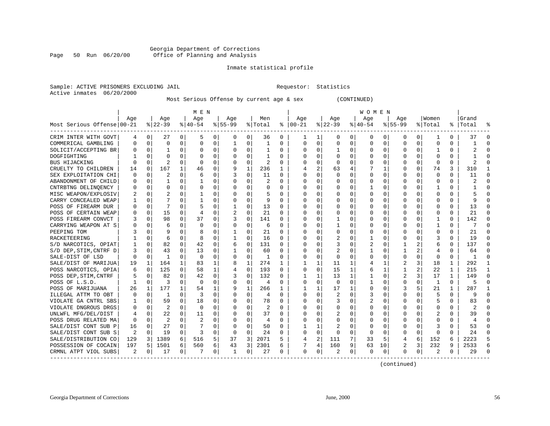#### Georgia Department of Corrections Page 50 Run 06/20/00 Office of Planning and Analysis

#### Inmate statistical profile

|                           | Sample: ACTIVE PRISONERS EXCLUDING JAIL | Requestor: Statistics |  |
|---------------------------|-----------------------------------------|-----------------------|--|
| Active inmates 06/20/2000 |                                         |                       |  |

Most Serious Offense by current age & sex (CONTINUED)

|                            | M E N    |             |          |          |                |          |              |             |         |          | W O M E N    |              |          |             |          |              |           |              |                |              |                |              |  |
|----------------------------|----------|-------------|----------|----------|----------------|----------|--------------|-------------|---------|----------|--------------|--------------|----------|-------------|----------|--------------|-----------|--------------|----------------|--------------|----------------|--------------|--|
|                            | Aqe      |             | Aqe      |          | Age            |          | Aqe          |             | Men     |          | Aqe          |              | Aqe      |             | Aqe      |              | Aqe       |              | Women          |              | Grand          |              |  |
| Most Serious Offense 00-21 |          |             | $ 22-39$ |          | $8 40-54$      |          | $8 55-99$    |             | % Total | ႜ        | $ 00-21$     |              | $ 22-39$ |             | $ 40-54$ |              | $8 55-99$ |              | % Total        |              | %   Total      | °            |  |
| CRIM INTER WITH GOVT       | 4        | 0           | 27       | $\Omega$ | 5              | 0        | 0            | 0           | 36      | 0        | 1            | 1            | 0        | 0           | 0        | 0            | $\Omega$  | $\Omega$     | 1              | $\Omega$     | 37             | ∩            |  |
| COMMERICAL GAMBLING        | 0        | $\Omega$    | 0        | 0        | $\Omega$       | 0        | 1            | $\Omega$    | 1       | 0        | $\Omega$     | $\Omega$     | $\Omega$ | $\Omega$    | $\Omega$ | 0            | 0         | $\Omega$     | $\Omega$       | 0            |                | $\cap$       |  |
| SOLICIT/ACCEPTING BR       | 0        | $\Omega$    |          | 0        | $\Omega$       | $\Omega$ | $\Omega$     | $\Omega$    | 1       | 0        | 0            | 0            | -1       | 0           | $\Omega$ | $\Omega$     | 0         | $\Omega$     | 1              | 0            | 2              | ∩            |  |
| DOGFIGHTING                |          | $\Omega$    | 0        | $\Omega$ | $\Omega$       | $\Omega$ | $\Omega$     | $\Omega$    | 1       | 0        | $\Omega$     | $\Omega$     | $\Omega$ | $\Omega$    | $\Omega$ | $\mathbf 0$  | 0         | $\Omega$     | $\Omega$       | 0            |                |              |  |
| <b>BUS HIJACKING</b>       | O        | $\Omega$    | 2        | $\Omega$ | $\Omega$       | U        |              | $\mathbf 0$ | 2       | O        | C            | 0            | $\Omega$ | 0           |          | $\mathbf 0$  | 0         | $\Omega$     | $\mathbf 0$    | $\Omega$     |                |              |  |
| CRUELTY TO CHILDREN        | 14       | $\Omega$    | 167      | 1        | 46             | 0        | 9            | 1           | 236     | 1        |              | 2            | 63       | 4           |          | 1            | 0         | $\Omega$     | 74             | 3            | 310            | -1           |  |
| SEX EXPLOITATION CHI       | 0        | 0           | 2        | $\Omega$ | 6              | 0        | 3            | $\Omega$    | 11      | 0        | $\Omega$     | 0            | $\Omega$ | 0           | $\Omega$ | 0            | 0         | $\Omega$     | $\mathbf 0$    | 0            | 11             | ∩            |  |
| ABANDONMENT OF CHILD       | 0        | 0           |          | 0        |                | 0        | O            | 0           | 2       | 0        | 0            | 0            | 0        | $\Omega$    | 0        | 0            | 0         | 0            | 0              | 0            |                | ∩            |  |
| CNTRBTNG DELINOENCY        | 0        | 0           | O        | 0        | $\Omega$       | 0        |              | 0           | 0       | U        | C            | 0            | 0        | 0           |          | 0            | 0         | 0            |                | O            |                | $\Omega$     |  |
| MISC WEAPON/EXPLOSIV       |          | $\Omega$    |          | 0        |                | U        | $\Omega$     | $\Omega$    | 5       | U        | $\Omega$     | $\Omega$     | $\Omega$ | $\Omega$    | $\Omega$ | $\Omega$     | O         | <sup>n</sup> | $\Omega$       | $\Omega$     |                |              |  |
| CARRY CONCEALED WEAP       |          | $\Omega$    |          | 0        |                | O        | $\Omega$     | $\Omega$    | 9       | 0        | $\Omega$     | $\Omega$     | $\Omega$ | $\Omega$    | $\Omega$ | $\Omega$     | O         | $\Omega$     | $\Omega$       | $\Omega$     |                |              |  |
| POSS OF FIREARM DUR        | O        | $\Omega$    |          | $\Omega$ | 5              | O        |              | $\Omega$    | 13      | 0        | C            | $\Omega$     | $\Omega$ | $\Omega$    | $\Omega$ | 0            | $\Omega$  | $\Omega$     | $\Omega$       | $\Omega$     | 13             |              |  |
| POSS OF CERTAIN WEAP       |          | 0           | 15       | 0        | $\overline{4}$ | 0        |              | $\Omega$    | 21      | U        | O            | 0            | 0        | 0           | 0        | $\mathbf 0$  | 0         | 0            | $\Omega$       | $\Omega$     | 21             |              |  |
| POSS FIREARM CONVCT        |          | 0           | 98       | 0        | 37             | 0        | 3            | $\Omega$    | 141     | 0        | $\Omega$     | $\Omega$     | -1       | 0           | U        | $\Omega$     | 0         | 0            | 1              | $\Omega$     | 142            | $\cap$       |  |
| CARRYING WEAPON AT S       | 0        | 0           | 6        | 0        | $\Omega$       | 0        | $\Omega$     | 0           | 6       | 0        | $\Omega$     | 0            | -1       | $\Omega$    | 0        | 0            | 0         | 0            | 1              | 0            |                | $\Omega$     |  |
| PEEPING TOM                |          | $\Omega$    | 9        | 0        | 8              | 0        |              | 0           | 21      | 0        | $\Omega$     | $\Omega$     | $\Omega$ | $\Omega$    | $\Omega$ | 0            | 0         | 0            | $\Omega$       | 0            | 21             | ∩            |  |
| RACKETEERING               |          | 0           | 6        | 0        | 8              | 0        |              | 0           | 16      | U        |              | 0            | 2        | 0           |          | 0            | 0         | 0            |                | O            | 19             |              |  |
| S/D NARCOTICS, OPIAT       |          | $\Omega$    | 82       | 0        | 42             | $\Omega$ | 6            | $\Omega$    | 131     | U        | C            | $\Omega$     | 3        | 0           | 2        | $\Omega$     | 1         |              | 6              | 0            | 137            | $\cap$       |  |
| S/D DEP, STIM, CNTRF D     | 3        | $\Omega$    | 43       | 0        | 13             | 0        |              | $\Omega$    | 60      | 0        | $\Omega$     | 0            | 2        | 0           | 1        | $\Omega$     | 1         | 2            | 4              | 0            | 64             |              |  |
| SALE-DIST OF LSD           | 0        | $\mathbf 0$ | -1       | $\Omega$ | $\Omega$       | 0        | $\Omega$     | 0           | 1       | 0        | $\Omega$     | $\mathbf 0$  | $\Omega$ | 0           | $\Omega$ | 0            | $\Omega$  | $\Omega$     | $\Omega$       | $\Omega$     | -1             | ∩            |  |
| SALE/DIST OF MARIJUA       | 19       | 1           | 164      | 1        | 83             | 1        | 8            | 1           | 274     | 1        |              | $\mathbf 1$  | 11       | 1           | 4        | $\mathbf{1}$ | 2         | 3            | 18             | 1            | 292            |              |  |
| POSS NARCOTICS, OPIA       | 6        | $\mathbf 0$ | 125      | $\Omega$ | 58             | 1        | 4            | $\mathbf 0$ | 193     | $\Omega$ | $\Omega$     | $\mathbf 0$  | 15       | 1           | 6        | 1            | 1         | 2            | 22             | $\mathbf{1}$ | 215            | $\mathbf{1}$ |  |
| POSS DEP, STIM, CNTRF      |          | $\Omega$    | 82       | $\Omega$ | 42             | 0        | 3            | $\Omega$    | 132     | 0        | 1            | $\mathbf{1}$ | 13       | 1           | 1        | $\Omega$     | 2         | 3            | 17             | $\mathbf{1}$ | 149            | $\Omega$     |  |
| POSS OF L.S.D.             | 1        | $\Omega$    | ζ        | $\Omega$ | $\Omega$       | $\Omega$ | $\Omega$     | 0           | 4       | 0        | $\Omega$     | $\Omega$     | $\Omega$ | $\Omega$    | 1        | 0            | $\Omega$  | $\Omega$     | $\mathbf{1}$   | $\Omega$     |                | $\Omega$     |  |
| POSS OF MARIJUANA          | 26       | 1           | 177      |          | 54             | 1        | 9            | 1           | 266     | 1        | 1            | 1            | 17       | 1           | $\Omega$ | 0            | 3         |              | 21             |              | 287            |              |  |
| ILLEGAL ATTM TO OBT        | $\Omega$ | $\Omega$    | 1        | 0        | 3              | U        | $\Omega$     | $\Omega$    | 4       | 0        | $\Omega$     | $\Omega$     |          | 0           | 3        | $\Omega$     | $\Omega$  | U            | 5              | 0            |                | $\cap$       |  |
| VIOLATE GA CNTRL SBS       |          | $\Omega$    | 59       | 0        | 18             | 0        | 0            | 0           | 78      | 0        | $\Omega$     | 0            | 3        | 0           | 2        | 0            | O         | 0            | 5              | 0            | 83             | $\cap$       |  |
| VIOLATE DNGROUS DRGS       | 0        | $\Omega$    | 2        | 0        | $\Omega$       | U        | $\Omega$     | 0           | 2       | 0        | $\Omega$     | $\Omega$     | $\Omega$ | $\Omega$    | $\Omega$ | $\Omega$     | 0         | $\Omega$     | <sup>0</sup>   | 0            | 2              |              |  |
| UNLWFL MFG/DEL/DIST        |          | $\mathbf 0$ | 22       | $\Omega$ | 11             | 0        | O            | 0           | 37      | 0        | $\Omega$     | $\mathbf 0$  | 2        | $\mathbf 0$ | 0        | 0            | $\Omega$  | $\Omega$     | $\overline{2}$ | 0            | 39             |              |  |
| POSS DRUG RELATED MA       | 0        | $\Omega$    | 2        | $\Omega$ | 2              | O        |              | 0           | 4       | U        | $\cap$       | $\mathbf 0$  | 0        | 0           | 0        | $\mathbf 0$  | $\Omega$  | $\Omega$     | $\Omega$       | $\Omega$     | $\overline{4}$ |              |  |
| SALE/DIST CONT SUB P       | 16       | 0           | 27       | 0        | 7              | 0        | $\Omega$     | 0           | 50      | 0        | $\mathbf{1}$ | 1            | 2        | 0           | $\Omega$ | 0            | 0         | $\Omega$     | 3              | 0            | 53             | $\Omega$     |  |
| SALE/DIST CONT SUB S       | 2        | 0           | 19       | 0        | 3              | 0        | $\Omega$     | $\Omega$    | 24      | 0        | $\Omega$     | $\mathbf 0$  | 0        | 0           | $\Omega$ | 0            | $\Omega$  | $\Omega$     | $\Omega$       | 0            | 24             | ∩            |  |
| SALE/DISTRIBUTION CO       | 129      | 3           | 1389     | 6        | 516            | 5        | 37           | 3           | 2071    | 5        | 4            | 2            | 111      | 7           | 33       | 5            | 4         | 6            | 152            | 6            | 2223           | 5            |  |
| POSSESSION OF COCAIN       | 197      | 5           | 1501     | 6        | 560            | 6        | 43           | 3           | 2301    | 6        | 7            | 4            | 160      | 9           | 63       | 10           | 2         | 3            | 232            | 9            | 2533           |              |  |
| CRMNL ATPT VIOL SUBS       | 2        | 0           | 17       | 0        |                | 0        | $\mathbf{1}$ | 0           | 27      | U        | $\Omega$     | 0            | 2        | $\Omega$    | $\Omega$ | 0            | $\Omega$  | $\Omega$     | $\mathcal{D}$  | 0            | 29             |              |  |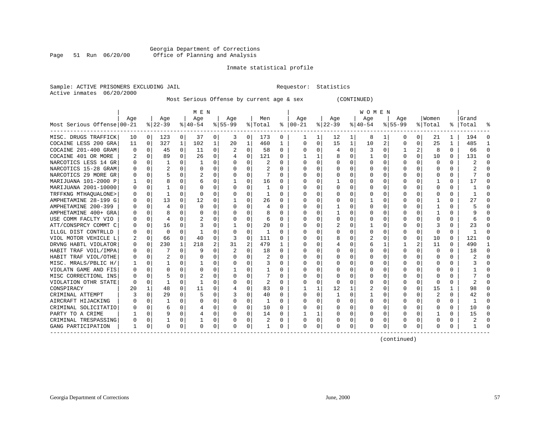#### Georgia Department of Corrections<br>Page 51 Run 06/20/00 Office of Planning and Analysis Page 51 Run 06/20/00 Office of Planning and Analysis

#### Inmate statistical profile

|  |                           | Sample: ACTIVE PRISONERS EXCLUDING JAI |  |
|--|---------------------------|----------------------------------------|--|
|  | Active inmates 06/20/2000 |                                        |  |

IL Requestor: Statistics

#### Most Serious Offense by current age & sex (CONTINUED)

|                            |                  | M E N          |          |              |           |              |          |             |         |              | W O M E N     |          |           |             |           |                |          |          |          |          |              |              |
|----------------------------|------------------|----------------|----------|--------------|-----------|--------------|----------|-------------|---------|--------------|---------------|----------|-----------|-------------|-----------|----------------|----------|----------|----------|----------|--------------|--------------|
|                            | Age              |                | Age      |              | Age       |              | Age      |             | Men     |              | Age           |          | Age       |             | Age       |                | Age      |          | Women    |          | Grand        |              |
| Most Serious Offense 00-21 |                  |                | $ 22-39$ |              | $ 40-54 $ |              | $ 55-99$ |             | % Total |              | $8   00 - 21$ |          | $ 22-39 $ |             | $ 40-54 $ |                | $ 55-99$ |          | % Total  |          | %   Total    | ႜ            |
| MISC. DRUGS TRAFFICK       | 10               | $\overline{0}$ | 123      | $\mathbf{0}$ | 37        | $\mathbf{0}$ | 3        | 0           | 173     | 0            |               |          | 12        | 1           | 8         | 1              | 0        | 0        | 21       | 1        | 194          | $\Omega$     |
| COCAINE LESS 200 GRA       | 11               | 0              | 327      | $\mathbf{1}$ | 102       | $\mathbf 1$  | 20       | 1           | 460     | 1            | $\Omega$      | 0        | 15        | $\mathbf 1$ | 10        | $\overline{2}$ | 0        | $\Omega$ | 25       | 1        | 485          | $\mathbf{1}$ |
| COCAINE 201-400 GRAM       | $\Omega$         | 0              | 45       | 0            | 11        | 0            |          | 0           | 58      | 0            |               | 0        | 4         | 0           |           | 0              |          | 2        | 8        | $\Omega$ | 66           | 0            |
| COCAINE 401 OR MORE        |                  | 0              | 89       | $\Omega$     | 26        | 0            |          | $\mathbf 0$ | 121     | $\Omega$     |               |          | 8         | 0           |           | 0              | 0        | $\Omega$ | 10       | $\Omega$ | 131          | $\Omega$     |
| NARCOTICS LESS 14 GR       |                  | 0              |          | 0            | -1        | $\Omega$     |          | $\mathbf 0$ | 2       | $\Omega$     |               | $\Omega$ | 0         | 0           |           | $\Omega$       | 0        | $\Omega$ | 0        | $\Omega$ | 2            | $\Omega$     |
| NARCOTICS 15-28 GRAM       |                  | $\Omega$       |          | $\Omega$     | 0         | $\Omega$     | O        | $\Omega$    | 2       | 0            |               | $\Omega$ | 0         | 0           |           | $\Omega$       | 0        | $\Omega$ | 0        | $\Omega$ |              | $\Omega$     |
| NARCOTICS 29 MORE GR       | $\left($         | 0              |          | 0            |           | 0            | 0        | 0           |         | 0            | O             | $\Omega$ | $\left($  | 0           |           | $\Omega$       | $\Omega$ | $\Omega$ | O        | $\Omega$ |              | U            |
| MARIJUANA 101-2000 P       |                  | $\Omega$       |          |              | 6         | $\Omega$     |          | $\Omega$    | 16      | 0            | O             | $\Omega$ |           | O           |           | $\Omega$       | ი        | U        |          | $\Omega$ | 17           | U            |
| MARIJUANA 2001-10000       | U                | $\Omega$       |          |              | $\Omega$  | $\Omega$     | O        | O           |         | $\Omega$     | ∩             | $\cap$   | n         | O           |           | $\Omega$       | ი        | U        | ∩        | $\Omega$ |              | $\cap$       |
| TRFFKNG MTHAOUALONE>       | O                | $\mathbf 0$    |          | O            | $\Omega$  | 0            | 0        | 0           |         | $\Omega$     | ∩             | O        |           | $\Omega$    |           | $\Omega$       |          | $\Omega$ | ∩        | 0        |              | $\cap$       |
| AMPHETAMINE 28-199 G       | O                | 0              | 13       | O            | 12        | 0            |          | 0           | 26      | $\Omega$     | $\Omega$      | O        |           | O           |           | $\Omega$       |          | $\Omega$ |          | $\Omega$ |              | $\Omega$     |
| AMPHETAMINE 200-399        |                  | 0              | 4        | O            | 0         | 0            | O        | 0           | 4       |              | $\Omega$      |          |           | N           |           | $\Omega$       |          | $\Omega$ |          | $\Omega$ |              | $\Omega$     |
| AMPHETAMINE 400+ GRA       |                  | 0              | 8        | 0            | 0         | 0            |          | 0           | 8       | 0            |               |          |           | U           |           | 0              |          | $\Omega$ |          | $\Omega$ |              | O            |
| USE COMM FACLTY VIO        |                  | 0              | 4        | 0            | 2         | 0            |          | $\Omega$    | 6       | 0            |               |          | 0         | 0           |           | 0              | Ω        | $\Omega$ | O        | $\Omega$ |              | $\Omega$     |
| ATT/CONSPRCY COMMT C       | $\left( \right)$ | 0              | 16       | $\Omega$     | З         | 0            |          | 0           | 20      | $\Omega$     | O             | O        |           | 0           |           | $\Omega$       | $\Omega$ | $\Omega$ | 3        | $\Omega$ | 23           | $\Omega$     |
| ILLGL DIST CONTRLLD        |                  | $\Omega$       | $\Omega$ | $\Omega$     | -1        | $\Omega$     | 0        | 0           | 1       | $\Omega$     | O             | $\Omega$ | C         | 0           |           | $\Omega$       | Ω        | $\Omega$ | $\Omega$ | $\Omega$ | -1           | $\Omega$     |
| VIOL MOTOR VEHICLE L       |                  | $\Omega$       | 66       | $\Omega$     | 40        | $\Omega$     | 3        | 0           | 111     | $\Omega$     |               | $\Omega$ |           | 0           |           | $\Omega$       | Ω        | $\Omega$ | 10       | $\Omega$ | 121          | $\Omega$     |
| DRVNG HABTL VIOLATOR       | 0                | $\mathbf 0$    | 230      | 1            | 218       | 2            | 31       | 2           | 479     | 1            |               | $\Omega$ |           | 0           | 6         | 1              |          | 2        | 11       | $\Omega$ | 490          | $\mathbf{1}$ |
| HABIT TRAF VOIL/IMPA       |                  | 0              |          | 0            | g         | 0            |          | 0           | 18      | 0            |               | $\Omega$ | C         | N           |           | 0              | U        | $\Omega$ | $\Omega$ | $\Omega$ | 18           | $\Omega$     |
| HABIT TRAF VIOL/OTHE       |                  | 0              | 2        | $\Omega$     | $\Omega$  | 0            |          | 0           | 2       | $\Omega$     |               | $\Omega$ | O         | O           |           | 0              | U        | $\Omega$ | $\Omega$ | $\Omega$ | 2            | $\Omega$     |
| MISC. MRALS/PBLIC H/       |                  | 0              |          | 0            |           | 0            |          | $\Omega$    | 3       | $\Omega$     |               | $\Omega$ | O         | O           |           | $\Omega$       | ი        | $\Omega$ | $\Omega$ | $\Omega$ |              | $\Omega$     |
| VIOLATN GAME AND FIS       | $\left( \right)$ | $\Omega$       | O        | 0            | O         | 0            |          | 0           |         | 0            | O             | $\Omega$ | $\left($  | O           |           | $\Omega$       | O        | $\Omega$ | $\Omega$ | $\Omega$ |              | O            |
| MISC CORRECTIONL INS       | O                | $\Omega$       |          | O            |           | $\Omega$     | O        | O           |         | $\Omega$     | O             | $\Omega$ | $\Omega$  | O           |           | $\Omega$       | O        | $\Omega$ | $\Omega$ | $\Omega$ |              | U            |
| VIOLATION OTHR STATE       | ∩                | 0              | 1        | U            | -1        | $\Omega$     |          | $\Omega$    | 2       | <sup>0</sup> | O             | $\Omega$ | -C        | O           |           | $\Omega$       | O        | $\Omega$ | O        | $\Omega$ |              | U            |
| CONSPIRACY                 | 20               | 1              | 48       | 0            | 11        | $\Omega$     |          | 0           | 83      | $\Omega$     |               |          | 12        |             |           | $\Omega$       | O        | $\Omega$ | 15       |          | 98           | <sup>n</sup> |
| CRIMINAL ATTEMPT           |                  | $\Omega$       | 29       | O            |           | $\Omega$     |          | $\Omega$    | 40      | $\Omega$     | $\Omega$      | 0        |           | O           |           | $\Omega$       | 0        | $\Omega$ |          | $\Omega$ | 42           | $\Omega$     |
| AIRCRAFT HIJACKING         |                  | $\mathbf 0$    |          | $\Omega$     | 0         | 0            | O        | 0           |         | $\Omega$     | $\Omega$      | $\Omega$ | O         | O           | O         | $\Omega$       |          | 0        | $\Omega$ | $\Omega$ | $\mathbf{1}$ | $\Omega$     |
| CRIMINAL SOLICITATIO       | 0                | 0              | 6        | 0            | 4         | 0            | O        | 0           | 10      | 0            |               | 0        | 0         | 0           | 0         | $\Omega$       | Ω        | $\Omega$ | O        | $\Omega$ | 10           | $\Omega$     |
| PARTY TO A CRIME           |                  | $\mathbf 0$    | 9        | $\Omega$     | 4         | $\mathbf 0$  | $\Omega$ | 0           | 14      | 0            |               |          | O         | 0           | O         | 0              | $\Omega$ | 0        |          | 0        | 15           | 0            |
| CRIMINAL TRESPASSING       | 0                | 0              | 1        | 0            |           | 0            | 0        | 0           | 2       | 0            | O             | 0        | O         | 0           | $\left($  | 0              | 0        | 0        | $\Omega$ | 0        |              | $\Omega$     |
| GANG PARTICIPATION         | 1                | 0              | 0        | 0            | 0         | 0            | $\Omega$ | 0           | 1       | 0            | $\Omega$      | 0        | C         | 0           | $\Omega$  | 0              | O        | 0        | $\Omega$ | 0        | 1            | $\Omega$     |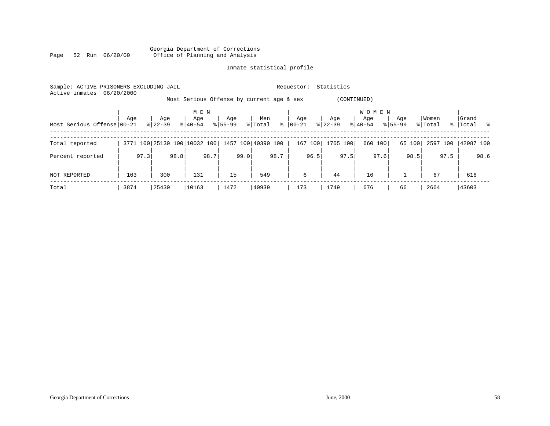#### Georgia Department of Corrections Page 52 Run 06/20/00 Office of Planning and Analysis

### Inmate statistical profile

| Sample: ACTIVE PRISONERS EXCLUDING JAIL<br>Active inmates | 06/20/2000 |                  |                              |                    | Statistics<br>Requestor: |                                                          |                  |                                  |                    |                  |                    |  |  |  |
|-----------------------------------------------------------|------------|------------------|------------------------------|--------------------|--------------------------|----------------------------------------------------------|------------------|----------------------------------|--------------------|------------------|--------------------|--|--|--|
|                                                           |            |                  |                              |                    |                          | Most Serious Offense by current age & sex<br>(CONTINUED) |                  |                                  |                    |                  |                    |  |  |  |
| Most Serious Offense 00-21                                | Age        | Age<br>$8 22-39$ | M E N<br>Age<br>$8 40-54$    | Age<br>$8155 - 99$ | Men<br>% Total           | Age<br>$8   00 - 21$                                     | Age<br>$ 22-39 $ | <b>WOMEN</b><br>Age<br>$8 40-54$ | Age<br>$8155 - 99$ | Women<br>% Total | Grand<br>% Total % |  |  |  |
| Total reported                                            |            |                  | 3771 100 25130 100 10032 100 |                    | 1457 100 40390 100       | 167 100                                                  | 1705 100         | 660 100                          | 65 100             | 2597 100         | 42987 100          |  |  |  |
| Percent reported                                          | 97.3       | 98.8             | 98.7                         | 99.0               | 98.7                     | 96.5                                                     | 97.5             | 97.6                             | 98.5               | 97.5             | 98.6               |  |  |  |
| NOT REPORTED                                              | 103        | 300              | 131                          | 15                 | 549                      | 6                                                        | 44               | 16                               |                    | 67               | 616                |  |  |  |
| Total                                                     | 3874       | 25430            | 10163                        | 1472               | 40939                    | 173                                                      | 1749             | 676                              | 66                 | 2664             | 43603              |  |  |  |